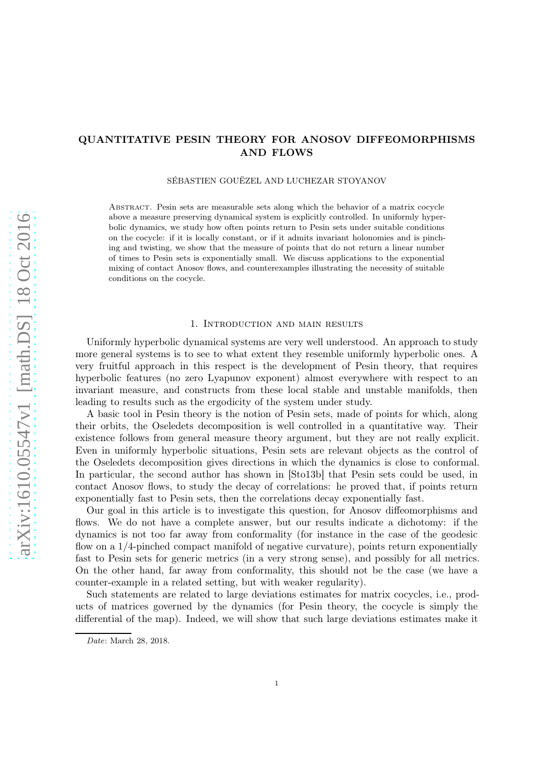# <span id="page-0-0"></span>QUANTITATIVE PESIN THEORY FOR ANOSOV DIFFEOMORPHISMS AND FLOWS

SÉBASTIEN GOUËZEL AND LUCHEZAR STOYANOV

Abstract. Pesin sets are measurable sets along which the behavior of a matrix cocycle above a measure preserving dynamical system is explicitly controlled. In uniformly hyperbolic dynamics, we study how often points return to Pesin sets under suitable conditions on the cocycle: if it is locally constant, or if it admits invariant holonomies and is pinching and twisting, we show that the measure of points that do not return a linear number of times to Pesin sets is exponentially small. We discuss applications to the exponential mixing of contact Anosov flows, and counterexamples illustrating the necessity of suitable conditions on the cocycle.

## 1. Introduction and main results

Uniformly hyperbolic dynamical systems are very well understood. An approach to study more general systems is to see to what extent they resemble uniformly hyperbolic ones. A very fruitful approach in this respect is the development of Pesin theory, that requires hyperbolic features (no zero Lyapunov exponent) almost everywhere with respect to an invariant measure, and constructs from these local stable and unstable manifolds, then leading to results such as the ergodicity of the system under study.

A basic tool in Pesin theory is the notion of Pesin sets, made of points for which, along their orbits, the Oseledets decomposition is well controlled in a quantitative way. Their existence follows from general measure theory argument, but they are not really explicit. Even in uniformly hyperbolic situations, Pesin sets are relevant objects as the control of the Oseledets decomposition gives directions in which the dynamics is close to conformal. In particular, the second author has shown in [\[Sto13b\]](#page-39-0) that Pesin sets could be used, in contact Anosov flows, to study the decay of correlations: he proved that, if points return exponentially fast to Pesin sets, then the correlations decay exponentially fast.

Our goal in this article is to investigate this question, for Anosov diffeomorphisms and flows. We do not have a complete answer, but our results indicate a dichotomy: if the dynamics is not too far away from conformality (for instance in the case of the geodesic flow on a 1/4-pinched compact manifold of negative curvature), points return exponentially fast to Pesin sets for generic metrics (in a very strong sense), and possibly for all metrics. On the other hand, far away from conformality, this should not be the case (we have a counter-example in a related setting, but with weaker regularity).

Such statements are related to large deviations estimates for matrix cocycles, i.e., products of matrices governed by the dynamics (for Pesin theory, the cocycle is simply the differential of the map). Indeed, we will show that such large deviations estimates make it

Date: March 28, 2018.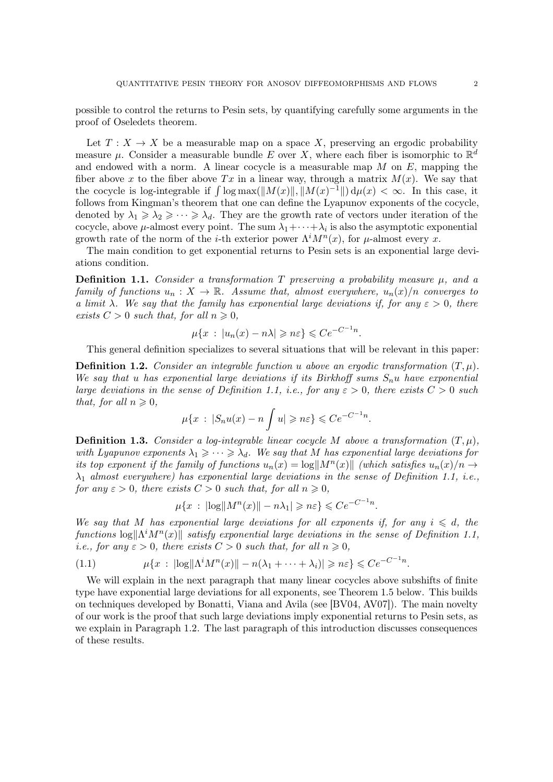<span id="page-1-3"></span>possible to control the returns to Pesin sets, by quantifying carefully some arguments in the proof of Oseledets theorem.

Let  $T: X \to X$  be a measurable map on a space X, preserving an ergodic probability measure  $\mu$ . Consider a measurable bundle E over X, where each fiber is isomorphic to  $\mathbb{R}^d$ and endowed with a norm. A linear cocycle is a measurable map  $M$  on  $E$ , mapping the fiber above x to the fiber above  $Tx$  in a linear way, through a matrix  $M(x)$ . We say that the cocycle is log-integrable if  $\int \log \max(||M(x)||, ||M(x)^{-1}||) d\mu(x) < \infty$ . In this case, it follows from Kingman's theorem that one can define the Lyapunov exponents of the cocycle, denoted by  $\lambda_1 \geq \lambda_2 \geq \cdots \geq \lambda_d$ . They are the growth rate of vectors under iteration of the cocycle, above  $\mu$ -almost every point. The sum  $\lambda_1 + \cdots + \lambda_i$  is also the asymptotic exponential growth rate of the norm of the *i*-th exterior power  $\Lambda^i M^n(x)$ , for  $\mu$ -almost every x.

The main condition to get exponential returns to Pesin sets is an exponential large deviations condition.

<span id="page-1-0"></span>**Definition 1.1.** Consider a transformation T preserving a probability measure  $\mu$ , and a family of functions  $u_n : X \to \mathbb{R}$ . Assume that, almost everywhere,  $u_n(x)/n$  converges to a limit  $\lambda$ . We say that the family has exponential large deviations if, for any  $\varepsilon > 0$ , there exists  $C > 0$  such that, for all  $n \geq 0$ ,

$$
\mu\{x \,:\, |u_n(x)-n\lambda| \geqslant n\varepsilon\} \leqslant Ce^{-C^{-1}n}.
$$

This general definition specializes to several situations that will be relevant in this paper:

**Definition 1.2.** Consider an integrable function u above an ergodic transformation  $(T, \mu)$ . We say that u has exponential large deviations if its Birkhoff sums  $S_n u$  have exponential large deviations in the sense of Definition [1.1,](#page-1-0) i.e., for any  $\varepsilon > 0$ , there exists  $C > 0$  such that, for all  $n \geq 0$ ,

$$
\mu\{x\,:\,|S_n u(x)-n\int u|\geqslant n\varepsilon\}\leqslant Ce^{-C^{-1}n}.
$$

<span id="page-1-1"></span>**Definition 1.3.** Consider a log-integrable linear cocycle M above a transformation  $(T, \mu)$ , with Lyapunov exponents  $\lambda_1 \geqslant \cdots \geqslant \lambda_d$ . We say that M has exponential large deviations for its top exponent if the family of functions  $u_n(x) = \log||M^n(x)||$  (which satisfies  $u_n(x)/n \to$  $\lambda_1$  almost everywhere) has exponential large deviations in the sense of Definition [1.1,](#page-1-0) i.e., for any  $\varepsilon > 0$ , there exists  $C > 0$  such that, for all  $n \geq 0$ ,

$$
\mu\{x : \left|\log\|M^n(x)\right| - n\lambda_1\right| \geqslant n\varepsilon\} \leqslant Ce^{-C^{-1}n}.
$$

We say that M has exponential large deviations for all exponents if, for any  $i \leq d$ , the functions  $\log \|\Lambda^i M^n(x)\|$  satisfy exponential large deviations in the sense of Definition [1.1,](#page-1-0) *i.e.*, for any  $\varepsilon > 0$ , there exists  $C > 0$  such that, for all  $n \ge 0$ ,

<span id="page-1-2"></span>
$$
(1.1) \quad \mu\{x \,:\, |\!\log \|\Lambda^i M^n(x)\| - n(\lambda_1 + \cdots + \lambda_i)| \geqslant n\varepsilon\} \leqslant Ce^{-C^{-1}n}.
$$

We will explain in the next paragraph that many linear cocycles above subshifts of finite type have exponential large deviations for all exponents, see Theorem [1.5](#page-3-0) below. This builds on techniques developed by Bonatti, Viana and Avila (see [\[BV04,](#page-39-1) [AV07\]](#page-39-2)). The main novelty of our work is the proof that such large deviations imply exponential returns to Pesin sets, as we explain in Paragraph [1.2.](#page-4-0) The last paragraph of this introduction discusses consequences of these results.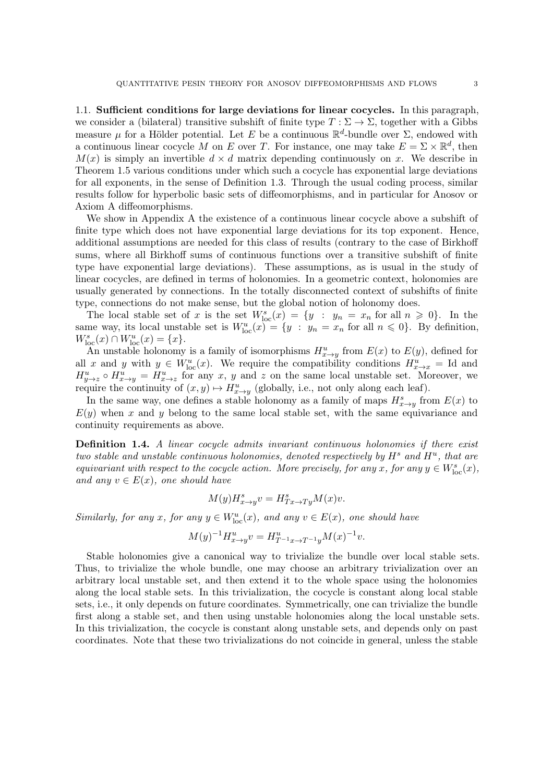1.1. Sufficient conditions for large deviations for linear cocycles. In this paragraph, we consider a (bilateral) transitive subshift of finite type  $T : \Sigma \to \Sigma$ , together with a Gibbs measure  $\mu$  for a Hölder potential. Let E be a continuous  $\mathbb{R}^d$ -bundle over  $\Sigma$ , endowed with a continuous linear cocycle M on E over T. For instance, one may take  $E = \Sigma \times \mathbb{R}^d$ , then  $M(x)$  is simply an invertible  $d \times d$  matrix depending continuously on x. We describe in Theorem [1.5](#page-3-0) various conditions under which such a cocycle has exponential large deviations for all exponents, in the sense of Definition [1.3.](#page-1-1) Through the usual coding process, similar results follow for hyperbolic basic sets of diffeomorphisms, and in particular for Anosov or Axiom A diffeomorphisms.

We show in [A](#page-34-0)ppendix A the existence of a continuous linear cocycle above a subshift of finite type which does not have exponential large deviations for its top exponent. Hence, additional assumptions are needed for this class of results (contrary to the case of Birkhoff sums, where all Birkhoff sums of continuous functions over a transitive subshift of finite type have exponential large deviations). These assumptions, as is usual in the study of linear cocycles, are defined in terms of holonomies. In a geometric context, holonomies are usually generated by connections. In the totally disconnected context of subshifts of finite type, connections do not make sense, but the global notion of holonomy does.

The local stable set of x is the set  $W^s_{loc}(x) = \{y : y_n = x_n \text{ for all } n \geq 0\}$ . In the same way, its local unstable set is  $W^u_{loc}(x) = \{y : y_n = x_n \text{ for all } n \leq 0\}$ . By definition,  $W_{\text{loc}}^{s}(x) \cap W_{\text{loc}}^{u}(x) = \{x\}.$ 

An unstable holonomy is a family of isomorphisms  $H_{x\to y}^u$  from  $E(x)$  to  $E(y)$ , defined for all x and y with  $y \in W^u_{loc}(x)$ . We require the compatibility conditions  $H^u_{x\to x} =$  Id and  $H_{y\to z}^u \circ H_{x\to y}^u = H_{x\to z}^u$  for any x, y and z on the same local unstable set. Moreover, we require the continuity of  $(x, y) \mapsto H_{x \to y}^u$  (globally, i.e., not only along each leaf).

In the same way, one defines a stable holonomy as a family of maps  $H_{x \to y}^s$  from  $E(x)$  to  $E(y)$  when x and y belong to the same local stable set, with the same equivariance and continuity requirements as above.

Definition 1.4. A linear cocycle admits invariant continuous holonomies if there exist two stable and unstable continuous holonomies, denoted respectively by  $H^s$  and  $H^u$ , that are equivariant with respect to the cocycle action. More precisely, for any x, for any  $y \in W_{\text{loc}}^s(x)$ , and any  $v \in E(x)$ , one should have

$$
M(y)H^s_{x \to y}v = H^s_{Tx \to Ty}M(x)v.
$$

Similarly, for any  $x$ , for any  $y \in W^u_{loc}(x)$ , and any  $v \in E(x)$ , one should have

$$
M(y)^{-1}H^{u}_{x \to y}v = H^{u}_{T^{-1}x \to T^{-1}y}M(x)^{-1}v.
$$

Stable holonomies give a canonical way to trivialize the bundle over local stable sets. Thus, to trivialize the whole bundle, one may choose an arbitrary trivialization over an arbitrary local unstable set, and then extend it to the whole space using the holonomies along the local stable sets. In this trivialization, the cocycle is constant along local stable sets, i.e., it only depends on future coordinates. Symmetrically, one can trivialize the bundle first along a stable set, and then using unstable holonomies along the local unstable sets. In this trivialization, the cocycle is constant along unstable sets, and depends only on past coordinates. Note that these two trivializations do not coincide in general, unless the stable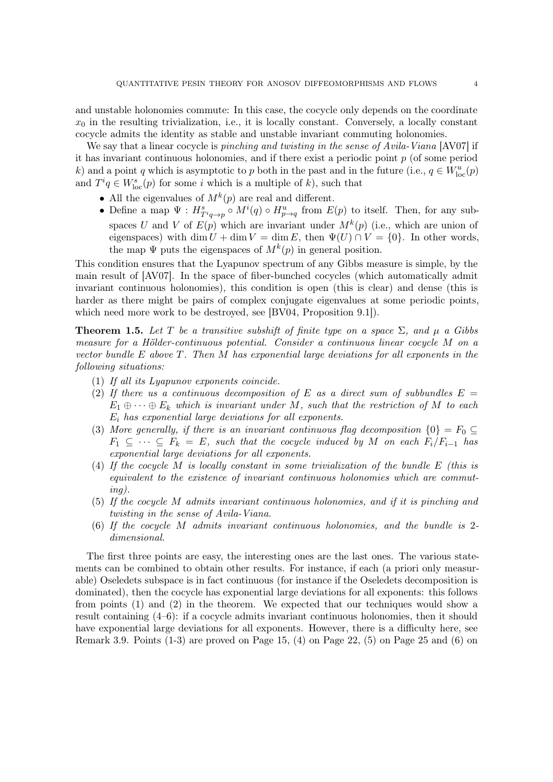<span id="page-3-1"></span>and unstable holonomies commute: In this case, the cocycle only depends on the coordinate  $x_0$  in the resulting trivialization, i.e., it is locally constant. Conversely, a locally constant cocycle admits the identity as stable and unstable invariant commuting holonomies.

We say that a linear cocycle is *pinching and twisting in the sense of Avila-Viana* [\[AV07\]](#page-39-2) if it has invariant continuous holonomies, and if there exist a periodic point  $p$  (of some period k) and a point q which is asymptotic to p both in the past and in the future (i.e.,  $q \in W^u_{loc}(p)$ and  $T^i q \in W^s_{\text{loc}}(p)$  for some i which is a multiple of k), such that

- All the eigenvalues of  $M^k(p)$  are real and different.
- Define a map  $\Psi: H^s_{T^iq \to p} \circ M^i(q) \circ H^u_{p \to q}$  from  $E(p)$  to itself. Then, for any subspaces U and V of  $E(p)$  which are invariant under  $M^k(p)$  (i.e., which are union of eigenspaces) with dim  $U + \dim V = \dim E$ , then  $\Psi(U) \cap V = \{0\}$ . In other words, the map  $\Psi$  puts the eigenspaces of  $M^k(p)$  in general position.

This condition ensures that the Lyapunov spectrum of any Gibbs measure is simple, by the main result of [\[AV07\]](#page-39-2). In the space of fiber-bunched cocycles (which automatically admit invariant continuous holonomies), this condition is open (this is clear) and dense (this is harder as there might be pairs of complex conjugate eigenvalues at some periodic points, which need more work to be destroyed, see [\[BV04,](#page-39-1) Proposition 9.1]).

<span id="page-3-0"></span>**Theorem 1.5.** Let T be a transitive subshift of finite type on a space  $\Sigma$ , and  $\mu$  a Gibbs measure for a Hölder-continuous potential. Consider a continuous linear cocycle M on a vector bundle E above T. Then M has exponential large deviations for all exponents in the following situations:

- (1) If all its Lyapunov exponents coincide.
- (2) If there us a continuous decomposition of E as a direct sum of subbundles  $E =$  $E_1 \oplus \cdots \oplus E_k$  which is invariant under M, such that the restriction of M to each  $E_i$  has exponential large deviations for all exponents.
- (3) More generally, if there is an invariant continuous flag decomposition  $\{0\} = F_0 \subseteq$  $F_1 \subseteq \cdots \subseteq F_k = E$ , such that the cocycle induced by M on each  $F_i/F_{i-1}$  has exponential large deviations for all exponents.
- (4) If the cocycle M is locally constant in some trivialization of the bundle E (this is equivalent to the existence of invariant continuous holonomies which are commuting).
- (5) If the cocycle M admits invariant continuous holonomies, and if it is pinching and twisting in the sense of Avila-Viana.
- (6) If the cocycle M admits invariant continuous holonomies, and the bundle is 2 dimensional.

The first three points are easy, the interesting ones are the last ones. The various statements can be combined to obtain other results. For instance, if each (a priori only measurable) Oseledets subspace is in fact continuous (for instance if the Oseledets decomposition is dominated), then the cocycle has exponential large deviations for all exponents: this follows from points (1) and (2) in the theorem. We expected that our techniques would show a result containing (4–6): if a cocycle admits invariant continuous holonomies, then it should have exponential large deviations for all exponents. However, there is a difficulty here, see Remark [3.9.](#page-18-0) Points  $(1-3)$  are proved on Page [15,](#page-13-0)  $(4)$  on Page [22,](#page-20-0)  $(5)$  on Page [25](#page-24-0) and  $(6)$  on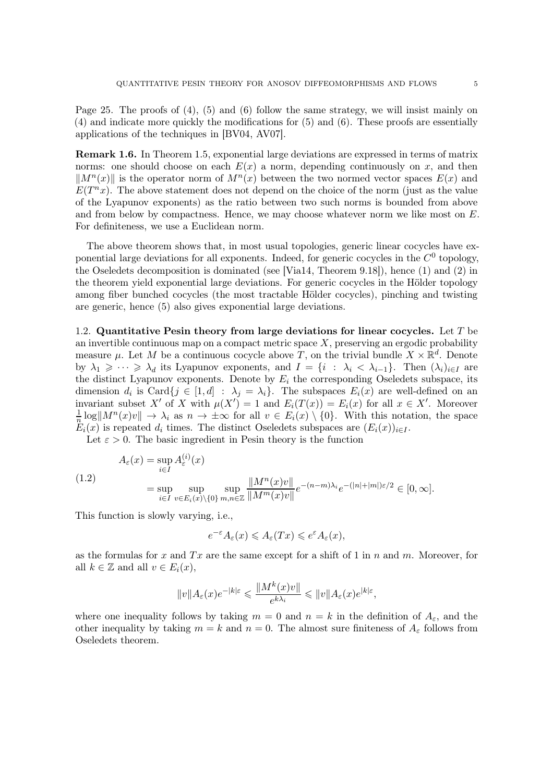<span id="page-4-2"></span>Page [25.](#page-24-1) The proofs of (4), (5) and (6) follow the same strategy, we will insist mainly on (4) and indicate more quickly the modifications for (5) and (6). These proofs are essentially applications of the techniques in [\[BV04,](#page-39-1) [AV07\]](#page-39-2).

Remark 1.6. In Theorem [1.5,](#page-3-0) exponential large deviations are expressed in terms of matrix norms: one should choose on each  $E(x)$  a norm, depending continuously on x, and then  $\|M^n(x)\|$  is the operator norm of  $M^n(x)$  between the two normed vector spaces  $E(x)$  and  $E(T^n x)$ . The above statement does not depend on the choice of the norm (just as the value of the Lyapunov exponents) as the ratio between two such norms is bounded from above and from below by compactness. Hence, we may choose whatever norm we like most on  $E$ . For definiteness, we use a Euclidean norm.

The above theorem shows that, in most usual topologies, generic linear cocycles have exponential large deviations for all exponents. Indeed, for generic cocycles in the  $C^0$  topology, the Oseledets decomposition is dominated (see [\[Via14,](#page-39-3) Theorem 9.18]), hence (1) and (2) in the theorem yield exponential large deviations. For generic cocycles in the Hölder topology among fiber bunched cocycles (the most tractable Hölder cocycles), pinching and twisting are generic, hence (5) also gives exponential large deviations.

<span id="page-4-0"></span>1.2. Quantitative Pesin theory from large deviations for linear cocycles. Let  $T$  be an invertible continuous map on a compact metric space  $X$ , preserving an ergodic probability measure  $\mu$ . Let M be a continuous cocycle above T, on the trivial bundle  $X \times \mathbb{R}^d$ . Denote by  $\lambda_1 \geqslant \cdots \geqslant \lambda_d$  its Lyapunov exponents, and  $I = \{i : \lambda_i < \lambda_{i-1}\}\$ . Then  $(\lambda_i)_{i \in I}$  are the distinct Lyapunov exponents. Denote by  $E_i$  the corresponding Oseledets subspace, its dimension  $d_i$  is Card $\{j \in [1, d] : \lambda_j = \lambda_i\}$ . The subspaces  $E_i(x)$  are well-defined on an invariant subset X' of X with  $\mu(X') = 1$  and  $E_i(T(x)) = E_i(x)$  for all  $x \in X'$ . Moreover 1  $\frac{1}{n} \log ||M^n(x)v|| \to \lambda_i$  as  $n \to \pm \infty$  for all  $v \in E_i(x) \setminus \{0\}$ . With this notation, the space  $E_i(x)$  is repeated  $d_i$  times. The distinct Oseledets subspaces are  $(E_i(x))_{i\in I}$ .

Let  $\varepsilon > 0$ . The basic ingredient in Pesin theory is the function

<span id="page-4-1"></span>(1.2)  
\n
$$
A_{\varepsilon}(x) = \sup_{i \in I} A_{\varepsilon}^{(i)}(x)
$$
\n
$$
= \sup_{i \in I} \sup_{v \in E_i(x) \setminus \{0\}} \sup_{m,n \in \mathbb{Z}} \frac{\|M^n(x)v\|}{\|M^m(x)v\|} e^{-(n-m)\lambda_i} e^{-(|n|+|m|)\varepsilon/2} \in [0, \infty].
$$

This function is slowly varying, i.e.,

$$
e^{-\varepsilon}A_{\varepsilon}(x)\leqslant A_{\varepsilon}(Tx)\leqslant e^{\varepsilon}A_{\varepsilon}(x),
$$

as the formulas for x and  $Tx$  are the same except for a shift of 1 in n and m. Moreover, for all  $k \in \mathbb{Z}$  and all  $v \in E_i(x)$ ,

$$
||v||A_{\varepsilon}(x)e^{-|k|\varepsilon} \leq \frac{||M^k(x)v||}{e^{k\lambda_i}} \leq ||v||A_{\varepsilon}(x)e^{|k|\varepsilon},
$$

where one inequality follows by taking  $m = 0$  and  $n = k$  in the definition of  $A_{\epsilon}$ , and the other inequality by taking  $m = k$  and  $n = 0$ . The almost sure finiteness of  $A_{\varepsilon}$  follows from Oseledets theorem.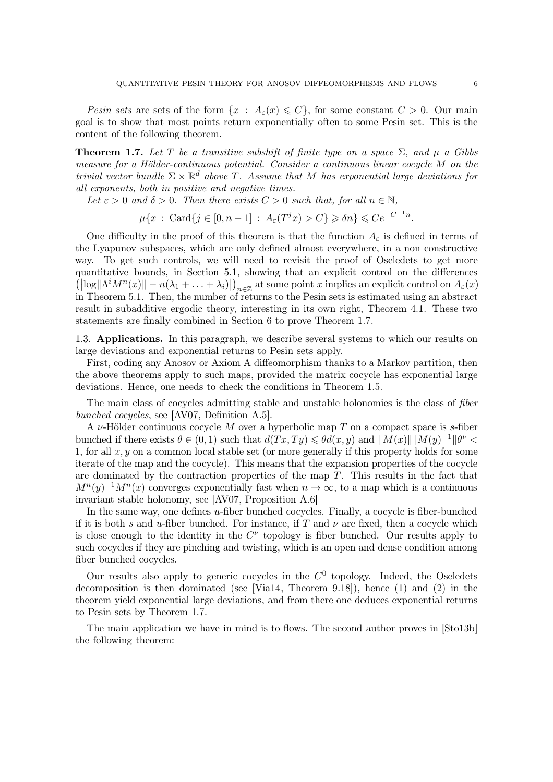<span id="page-5-1"></span>Pesin sets are sets of the form  $\{x : A_{\varepsilon}(x) \leq C\}$ , for some constant  $C > 0$ . Our main goal is to show that most points return exponentially often to some Pesin set. This is the content of the following theorem.

<span id="page-5-0"></span>**Theorem 1.7.** Let T be a transitive subshift of finite type on a space  $\Sigma$ , and  $\mu$  a Gibbs measure for a Hölder-continuous potential. Consider a continuous linear cocycle M on the trivial vector bundle  $\Sigma \times \mathbb{R}^d$  above T. Assume that M has exponential large deviations for all exponents, both in positive and negative times.

Let  $\varepsilon > 0$  and  $\delta > 0$ . Then there exists  $C > 0$  such that, for all  $n \in \mathbb{N}$ ,

$$
\mu\{x \,:\, \mathrm{Card}\{j\in[0,n-1]\,:\, A_{\varepsilon}(T^jx)>C\}\geqslant \delta n\}\leqslant Ce^{-C^{-1}n}.
$$

One difficulty in the proof of this theorem is that the function  $A_{\varepsilon}$  is defined in terms of the Lyapunov subspaces, which are only defined almost everywhere, in a non constructive way. To get such controls, we will need to revisit the proof of Oseledets to get more quantitative bounds, in Section [5.1,](#page-28-0) showing that an explicit control on the differences  $\left(\left|\log\left|\Lambda^i M^n(x)\right|\right|-n(\lambda_1+\ldots+\lambda_i)\right|_{n\in\mathbb{Z}}$  at some point x implies an explicit control on  $A_\varepsilon(x)$ in Theorem [5.1.](#page-28-0) Then, the number of returns to the Pesin sets is estimated using an abstract result in subadditive ergodic theory, interesting in its own right, Theorem [4.1.](#page-25-0) These two statements are finally combined in Section [6](#page-33-0) to prove Theorem [1.7.](#page-5-0)

1.3. Applications. In this paragraph, we describe several systems to which our results on large deviations and exponential returns to Pesin sets apply.

First, coding any Anosov or Axiom A diffeomorphism thanks to a Markov partition, then the above theorems apply to such maps, provided the matrix cocycle has exponential large deviations. Hence, one needs to check the conditions in Theorem [1.5.](#page-3-0)

The main class of cocycles admitting stable and unstable holonomies is the class of *fiber* bunched cocycles, see [\[AV07,](#page-39-2) Definition A.5].

A  $\nu$ -Hölder continuous cocycle M over a hyperbolic map T on a compact space is s-fiber bunched if there exists  $\theta \in (0, 1)$  such that  $d(Tx, Ty) \leq \theta d(x, y)$  and  $||M(x)|| ||M(y)^{-1}||\theta^{\nu} <$ 1, for all  $x, y$  on a common local stable set (or more generally if this property holds for some iterate of the map and the cocycle). This means that the expansion properties of the cocycle are dominated by the contraction properties of the map  $T$ . This results in the fact that  $M^{n}(y)^{-1}M^{n}(x)$  converges exponentially fast when  $n \to \infty$ , to a map which is a continuous invariant stable holonomy, see [\[AV07,](#page-39-2) Proposition A.6]

In the same way, one defines u-fiber bunched cocycles. Finally, a cocycle is fiber-bunched if it is both s and u-fiber bunched. For instance, if T and  $\nu$  are fixed, then a cocycle which is close enough to the identity in the  $C^{\nu}$  topology is fiber bunched. Our results apply to such cocycles if they are pinching and twisting, which is an open and dense condition among fiber bunched cocycles.

Our results also apply to generic cocycles in the  $C^0$  topology. Indeed, the Oseledets decomposition is then dominated (see [\[Via14,](#page-39-3) Theorem 9.18]), hence (1) and (2) in the theorem yield exponential large deviations, and from there one deduces exponential returns to Pesin sets by Theorem [1.7.](#page-5-0)

The main application we have in mind is to flows. The second author proves in  $[Sto13b]$ the following theorem: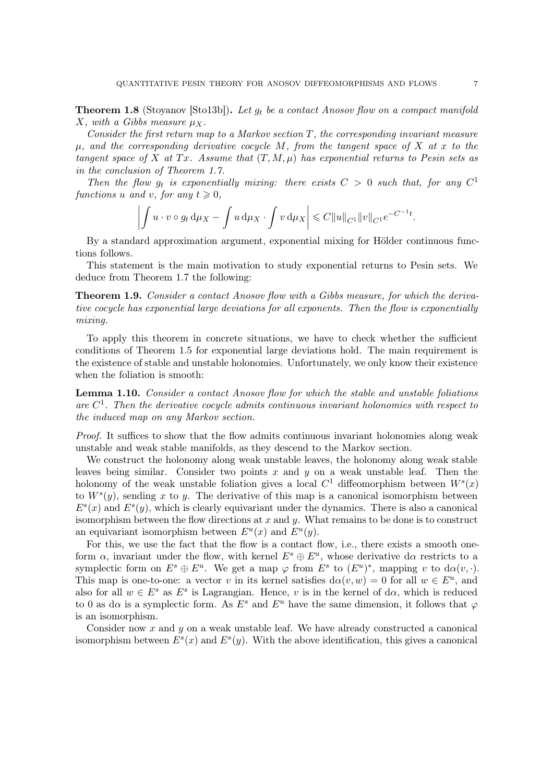<span id="page-6-2"></span><span id="page-6-0"></span>**Theorem 1.8** (Stoyanov [\[Sto13b\]](#page-39-0)). Let  $g_t$  be a contact Anosov flow on a compact manifold X, with a Gibbs measure  $\mu_X$ .

Consider the first return map to a Markov section  $T$ , the corresponding invariant measure  $\mu$ , and the corresponding derivative cocycle M, from the tangent space of X at x to the tangent space of X at Tx. Assume that  $(T, M, \mu)$  has exponential returns to Pesin sets as in the conclusion of Theorem [1.7.](#page-5-0)

Then the flow  $g_t$  is exponentially mixing: there exists  $C > 0$  such that, for any  $C^1$ functions u and v, for any  $t \geqslant 0$ ,

$$
\left| \int u \cdot v \circ g_t \, \mathrm{d} \mu_X - \int u \, \mathrm{d} \mu_X \cdot \int v \, \mathrm{d} \mu_X \right| \leqslant C \|u\|_{C^1} \|v\|_{C^1} e^{-C^{-1}t}.
$$

By a standard approximation argument, exponential mixing for Hölder continuous functions follows.

This statement is the main motivation to study exponential returns to Pesin sets. We deduce from Theorem [1.7](#page-5-0) the following:

<span id="page-6-1"></span>**Theorem 1.9.** Consider a contact Anosov flow with a Gibbs measure, for which the derivative cocycle has exponential large deviations for all exponents. Then the flow is exponentially mixing.

To apply this theorem in concrete situations, we have to check whether the sufficient conditions of Theorem [1.5](#page-3-0) for exponential large deviations hold. The main requirement is the existence of stable and unstable holonomies. Unfortunately, we only know their existence when the foliation is smooth:

Lemma 1.10. Consider a contact Anosov flow for which the stable and unstable foliations are  $C^1$ . Then the derivative cocycle admits continuous invariant holonomies with respect to the induced map on any Markov section.

Proof. It suffices to show that the flow admits continuous invariant holonomies along weak unstable and weak stable manifolds, as they descend to the Markov section.

We construct the holonomy along weak unstable leaves, the holonomy along weak stable leaves being similar. Consider two points  $x$  and  $y$  on a weak unstable leaf. Then the holonomy of the weak unstable foliation gives a local  $C^1$  diffeomorphism between  $W^s(x)$ to  $W^s(y)$ , sending x to y. The derivative of this map is a canonical isomorphism between  $E^{s}(x)$  and  $E^{s}(y)$ , which is clearly equivariant under the dynamics. There is also a canonical isomorphism between the flow directions at  $x$  and  $y$ . What remains to be done is to construct an equivariant isomorphism between  $E^u(x)$  and  $E^u(y)$ .

For this, we use the fact that the flow is a contact flow, i.e., there exists a smooth oneform  $\alpha$ , invariant under the flow, with kernel  $E^s \oplus E^u$ , whose derivative d $\alpha$  restricts to a symplectic form on  $E^s \oplus E^u$ . We get a map  $\varphi$  from  $E^s$  to  $(E^u)^*$ , mapping v to  $d\alpha(v, \cdot)$ . This map is one-to-one: a vector v in its kernel satisfies  $d\alpha(v, w) = 0$  for all  $w \in E^u$ , and also for all  $w \in E^s$  as  $E^s$  is Lagrangian. Hence, v is in the kernel of d $\alpha$ , which is reduced to 0 as d $\alpha$  is a symplectic form. As  $E^s$  and  $E^u$  have the same dimension, it follows that  $\varphi$ is an isomorphism.

Consider now x and  $y$  on a weak unstable leaf. We have already constructed a canonical isomorphism between  $E^s(x)$  and  $E^s(y)$ . With the above identification, this gives a canonical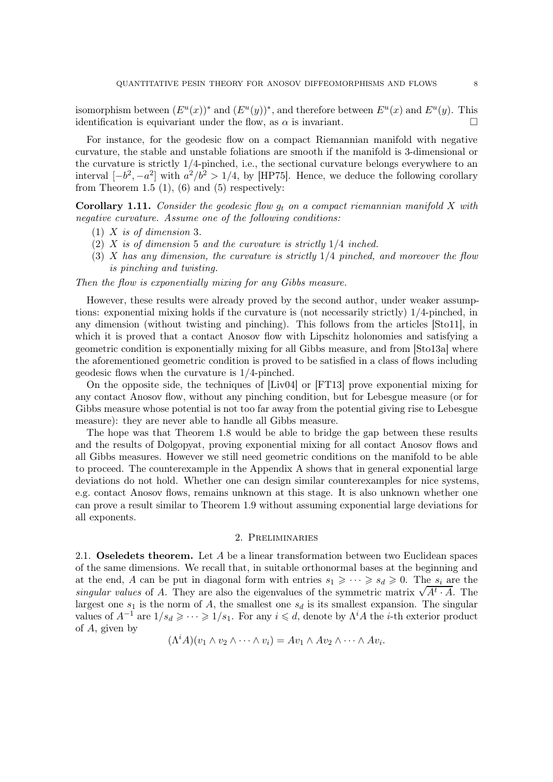<span id="page-7-0"></span>isomorphism between  $(E^u(x))^*$  and  $(E^u(y))^*$ , and therefore between  $E^u(x)$  and  $E^u(y)$ . This identification is equivariant under the flow, as  $\alpha$  is invariant.

For instance, for the geodesic flow on a compact Riemannian manifold with negative curvature, the stable and unstable foliations are smooth if the manifold is 3-dimensional or the curvature is strictly 1/4-pinched, i.e., the sectional curvature belongs everywhere to an interval  $[-b^2, -a^2]$  with  $a^2/b^2 > 1/4$ , by [\[HP75\]](#page-39-4). Hence, we deduce the following corollary from Theorem [1.5](#page-3-0)  $(1)$ ,  $(6)$  and  $(5)$  respectively:

**Corollary 1.11.** Consider the geodesic flow  $g_t$  on a compact riemannian manifold X with negative curvature. Assume one of the following conditions:

- (1)  $X$  is of dimension 3.
- $(2)$  X is of dimension 5 and the curvature is strictly  $1/4$  inched.
- $(3)$  X has any dimension, the curvature is strictly  $1/4$  pinched, and moreover the flow is pinching and twisting.

Then the flow is exponentially mixing for any Gibbs measure.

However, these results were already proved by the second author, under weaker assumptions: exponential mixing holds if the curvature is (not necessarily strictly) 1/4-pinched, in any dimension (without twisting and pinching). This follows from the articles [\[Sto11\]](#page-39-5), in which it is proved that a contact Anosov flow with Lipschitz holonomies and satisfying a geometric condition is exponentially mixing for all Gibbs measure, and from [\[Sto13a\]](#page-39-6) where the aforementioned geometric condition is proved to be satisfied in a class of flows including geodesic flows when the curvature is 1/4-pinched.

On the opposite side, the techniques of [\[Liv04\]](#page-39-7) or [\[FT13\]](#page-39-8) prove exponential mixing for any contact Anosov flow, without any pinching condition, but for Lebesgue measure (or for Gibbs measure whose potential is not too far away from the potential giving rise to Lebesgue measure): they are never able to handle all Gibbs measure.

The hope was that Theorem [1.8](#page-6-0) would be able to bridge the gap between these results and the results of Dolgopyat, proving exponential mixing for all contact Anosov flows and all Gibbs measures. However we still need geometric conditions on the manifold to be able to proceed. The counterexample in the Appendix [A](#page-34-0) shows that in general exponential large deviations do not hold. Whether one can design similar counterexamples for nice systems, e.g. contact Anosov flows, remains unknown at this stage. It is also unknown whether one can prove a result similar to Theorem [1.9](#page-6-1) without assuming exponential large deviations for all exponents.

## 2. Preliminaries

2.1. Oseledets theorem. Let  $A$  be a linear transformation between two Euclidean spaces of the same dimensions. We recall that, in suitable orthonormal bases at the beginning and at the end, A can be put in diagonal form with entries  $s_1 \geqslant \cdots \geqslant s_d \geqslant 0$ . The  $s_i$  are the singular values of A. They are also the eigenvalues of the symmetric matrix  $\sqrt{A^t \cdot A}$ . The largest one  $s_1$  is the norm of A, the smallest one  $s_d$  is its smallest expansion. The singular values of  $A^{-1}$  are  $1/s_d \geqslant \cdots \geqslant 1/s_1$ . For any  $i \leqslant d$ , denote by  $\Lambda^i A$  the *i*-th exterior product of A, given by

$$
(\Lambda^i A)(v_1 \wedge v_2 \wedge \cdots \wedge v_i) = Av_1 \wedge Av_2 \wedge \cdots \wedge Av_i.
$$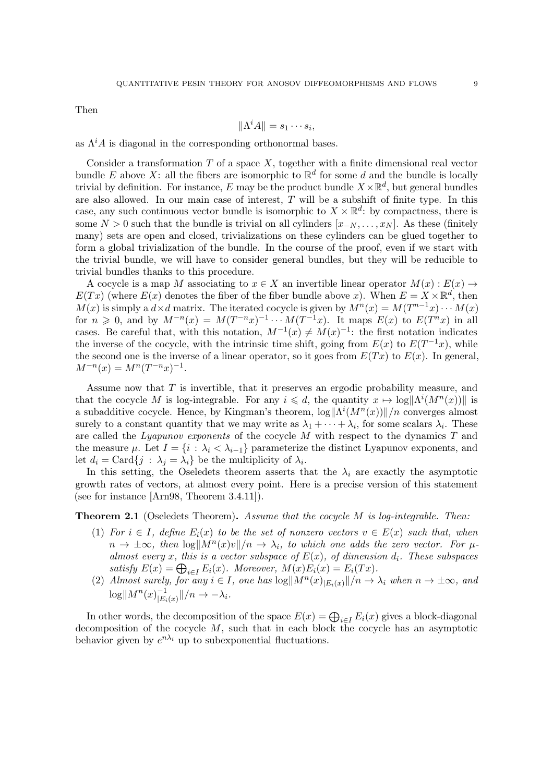<span id="page-8-0"></span>Then

$$
\|\Lambda^i A\| = s_1 \cdots s_i,
$$

as  $\Lambda^i A$  is diagonal in the corresponding orthonormal bases.

Consider a transformation  $T$  of a space  $X$ , together with a finite dimensional real vector bundle E above X: all the fibers are isomorphic to  $\mathbb{R}^d$  for some d and the bundle is locally trivial by definition. For instance, E may be the product bundle  $X \times \mathbb{R}^d$ , but general bundles are also allowed. In our main case of interest, T will be a subshift of finite type. In this case, any such continuous vector bundle is isomorphic to  $X \times \mathbb{R}^d$ : by compactness, there is some  $N > 0$  such that the bundle is trivial on all cylinders  $[x_{-N}, \ldots, x_N]$ . As these (finitely many) sets are open and closed, trivializations on these cylinders can be glued together to form a global trivialization of the bundle. In the course of the proof, even if we start with the trivial bundle, we will have to consider general bundles, but they will be reducible to trivial bundles thanks to this procedure.

A cocycle is a map M associating to  $x \in X$  an invertible linear operator  $M(x) : E(x) \to$  $E(Tx)$  (where  $E(x)$  denotes the fiber of the fiber bundle above x). When  $E = X \times \mathbb{R}^d$ , then  $M(x)$  is simply a  $d \times d$  matrix. The iterated cocycle is given by  $M^n(x) = M(T^{n-1}x) \cdots M(x)$ for  $n \geq 0$ , and by  $M^{-n}(x) = M(T^{-n}x)^{-1} \cdots M(T^{-1}x)$ . It maps  $E(x)$  to  $E(T^{n}x)$  in all cases. Be careful that, with this notation,  $M^{-1}(x) \neq M(x)^{-1}$ : the first notation indicates the inverse of the cocycle, with the intrinsic time shift, going from  $E(x)$  to  $E(T^{-1}x)$ , while the second one is the inverse of a linear operator, so it goes from  $E(Tx)$  to  $E(x)$ . In general,  $M^{-n}(x) = M^{n}(T^{-n}x)^{-1}.$ 

Assume now that T is invertible, that it preserves an ergodic probability measure, and that the cocycle M is log-integrable. For any  $i \leq d$ , the quantity  $x \mapsto \log \|\Lambda^i(M^n(x))\|$  is a subadditive cocycle. Hence, by Kingman's theorem,  $\log ||\Lambda^i(M^n(x))||/n$  converges almost surely to a constant quantity that we may write as  $\lambda_1 + \cdots + \lambda_i$ , for some scalars  $\lambda_i$ . These are called the Lyapunov exponents of the cocycle  $M$  with respect to the dynamics  $T$  and the measure  $\mu$ . Let  $I = \{i : \lambda_i < \lambda_{i-1}\}\$  parameterize the distinct Lyapunov exponents, and let  $d_i = \text{Card}\{j : \lambda_j = \lambda_i\}$  be the multiplicity of  $\lambda_i$ .

In this setting, the Oseledets theorem asserts that the  $\lambda_i$  are exactly the asymptotic growth rates of vectors, at almost every point. Here is a precise version of this statement (see for instance [\[Arn98,](#page-39-9) Theorem 3.4.11]).

## **Theorem 2.1** (Oseledets Theorem). Assume that the cocycle  $M$  is log-integrable. Then:

- (1) For  $i \in I$ , define  $E_i(x)$  to be the set of nonzero vectors  $v \in E(x)$  such that, when  $n \to \pm \infty$ , then  $\log \Vert M^n(x)v \Vert /n \to \lambda_i$ , to which one adds the zero vector. For  $\mu$ almost every x, this is a vector subspace of  $E(x)$ , of dimension  $d_i$ . These subspaces satisfy  $E(x) = \bigoplus_{i \in I} E_i(x)$ . Moreover,  $M(x)E_i(x) = E_i(Tx)$ .
- (2) Almost surely, for any  $i \in I$ , one has  $\log \Vert M^n(x)_{E_i(x)} \Vert /n \to \lambda_i$  when  $n \to \pm \infty$ , and  $\log ||M^{n}(x)|_{E_{i}}^{-1}$  $\frac{-1}{|E_i(x)}||/n \to -\lambda_i$ .

In other words, the decomposition of the space  $E(x) = \bigoplus_{i \in I} E_i(x)$  gives a block-diagonal decomposition of the cocycle  $M$ , such that in each block the cocycle has an asymptotic behavior given by  $e^{n\lambda_i}$  up to subexponential fluctuations.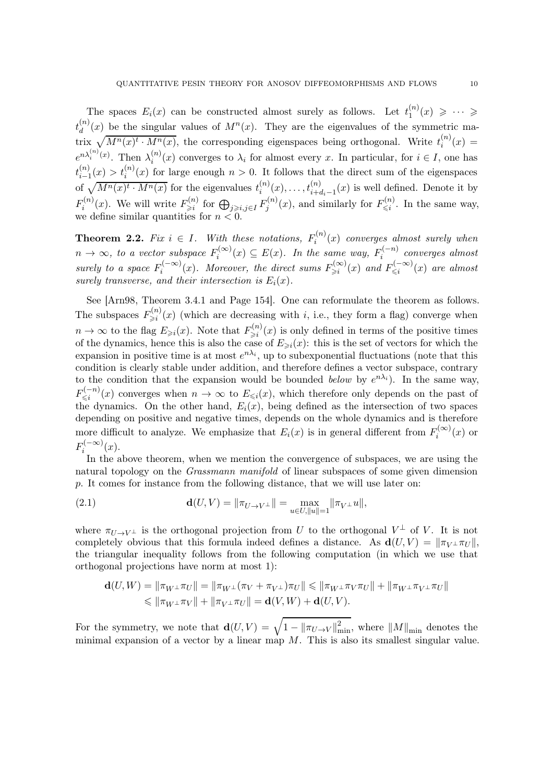<span id="page-9-2"></span>The spaces  $E_i(x)$  can be constructed almost surely as follows. Let  $t_1^{(n)}$  $1^{(n)}(x) \geqslant \cdots \geqslant$  $t_d^{(n)}$  $\binom{n}{d}(x)$  be the singular values of  $M^n(x)$ . They are the eigenvalues of the symmetric matrix  $\sqrt{M^n(x)^t \cdot M^n(x)}$ , the corresponding eigenspaces being orthogonal. Write  $t_i^{(n)}$  $i^{(n)}(x) =$  $e^{n\lambda_i^{(n)}(x)}$ . Then  $\lambda_i^{(n)}(x)$  converges to  $\lambda_i$  for almost every x. In particular, for  $i \in I$ , one has i  $t_{i-1}^{(n)}$  $\binom{n}{i-1}(x) > t_i^{(n)}(x)$  for large enough  $n > 0$ . It follows that the direct sum of the eigenspaces of  $\sqrt{M^n(x)^t \cdot M^n(x)}$  for the eigenvalues  $t_i^{(n)}$  $i^{(n)}(x), \ldots, t^{(n)}_{i+d_i-1}(x)$  is well defined. Denote it by  $F_i^{(n)}$  $F_i^{(n)}(x)$ . We will write  $F_{\geq i}^{(n)}$  $\;\;\;\;\lim_{\geqslant i}\;\;\text{for}\; \bigoplus_{j\geqslant i,j\in I}F_j^{(n)}$  $f_j^{(n)}(x)$ , and similarly for  $F_{\leq i}^{(n)}$  $\zeta_i^{(n)}$ . In the same way, we define similar quantities for  $n < 0$ .

<span id="page-9-0"></span>**Theorem 2.2.** Fix  $i \in I$ . With these notations,  $F_i^{(n)}$  $i^{(n)}(x)$  converges almost surely when  $n \to \infty$ , to a vector subspace  $F_i^{(\infty)}$  $f_i^{(\infty)}(x) \subseteq E(x)$ . In the same way,  $F_i^{(-n)}$  $\sum_{i}^{(n)}$  converges almost surely to a space  $F_i^{(-\infty)}$  $\hat{H}_i^{(-\infty)}(x)$ . Moreover, the direct sums  $F_{\geq i}^{(\infty)}$  $\sum_{i=1}^{\infty} (x)$  and  $F_{\leq i}^{(-\infty)}$  $\mathbb{R}^{(-\infty)}_{\leq i}(x)$  are almost surely transverse, and their intersection is  $E_i(x)$ .

See [\[Arn98,](#page-39-9) Theorem 3.4.1 and Page 154]. One can reformulate the theorem as follows. The subspaces  $F_{\geq i}^{(n)}$  $\sum_{i=1}^{(n)} (x)$  (which are decreasing with *i*, i.e., they form a flag) converge when  $n \to \infty$  to the flag  $E_{\geq i}(x)$ . Note that  $F_{\geq i}^{(n)}$  $\sum_{i=1}^{(n)} (x)$  is only defined in terms of the positive times of the dynamics, hence this is also the case of  $E_{\geq i}(x)$ : this is the set of vectors for which the expansion in positive time is at most  $e^{n\lambda_i}$ , up to subexponential fluctuations (note that this condition is clearly stable under addition, and therefore defines a vector subspace, contrary to the condition that the expansion would be bounded *below* by  $e^{n\lambda_i}$ ). In the same way,  $F_{\leq i}^{(-n)}$  $\mathbb{K}^{(n)}_{\leq i}(x)$  converges when  $n \to \infty$  to  $E_{\leq i}(x)$ , which therefore only depends on the past of the dynamics. On the other hand,  $E_i(x)$ , being defined as the intersection of two spaces depending on positive and negative times, depends on the whole dynamics and is therefore more difficult to analyze. We emphasize that  $E_i(x)$  is in general different from  $F_i^{(\infty)}$  $i^{(\infty)}(x)$  or  $F_i^{(-\infty)}$  $i^{(-\infty)}(x).$ 

In the above theorem, when we mention the convergence of subspaces, we are using the natural topology on the Grassmann manifold of linear subspaces of some given dimension p. It comes for instance from the following distance, that we will use later on:

<span id="page-9-1"></span>(2.1) 
$$
\mathbf{d}(U,V) = \|\pi_{U\to V^{\perp}}\| = \max_{u \in U, ||u|| = 1} \|\pi_{V^{\perp}}u\|,
$$

where  $\pi_{U\to V^{\perp}}$  is the orthogonal projection from U to the orthogonal  $V^{\perp}$  of V. It is not completely obvious that this formula indeed defines a distance. As  $d(U, V) = ||\pi_{V^{\perp}} \pi_U||$ , the triangular inequality follows from the following computation (in which we use that orthogonal projections have norm at most 1):

$$
\begin{aligned} \mathbf{d}(U,W) &= \left\lVert \pi_{W^\perp}\pi_U \right\rVert = \left\lVert \pi_{W^\perp}(\pi_V + \pi_{V^\perp})\pi_U \right\rVert \leqslant \left\lVert \pi_{W^\perp}\pi_V\pi_U \right\rVert + \left\lVert \pi_{W^\perp}\pi_{V^\perp}\pi_U \right\rVert \\ &\leqslant \left\lVert \pi_{W^\perp}\pi_V \right\rVert + \left\lVert \pi_{V^\perp}\pi_U \right\rVert = \mathbf{d}(V,W) + \mathbf{d}(U,V). \end{aligned}
$$

For the symmetry, we note that  $\mathbf{d}(U,V) = \sqrt{1 - ||\pi_{U\rightarrow V}||_{\min}^2}$ , where  $||M||_{\min}$  denotes the minimal expansion of a vector by a linear map  $M$ . This is also its smallest singular value.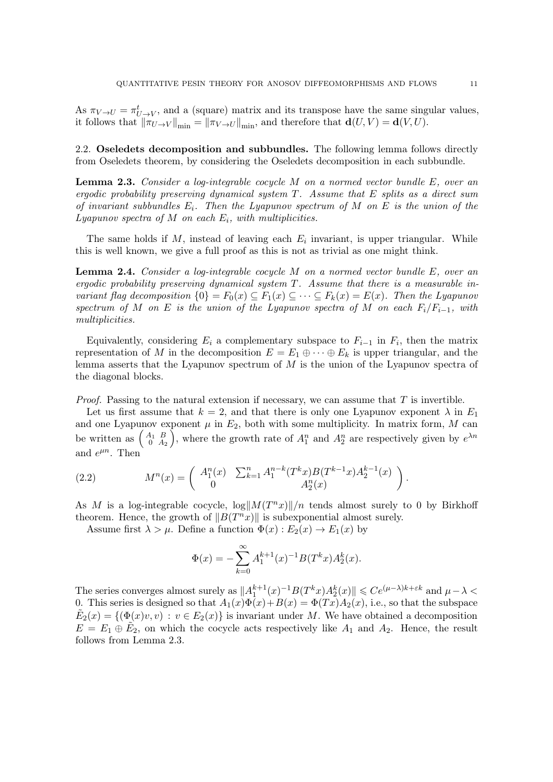As  $\pi_{V\to U} = \pi_{U\to V}^t$ , and a (square) matrix and its transpose have the same singular values, it follows that  $\|\pi_{U\to V}\|_{\min} = \|\pi_{V\to U}\|_{\min}$ , and therefore that  $\mathbf{d}(U, V) = \mathbf{d}(V, U)$ .

2.2. Oseledets decomposition and subbundles. The following lemma follows directly from Oseledets theorem, by considering the Oseledets decomposition in each subbundle.

<span id="page-10-0"></span>**Lemma 2.3.** Consider a log-integrable cocycle  $M$  on a normed vector bundle  $E$ , over an ergodic probability preserving dynamical system T. Assume that E splits as a direct sum of invariant subbundles  $E_i$ . Then the Lyapunov spectrum of M on E is the union of the  $Lyapunov spectra of M on each  $E_i$ , with multiplicities.$ 

The same holds if  $M$ , instead of leaving each  $E_i$  invariant, is upper triangular. While this is well known, we give a full proof as this is not as trivial as one might think.

<span id="page-10-2"></span>**Lemma 2.4.** Consider a log-integrable cocycle  $M$  on a normed vector bundle  $E$ , over an ergodic probability preserving dynamical system  $T$ . Assume that there is a measurable invariant flag decomposition  $\{0\} = F_0(x) \subseteq F_1(x) \subseteq \cdots \subseteq F_k(x) = E(x)$ . Then the Lyapunov spectrum of M on E is the union of the Lyapunov spectra of M on each  $F_i/F_{i-1}$ , with multiplicities.

Equivalently, considering  $E_i$  a complementary subspace to  $F_{i-1}$  in  $F_i$ , then the matrix representation of M in the decomposition  $E = E_1 \oplus \cdots \oplus E_k$  is upper triangular, and the lemma asserts that the Lyapunov spectrum of  $M$  is the union of the Lyapunov spectra of the diagonal blocks.

*Proof.* Passing to the natural extension if necessary, we can assume that  $T$  is invertible.

Let us first assume that  $k = 2$ , and that there is only one Lyapunov exponent  $\lambda$  in  $E_1$ and one Lyapunov exponent  $\mu$  in  $E_2$ , both with some multiplicity. In matrix form, M can be written as  $\begin{pmatrix} A_1 & B \\ 0 & A_1 \end{pmatrix}$  $\begin{pmatrix} A_1 & B \\ 0 & A_2 \end{pmatrix}$ , where the growth rate of  $A_1^n$  and  $A_2^n$  are respectively given by  $e^{\lambda n}$ and  $e^{\mu n}$ . Then

<span id="page-10-1"></span>(2.2) 
$$
M^{n}(x) = \begin{pmatrix} A_{1}^{n}(x) & \sum_{k=1}^{n} A_{1}^{n-k}(T^{k}x)B(T^{k-1}x)A_{2}^{k-1}(x) \\ 0 & A_{2}^{n}(x) \end{pmatrix}.
$$

As M is a log-integrable cocycle,  $\log \frac{||M(T^n x)||}{n}$  tends almost surely to 0 by Birkhoff theorem. Hence, the growth of  $||B(T^n x)||$  is subexponential almost surely.

Assume first  $\lambda > \mu$ . Define a function  $\Phi(x) : E_2(x) \to E_1(x)$  by

$$
\Phi(x) = -\sum_{k=0}^{\infty} A_1^{k+1}(x)^{-1} B(T^k x) A_2^k(x).
$$

The series converges almost surely as  $||A_1^{k+1}(x)^{-1}B(T^kx)A_2^k(x)|| \le Ce^{(\mu-\lambda)k+\varepsilon k}$  and  $\mu-\lambda$ 0. This series is designed so that  $A_1(x)\Phi(x) + B(x) = \Phi(Tx)A_2(x)$ , i.e., so that the subspace  $\tilde{E}_2(x) = \{(\Phi(x)v, v) : v \in E_2(x)\}\$ is invariant under M. We have obtained a decomposition  $E = E_1 \oplus \tilde{E}_2$ , on which the cocycle acts respectively like  $A_1$  and  $A_2$ . Hence, the result follows from Lemma [2.3.](#page-10-0)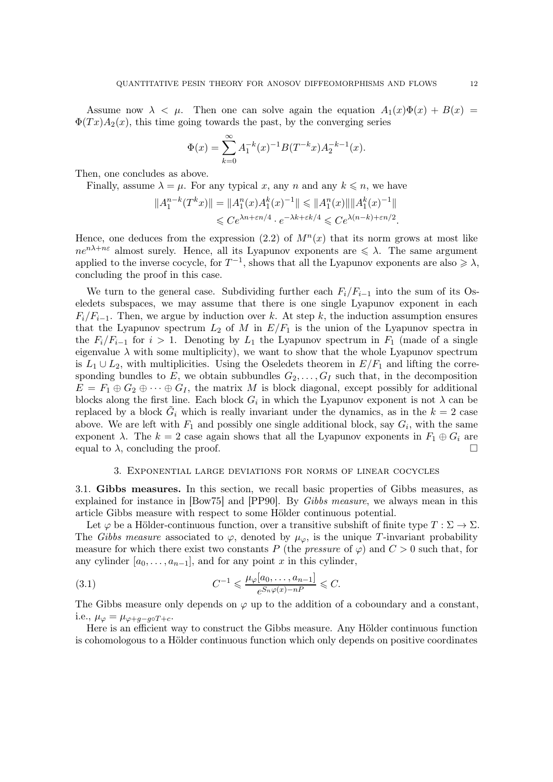<span id="page-11-2"></span>Assume now  $\lambda < \mu$ . Then one can solve again the equation  $A_1(x)\Phi(x) + B(x) =$  $\Phi(Tx)A_2(x)$ , this time going towards the past, by the converging series

$$
\Phi(x) = \sum_{k=0}^{\infty} A_1^{-k}(x)^{-1} B(T^{-k}x) A_2^{-k-1}(x).
$$

Then, one concludes as above.

Finally, assume  $\lambda = \mu$ . For any typical x, any n and any  $k \leq n$ , we have

$$
||A_1^{n-k}(T^kx)|| = ||A_1^n(x)A_1^k(x)^{-1}|| \le ||A_1^n(x)|| ||A_1^k(x)^{-1}||
$$
  

$$
\le C e^{\lambda n + \varepsilon n/4} \cdot e^{-\lambda k + \varepsilon k/4} \le C e^{\lambda (n-k) + \varepsilon n/2}.
$$

Hence, one deduces from the expression  $(2.2)$  of  $M^n(x)$  that its norm grows at most like  $ne^{n\lambda+n\epsilon}$  almost surely. Hence, all its Lyapunov exponents are  $\leq \lambda$ . The same argument applied to the inverse cocycle, for  $T^{-1}$ , shows that all the Lyapunov exponents are also  $\geq \lambda$ , concluding the proof in this case.

We turn to the general case. Subdividing further each  $F_i/F_{i-1}$  into the sum of its Oseledets subspaces, we may assume that there is one single Lyapunov exponent in each  $F_i/F_{i-1}$ . Then, we argue by induction over k. At step k, the induction assumption ensures that the Lyapunov spectrum  $L_2$  of M in  $E/F_1$  is the union of the Lyapunov spectra in the  $F_i/F_{i-1}$  for  $i > 1$ . Denoting by  $L_1$  the Lyapunov spectrum in  $F_1$  (made of a single eigenvalue  $\lambda$  with some multiplicity), we want to show that the whole Lyapunov spectrum is  $L_1 \cup L_2$ , with multiplicities. Using the Oseledets theorem in  $E/F_1$  and lifting the corresponding bundles to E, we obtain subbundles  $G_2, \ldots, G_I$  such that, in the decomposition  $E = F_1 \oplus G_2 \oplus \cdots \oplus G_I$ , the matrix M is block diagonal, except possibly for additional blocks along the first line. Each block  $G_i$  in which the Lyapunov exponent is not  $\lambda$  can be replaced by a block  $\tilde{G}_i$  which is really invariant under the dynamics, as in the  $k = 2$  case above. We are left with  $F_1$  and possibly one single additional block, say  $G_i$ , with the same exponent  $\lambda$ . The  $k = 2$  case again shows that all the Lyapunov exponents in  $F_1 \oplus G_i$  are equal to  $\lambda$  concluding the proof equal to  $\lambda$ , concluding the proof.

#### 3. Exponential large deviations for norms of linear cocycles

<span id="page-11-1"></span>3.1. Gibbs measures. In this section, we recall basic properties of Gibbs measures, as explained for instance in [\[Bow75\]](#page-39-10) and [\[PP90\]](#page-39-11). By Gibbs measure, we always mean in this article Gibbs measure with respect to some Hölder continuous potential.

Let  $\varphi$  be a Hölder-continuous function, over a transitive subshift of finite type  $T : \Sigma \to \Sigma$ . The Gibbs measure associated to  $\varphi$ , denoted by  $\mu_{\varphi}$ , is the unique T-invariant probability measure for which there exist two constants P (the *pressure* of  $\varphi$ ) and  $C > 0$  such that, for any cylinder  $[a_0, \ldots, a_{n-1}]$ , and for any point x in this cylinder,

<span id="page-11-0"></span>(3.1) 
$$
C^{-1} \leq \frac{\mu_{\varphi}[a_0, \dots, a_{n-1}]}{e^{S_n \varphi(x) - n}} \leq C.
$$

The Gibbs measure only depends on  $\varphi$  up to the addition of a coboundary and a constant, i.e.,  $\mu_{\varphi} = \mu_{\varphi + q - q \circ T + c}$ .

Here is an efficient way to construct the Gibbs measure. Any Hölder continuous function is cohomologous to a Hölder continuous function which only depends on positive coordinates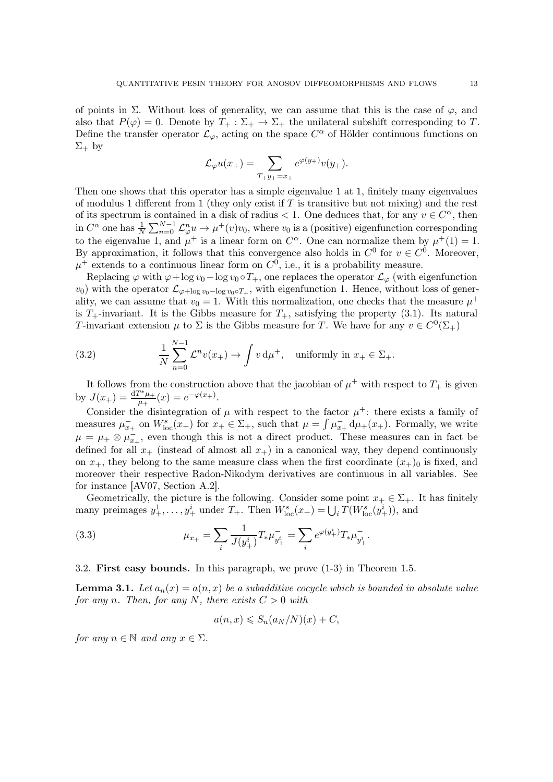<span id="page-12-3"></span>of points in  $\Sigma$ . Without loss of generality, we can assume that this is the case of  $\varphi$ , and also that  $P(\varphi) = 0$ . Denote by  $T_+ : \Sigma_+ \to \Sigma_+$  the unilateral subshift corresponding to T. Define the transfer operator  $\mathcal{L}_{\varphi}$ , acting on the space  $C^{\alpha}$  of Hölder continuous functions on  $\Sigma_+$  by

$$
\mathcal{L}_{\varphi}u(x_{+})=\sum_{T_{+}y_{+}=x_{+}}e^{\varphi(y_{+})}v(y_{+}).
$$

Then one shows that this operator has a simple eigenvalue 1 at 1, finitely many eigenvalues of modulus 1 different from 1 (they only exist if  $T$  is transitive but not mixing) and the rest of its spectrum is contained in a disk of radius < 1. One deduces that, for any  $v \in C^{\alpha}$ , then in  $C^{\alpha}$  one has  $\frac{1}{N} \sum_{n=0}^{N-1} \mathcal{L}_{\varphi}^n u \to \mu^+(v)v_0$ , where  $v_0$  is a (positive) eigenfunction corresponding to the eigenvalue 1, and  $\mu^+$  is a linear form on  $C^{\alpha}$ . One can normalize them by  $\mu^+(1) = 1$ . By approximation, it follows that this convergence also holds in  $C^0$  for  $v \in C^0$ . Moreover,  $\mu^+$  extends to a continuous linear form on  $C^0$ , i.e., it is a probability measure.

Replacing  $\varphi$  with  $\varphi + \log v_0 - \log v_0 \circ T_+$ , one replaces the operator  $\mathcal{L}_{\varphi}$  (with eigenfunction  $(v_0)$  with the operator  $\mathcal{L}_{\varphi + \log v_0 - \log v_0 \circ T_+}$ , with eigenfunction 1. Hence, without loss of generality, we can assume that  $v_0 = 1$ . With this normalization, one checks that the measure  $\mu^+$ is  $T_+$ -invariant. It is the Gibbs measure for  $T_+$ , satisfying the property [\(3.1\)](#page-11-0). Its natural T-invariant extension  $\mu$  to  $\Sigma$  is the Gibbs measure for T. We have for any  $v \in C^0(\Sigma_+)$ 

<span id="page-12-1"></span>(3.2) 
$$
\frac{1}{N} \sum_{n=0}^{N-1} \mathcal{L}^n v(x_+) \to \int v \, \mathrm{d}\mu^+, \quad \text{uniformly in } x_+ \in \Sigma_+.
$$

It follows from the construction above that the jacobian of  $\mu^+$  with respect to  $T_+$  is given by  $J(x_{+}) = \frac{d T^* \mu_{+}}{\mu_{+}}$  $\frac{e^{-\varphi(x+)} }{\mu_+}(x) = e^{-\varphi(x_+)}.$ 

Consider the disintegration of  $\mu$  with respect to the factor  $\mu^+$ : there exists a family of measures  $\mu_{x_+}^-$  on  $W_{\text{loc}}^s(x_+)$  for  $x_+ \in \Sigma_+$ , such that  $\mu = \int \mu_{x_+}^- d\mu_+(x_+)$ . Formally, we write  $\mu = \mu_+ \otimes \mu_{x_+}^-$ , even though this is not a direct product. These measures can in fact be defined for all  $x_+$  (instead of almost all  $x_+$ ) in a canonical way, they depend continuously on  $x_+$ , they belong to the same measure class when the first coordinate  $(x_+)_0$  is fixed, and moreover their respective Radon-Nikodym derivatives are continuous in all variables. See for instance [\[AV07,](#page-39-2) Section A.2].

Geometrically, the picture is the following. Consider some point  $x_+ \in \Sigma_+$ . It has finitely many preimages  $y_+^1, \ldots, y_+^i$  under  $T_+$ . Then  $W_{\text{loc}}^s(x_+) = \bigcup_i T(W_{\text{loc}}^s(y_+^i))$ , and

(3.3) 
$$
\mu_{x_+}^- = \sum_i \frac{1}{J(y_+^i)} T_* \mu_{y_+^i}^- = \sum_i e^{\varphi(y_+^i)} T_* \mu_{y_+^i}^-.
$$

# 3.2. First easy bounds. In this paragraph, we prove (1-3) in Theorem [1.5.](#page-3-0)

<span id="page-12-2"></span>**Lemma 3.1.** Let  $a_n(x) = a(n, x)$  be a subadditive cocycle which is bounded in absolute value for any n. Then, for any N, there exists  $C > 0$  with

<span id="page-12-0"></span>
$$
a(n,x) \leqslant S_n(a_N/N)(x) + C,
$$

for any  $n \in \mathbb{N}$  and any  $x \in \Sigma$ .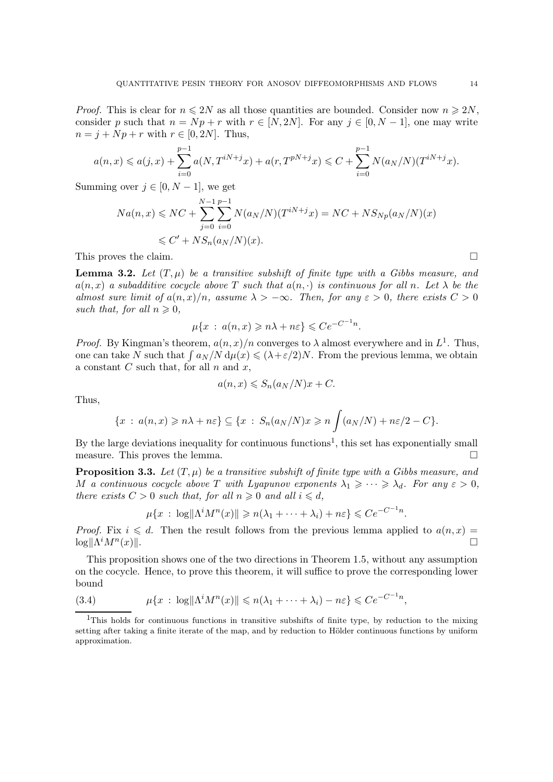*Proof.* This is clear for  $n \leq 2N$  as all those quantities are bounded. Consider now  $n \geq 2N$ , consider p such that  $n = Np + r$  with  $r \in [N, 2N]$ . For any  $j \in [0, N - 1]$ , one may write  $n = j + Np + r$  with  $r \in [0, 2N]$ . Thus,

$$
a(n,x) \leq a(j,x) + \sum_{i=0}^{p-1} a(N,T^{iN+j}x) + a(r,T^{pN+j}x) \leq C + \sum_{i=0}^{p-1} N(a_N/N)(T^{iN+j}x).
$$

Summing over  $j \in [0, N-1]$ , we get

$$
Na(n, x) \le NC + \sum_{j=0}^{N-1} \sum_{i=0}^{p-1} N(a_N/N)(T^{iN+j}x) = NC + NS_{Np}(a_N/N)(x)
$$
  

$$
\le C' + NS_n(a_N/N)(x).
$$

This proves the claim.

<span id="page-13-2"></span>**Lemma 3.2.** Let  $(T, \mu)$  be a transitive subshift of finite type with a Gibbs measure, and  $a(n, x)$  a subadditive cocycle above T such that  $a(n, \cdot)$  is continuous for all n. Let  $\lambda$  be the almost sure limit of  $a(n, x)/n$ , assume  $\lambda > -\infty$ . Then, for any  $\varepsilon > 0$ , there exists  $C > 0$ such that, for all  $n \geq 0$ ,

$$
\mu\{x \,:\, a(n,x) \geqslant n\lambda + n\varepsilon\} \leqslant Ce^{-C^{-1}n}.
$$

*Proof.* By Kingman's theorem,  $a(n, x)/n$  converges to  $\lambda$  almost everywhere and in  $L^1$ . Thus, one can take N such that  $\int a_N/N d\mu(x) \le (\lambda + \varepsilon/2)N$ . From the previous lemma, we obtain a constant  $C$  such that, for all  $n$  and  $x$ ,

$$
a(n,x) \leqslant S_n(a_N/N)x + C.
$$

Thus,

$$
\{x \,:\, a(n,x) \geqslant n\lambda + n\varepsilon\} \subseteq \{x \,:\, S_n(a_N/N)x \geqslant n \int (a_N/N) + n\varepsilon/2 - C\}.
$$

By the large deviations inequality for continuous functions<sup>[1](#page-13-1)</sup>, this set has exponentially small measure. This proves the lemma.  $\Box$ 

<span id="page-13-3"></span>**Proposition 3.3.** Let  $(T, \mu)$  be a transitive subshift of finite type with a Gibbs measure, and M a continuous cocycle above T with Lyapunov exponents  $\lambda_1 \geqslant \cdots \geqslant \lambda_d$ . For any  $\varepsilon > 0$ , there exists  $C > 0$  such that, for all  $n \geq 0$  and all  $i \leq d$ ,

$$
\mu\{x\,:\,\log\|\Lambda^i M^n(x)\|\geqslant n(\lambda_1+\cdots+\lambda_i)+n\varepsilon\}\leqslant Ce^{-C^{-1}n}.
$$

*Proof.* Fix  $i \leq d$ . Then the result follows from the previous lemma applied to  $a(n, x) =$  $\log ||\Lambda^i M^n$  $(x)$ ||.

This proposition shows one of the two directions in Theorem [1.5,](#page-3-0) without any assumption on the cocycle. Hence, to prove this theorem, it will suffice to prove the corresponding lower bound

<span id="page-13-0"></span>(3.4) 
$$
\mu\{x \,:\, \log\|\Lambda^i M^n(x)\| \leqslant n(\lambda_1 + \cdots + \lambda_i) - n\varepsilon\} \leqslant Ce^{-C^{-1}n},
$$

<span id="page-13-1"></span><sup>1</sup>This holds for continuous functions in transitive subshifts of finite type, by reduction to the mixing setting after taking a finite iterate of the map, and by reduction to Hölder continuous functions by uniform approximation.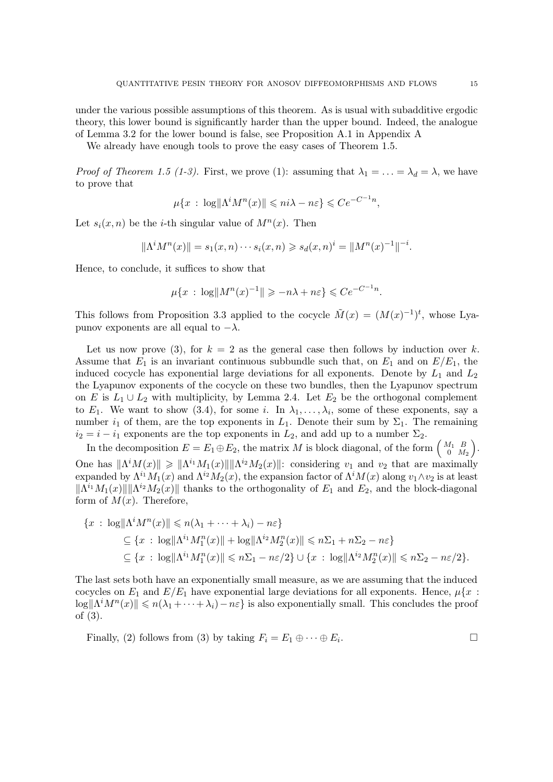under the various possible assumptions of this theorem. As is usual with subadditive ergodic theory, this lower bound is significantly harder than the upper bound. Indeed, the analogue of Lemma [3.2](#page-13-2) for the lower bound is false, see Proposition [A.1](#page-34-1) in Appendix [A](#page-34-0)

We already have enough tools to prove the easy cases of Theorem [1.5.](#page-3-0)

*Proof of Theorem [1.5](#page-3-0) (1-3).* First, we prove (1): assuming that  $\lambda_1 = \ldots = \lambda_d = \lambda$ , we have to prove that

$$
\mu\{x \,:\, \log\|\Lambda^i M^n(x)\| \leqslant n i \lambda - n \varepsilon\} \leqslant Ce^{-C^{-1}n}
$$

,

.

Let  $s_i(x, n)$  be the *i*-th singular value of  $M^n(x)$ . Then

$$
\|\Lambda^i M^n(x)\| = s_1(x, n) \cdots s_i(x, n) \geq s_d(x, n)^i = \|M^n(x)^{-1}\|^{-i}.
$$

Hence, to conclude, it suffices to show that

$$
\mu\{x \,:\, \log||M^n(x)^{-1}|| \geq -n\lambda + n\varepsilon\} \leqslant Ce^{-C^{-1}n}
$$

This follows from Proposition [3.3](#page-13-3) applied to the cocycle  $\tilde{M}(x) = (M(x)^{-1})^t$ , whose Lyapunov exponents are all equal to  $-\lambda$ .

Let us now prove (3), for  $k = 2$  as the general case then follows by induction over k. Assume that  $E_1$  is an invariant continuous subbundle such that, on  $E_1$  and on  $E/E_1$ , the induced cocycle has exponential large deviations for all exponents. Denote by  $L_1$  and  $L_2$ the Lyapunov exponents of the cocycle on these two bundles, then the Lyapunov spectrum on E is  $L_1 \cup L_2$  with multiplicity, by Lemma [2.4.](#page-10-2) Let  $E_2$  be the orthogonal complement to  $E_1$ . We want to show [\(3.4\)](#page-13-0), for some i. In  $\lambda_1, \ldots, \lambda_i$ , some of these exponents, say a number  $i_1$  of them, are the top exponents in  $L_1$ . Denote their sum by  $\Sigma_1$ . The remaining  $i_2 = i - i_1$  exponents are the top exponents in  $L_2$ , and add up to a number  $\Sigma_2$ .

In the decomposition  $E = E_1 \oplus E_2$ , the matrix M is block diagonal, of the form  $\begin{pmatrix} M_1 & B \\ 0 & M_1 \end{pmatrix}$  $\left(\begin{smallmatrix} A_1 & B \ 0 & M_2 \end{smallmatrix}\right).$ One has  $\|\Lambda^i M(x)\| \geq \|\Lambda^{i_1} M_1(x)\| \|\Lambda^{i_2} M_2(x)\|$ : considering  $v_1$  and  $v_2$  that are maximally expanded by  $\Lambda^{i_1}M_1(x)$  and  $\Lambda^{i_2}M_2(x)$ , the expansion factor of  $\Lambda^{i}M(x)$  along  $v_1\wedge v_2$  is at least  $\|\Lambda^{i_1}M_1(x)\|\|\Lambda^{i_2}M_2(x)\|$  thanks to the orthogonality of  $E_1$  and  $E_2$ , and the block-diagonal form of  $M(x)$ . Therefore,

$$
\{x \,:\, \log \|\Lambda^i M^n(x)\| \leqslant n(\lambda_1 + \cdots + \lambda_i) - n\varepsilon\}
$$
  
\n
$$
\subseteq \{x \,:\, \log \|\Lambda^{i_1} M_1^n(x)\| + \log \|\Lambda^{i_2} M_2^n(x)\| \leqslant n\Sigma_1 + n\Sigma_2 - n\varepsilon\}
$$
  
\n
$$
\subseteq \{x \,:\, \log \|\Lambda^{i_1} M_1^n(x)\| \leqslant n\Sigma_1 - n\varepsilon/2\} \cup \{x \,:\, \log \|\Lambda^{i_2} M_2^n(x)\| \leqslant n\Sigma_2 - n\varepsilon/2\}.
$$

The last sets both have an exponentially small measure, as we are assuming that the induced cocycles on  $E_1$  and  $E/E_1$  have exponential large deviations for all exponents. Hence,  $\mu\{x$ :  $\log \|\Lambda^i M^n(x)\| \leqslant n(\lambda_1 + \cdots + \lambda_i) - n\varepsilon\}$  is also exponentially small. This concludes the proof of (3).

Finally, (2) follows from (3) by taking  $F_i = E_1 \oplus \cdots \oplus E_i$ . . — Процессиональные производствование и производствование и производствование и производствование и производст<br>В 1990 году в 1990 году в 1990 году в 1990 году в 1990 году в 1990 году в 1990 году в 1990 году в 1990 году в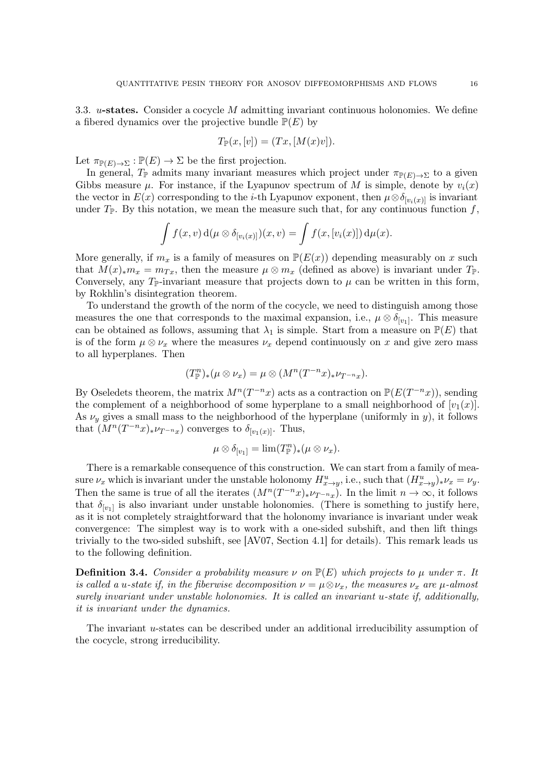<span id="page-15-0"></span>3.3.  $u$ -states. Consider a cocycle M admitting invariant continuous holonomies. We define a fibered dynamics over the projective bundle  $\mathbb{P}(E)$  by

$$
T_{\mathbb{P}}(x,[v]) = (Tx,[M(x)v]).
$$

Let  $\pi_{\mathbb{P}(E) \to \Sigma} : \mathbb{P}(E) \to \Sigma$  be the first projection.

In general,  $T_{\mathbb{P}}$  admits many invariant measures which project under  $\pi_{\mathbb{P}(E)\to\Sigma}$  to a given Gibbs measure  $\mu$ . For instance, if the Lyapunov spectrum of M is simple, denote by  $v_i(x)$ the vector in  $E(x)$  corresponding to the *i*-th Lyapunov exponent, then  $\mu \otimes \delta_{[v_i(x)]}$  is invariant under  $T_{\mathbb{P}}$ . By this notation, we mean the measure such that, for any continuous function f,

$$
\int f(x,v) d(\mu \otimes \delta_{[v_i(x)]})(x,v) = \int f(x,[v_i(x)]) d\mu(x).
$$

More generally, if  $m_x$  is a family of measures on  $\mathbb{P}(E(x))$  depending measurably on x such that  $M(x)_{*}m_x = m_{Tx}$ , then the measure  $\mu \otimes m_x$  (defined as above) is invariant under  $T_{\mathbb{P}}$ . Conversely, any  $T_{\mathbb{P}}$ -invariant measure that projects down to  $\mu$  can be written in this form, by Rokhlin's disintegration theorem.

To understand the growth of the norm of the cocycle, we need to distinguish among those measures the one that corresponds to the maximal expansion, i.e.,  $\mu \otimes \delta_{[v_1]}$ . This measure can be obtained as follows, assuming that  $\lambda_1$  is simple. Start from a measure on  $\mathbb{P}(E)$  that is of the form  $\mu \otimes \nu_x$  where the measures  $\nu_x$  depend continuously on x and give zero mass to all hyperplanes. Then

$$
(T_{\mathbb{P}}^{n})_{*}(\mu \otimes \nu_{x}) = \mu \otimes (M^{n}(T^{-n}x)_{*}\nu_{T^{-n}x}).
$$

By Oseledets theorem, the matrix  $M^n(T^{-n}x)$  acts as a contraction on  $\mathbb{P}(E(T^{-n}x))$ , sending the complement of a neighborhood of some hyperplane to a small neighborhood of  $[v_1(x)]$ . As  $\nu_y$  gives a small mass to the neighborhood of the hyperplane (uniformly in y), it follows that  $(M^n(T^{-n}x)_{\ast}\nu_{T^{-n}x})$  converges to  $\delta_{[v_1(x)]}$ . Thus,

$$
\mu\otimes \delta_{[v_1]}=\lim (T_{\mathbb{P}}^n)_*(\mu\otimes\nu_x).
$$

There is a remarkable consequence of this construction. We can start from a family of measure  $\nu_x$  which is invariant under the unstable holonomy  $H_{x \to y}^u$ , i.e., such that  $(H_{x \to y}^u)_* \nu_x = \nu_y$ . Then the same is true of all the iterates  $(M^n(T^{-n}x)_*\nu_{T^{-n}x})$ . In the limit  $n \to \infty$ , it follows that  $\delta_{[v_1]}$  is also invariant under unstable holonomies. (There is something to justify here, as it is not completely straightforward that the holonomy invariance is invariant under weak convergence: The simplest way is to work with a one-sided subshift, and then lift things trivially to the two-sided subshift, see [\[AV07,](#page-39-2) Section 4.1] for details). This remark leads us to the following definition.

**Definition 3.4.** Consider a probability measure  $\nu$  on  $\mathbb{P}(E)$  which projects to  $\mu$  under  $\pi$ . It is called a u-state if, in the fiberwise decomposition  $\nu = \mu \otimes \nu_x$ , the measures  $\nu_x$  are  $\mu$ -almost surely invariant under unstable holonomies. It is called an invariant u-state if, additionally, it is invariant under the dynamics.

The invariant u-states can be described under an additional irreducibility assumption of the cocycle, strong irreducibility.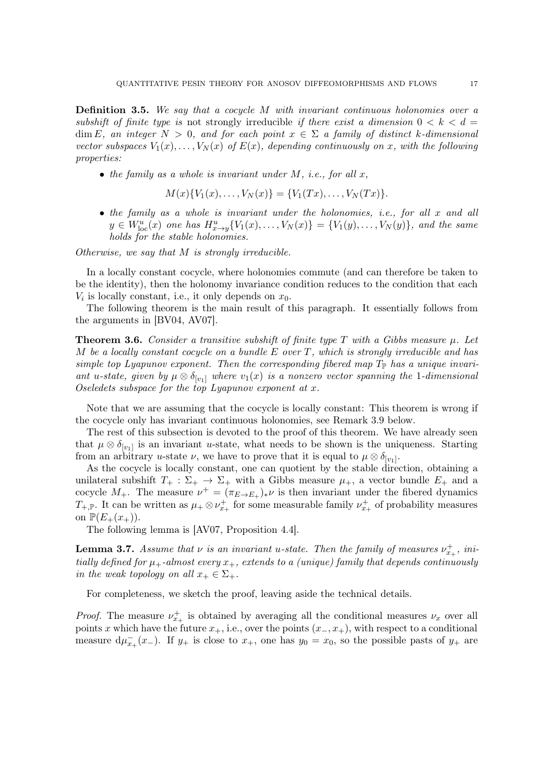<span id="page-16-3"></span><span id="page-16-0"></span>**Definition 3.5.** We say that a cocycle  $M$  with invariant continuous holonomies over a subshift of finite type is not strongly irreducible if there exist a dimension  $0 < k < d$ dim E, an integer  $N > 0$ , and for each point  $x \in \Sigma$  a family of distinct k-dimensional vector subspaces  $V_1(x), \ldots, V_N(x)$  of  $E(x)$ , depending continuously on x, with the following properties:

• the family as a whole is invariant under  $M$ , i.e., for all  $x$ ,

$$
M(x)\{V_1(x),\ldots,V_N(x)\} = \{V_1(Tx),\ldots,V_N(Tx)\}.
$$

• the family as a whole is invariant under the holonomies, i.e., for all x and all  $y \in W_{\text{loc}}^{u}(x)$  one has  $H_{x \to y}^{u}\{V_{1}(x),...,V_{N}(x)\} = \{V_{1}(y),...,V_{N}(y)\},$  and the same holds for the stable holonomies.

Otherwise, we say that M is strongly irreducible.

In a locally constant cocycle, where holonomies commute (and can therefore be taken to be the identity), then the holonomy invariance condition reduces to the condition that each  $V_i$  is locally constant, i.e., it only depends on  $x_0$ .

The following theorem is the main result of this paragraph. It essentially follows from the arguments in [\[BV04,](#page-39-1) [AV07\]](#page-39-2).

<span id="page-16-2"></span>**Theorem 3.6.** Consider a transitive subshift of finite type T with a Gibbs measure  $\mu$ . Let M be a locally constant cocycle on a bundle  $E$  over  $T$ , which is strongly irreducible and has simple top Lyapunov exponent. Then the corresponding fibered map  $T_{\mathbb{P}}$  has a unique invariant u-state, given by  $\mu \otimes \delta_{[v_1]}$  where  $v_1(x)$  is a nonzero vector spanning the 1-dimensional Oseledets subspace for the top Lyapunov exponent at x.

Note that we are assuming that the cocycle is locally constant: This theorem is wrong if the cocycle only has invariant continuous holonomies, see Remark [3.9](#page-18-0) below.

The rest of this subsection is devoted to the proof of this theorem. We have already seen that  $\mu \otimes \delta_{[v_1]}$  is an invariant u-state, what needs to be shown is the uniqueness. Starting from an arbitrary u-state  $\nu$ , we have to prove that it is equal to  $\mu \otimes \delta_{[v_1]}$ .

As the cocycle is locally constant, one can quotient by the stable direction, obtaining a unilateral subshift  $T_+ : \Sigma_+ \to \Sigma_+$  with a Gibbs measure  $\mu_+$ , a vector bundle  $E_+$  and a cocycle  $M_+$ . The measure  $\nu^+ = (\pi_{E \to E_+})_* \nu$  is then invariant under the fibered dynamics  $T_{+,\mathbb{P}}$ . It can be written as  $\mu_+ \otimes \nu_{x_+}^+$  for some measurable family  $\nu_{x_+}^+$  of probability measures on  $\mathbb{P}(E_+(x_+))$ .

The following lemma is [\[AV07,](#page-39-2) Proposition 4.4].

<span id="page-16-1"></span>**Lemma 3.7.** Assume that  $\nu$  is an invariant u-state. Then the family of measures  $\nu_{x_+}^+$ , initially defined for  $\mu_+$ -almost every  $x_+$ , extends to a (unique) family that depends continuously in the weak topology on all  $x_+ \in \Sigma_+$ .

For completeness, we sketch the proof, leaving aside the technical details.

*Proof.* The measure  $\nu_{x_+}^+$  is obtained by averaging all the conditional measures  $\nu_x$  over all points x which have the future  $x_+$ , i.e., over the points  $(x_-, x_+)$ , with respect to a conditional measure  $d\mu_{x_+}^-(x_-)$ . If  $y_+$  is close to  $x_+$ , one has  $y_0 = x_0$ , so the possible pasts of  $y_+$  are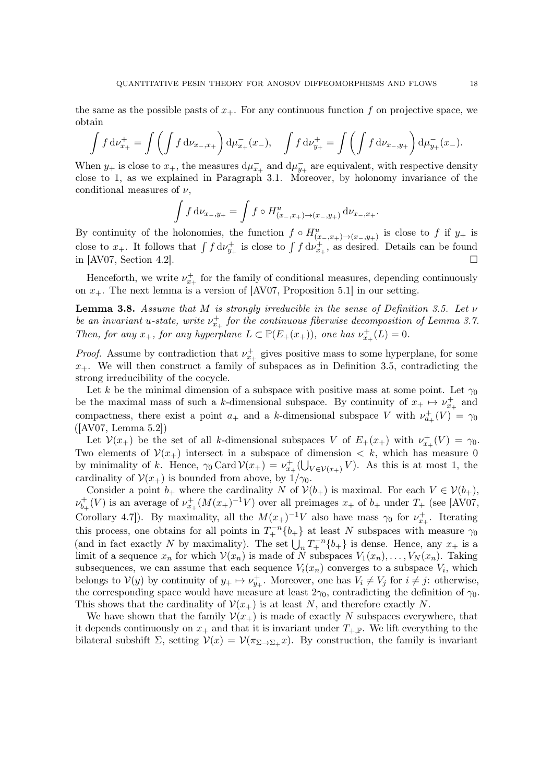<span id="page-17-1"></span>the same as the possible pasts of  $x_{+}$ . For any continuous function f on projective space, we obtain

$$
\int f \, d\nu_{x_+}^+ = \int \left( \int f \, d\nu_{x_-,x_+} \right) d\mu_{x_+}^-(x_-), \quad \int f \, d\nu_{y_+}^+ = \int \left( \int f \, d\nu_{x_-,y_+} \right) d\mu_{y_+}^-(x_-).
$$

When  $y_+$  is close to  $x_+$ , the measures  $d\mu_{x_+}^-$  and  $d\mu_{y_+}^-$  are equivalent, with respective density close to 1, as we explained in Paragraph [3.1.](#page-11-1) Moreover, by holonomy invariance of the conditional measures of  $\nu$ .

$$
\int f d\nu_{x-,y+} = \int f \circ H^u_{(x_-,x_+) \to (x_-,y_+)} d\nu_{x_-,x_+}.
$$

By continuity of the holonomies, the function  $f \circ H^u_{(x_-,x_+)\to(x_-,y_+)}$  is close to f if  $y_+$  is close to  $x_+$ . It follows that  $\int f d\nu_{y_+}^+$  is close to  $\int f d\nu_{x_+}^+$ , as desired. Details can be found in [\[AV07,](#page-39-2) Section 4.2].

Henceforth, we write  $\nu_{x_+}^+$  for the family of conditional measures, depending continuously on  $x_{+}$ . The next lemma is a version of [\[AV07,](#page-39-2) Proposition 5.1] in our setting.

<span id="page-17-0"></span>**Lemma 3.8.** Assume that M is strongly irreducible in the sense of Definition [3.5.](#page-16-0) Let  $\nu$ be an invariant u-state, write  $\nu_{x_+}^+$  for the continuous fiberwise decomposition of Lemma [3.7.](#page-16-1) Then, for any  $x_+$ , for any hyperplane  $L \subset \mathbb{P}(E_+(x_+))$ , one has  $\nu_{x_+}^+(L) = 0$ .

*Proof.* Assume by contradiction that  $\nu_{x_+}^+$  gives positive mass to some hyperplane, for some  $x_{+}$ . We will then construct a family of subspaces as in Definition [3.5,](#page-16-0) contradicting the strong irreducibility of the cocycle.

Let k be the minimal dimension of a subspace with positive mass at some point. Let  $\gamma_0$ be the maximal mass of such a k-dimensional subspace. By continuity of  $x_+ \mapsto \nu_{x_+}^+$  and compactness, there exist a point  $a_+$  and a k-dimensional subspace V with  $\nu^+_{a_+}(V) = \gamma_0$ ([\[AV07,](#page-39-2) Lemma 5.2])

Let  $V(x_+)$  be the set of all k-dimensional subspaces V of  $E_+(x_+)$  with  $\nu_{x_+}^+(V) = \gamma_0$ . Two elements of  $\mathcal{V}(x_+)$  intersect in a subspace of dimension  $\langle k, \rangle$  which has measure 0 by minimality of k. Hence,  $\gamma_0 \text{Card } \mathcal{V}(x_+) = \nu_{x_+}^+(\bigcup_{V \in \mathcal{V}(x_+)} V)$ . As this is at most 1, the cardinality of  $\mathcal{V}(x_+)$  is bounded from above, by  $1/\gamma_0$ .

Consider a point  $b_+$  where the cardinality N of  $\mathcal{V}(b_+)$  is maximal. For each  $V \in \mathcal{V}(b_+),$  $\nu_h^+$  $b_{+}^{+}(V)$  is an average of  $\nu_{x+}^{+}(M(x_{+})^{-1}V)$  over all preimages  $x_{+}$  of  $b_{+}$  under  $T_{+}$  (see [\[AV07,](#page-39-2) Corollary 4.7]). By maximality, all the  $M(x_{+})^{-1}V$  also have mass  $\gamma_0$  for  $\nu_{x_{+}}^{+}$ . Iterating this process, one obtains for all points in  $T_{+}^{-n}\{b_{+}\}\$ at least N subspaces with measure  $\gamma_0$ (and in fact exactly N by maximality). The set  $\bigcup_n T_+^{-n} \{b_+\}$  is dense. Hence, any  $x_+$  is a limit of a sequence  $x_n$  for which  $\mathcal{V}(x_n)$  is made of N subspaces  $V_1(x_n), \ldots, V_N(x_n)$ . Taking subsequences, we can assume that each sequence  $V_i(x_n)$  converges to a subspace  $V_i$ , which belongs to  $V(y)$  by continuity of  $y_+ \mapsto \nu_{y_+}^+$ . Moreover, one has  $V_i \neq V_j$  for  $i \neq j$ : otherwise, the corresponding space would have measure at least  $2\gamma_0$ , contradicting the definition of  $\gamma_0$ . This shows that the cardinality of  $\mathcal{V}(x_+)$  is at least N, and therefore exactly N.

We have shown that the family  $\mathcal{V}(x_+)$  is made of exactly N subspaces everywhere, that it depends continuously on  $x_+$  and that it is invariant under  $T_{+,\mathbb{P}}$ . We lift everything to the bilateral subshift  $\Sigma$ , setting  $V(x) = V(\pi_{\Sigma \to \Sigma_+} x)$ . By construction, the family is invariant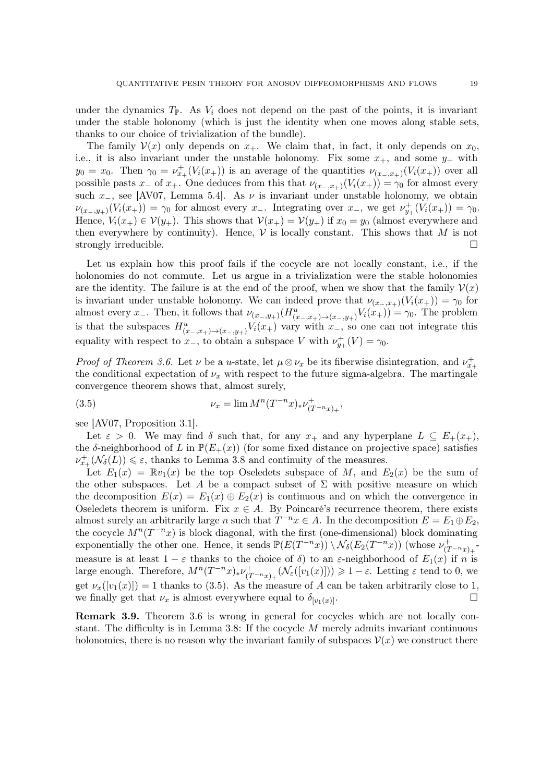<span id="page-18-2"></span>under the dynamics  $T_{\mathbb{P}}$ . As  $V_i$  does not depend on the past of the points, it is invariant under the stable holonomy (which is just the identity when one moves along stable sets, thanks to our choice of trivialization of the bundle).

The family  $\mathcal{V}(x)$  only depends on  $x_+$ . We claim that, in fact, it only depends on  $x_0$ , i.e., it is also invariant under the unstable holonomy. Fix some  $x_+$ , and some  $y_+$  with  $y_0 = x_0$ . Then  $\gamma_0 = \nu_{x_+}^+(V_i(x_+))$  is an average of the quantities  $\nu_{(x_-,x_+)}(V_i(x_+))$  over all possible pasts  $x_$  of  $x_+$ . One deduces from this that  $\nu_{(x_-,x_+)}(V_i(x_+)) = \gamma_0$  for almost every such  $x_$ , see [\[AV07,](#page-39-2) Lemma 5.4]. As  $\nu$  is invariant under unstable holonomy, we obtain  $\nu_{(x_-,y_+)}(V_i(x_+)) = \gamma_0$  for almost every  $x_-$ . Integrating over  $x_-$ , we get  $\nu_{y_+}^+(V_i(x_+)) = \gamma_0$ . Hence,  $V_i(x_+) \in \mathcal{V}(y_+)$ . This shows that  $\mathcal{V}(x_+) = \mathcal{V}(y_+)$  if  $x_0 = y_0$  (almost everywhere and then everywhere by continuity). Hence,  $V$  is locally constant. This shows that  $M$  is not strongly irreducible strongly irreducible.

Let us explain how this proof fails if the cocycle are not locally constant, i.e., if the holonomies do not commute. Let us argue in a trivialization were the stable holonomies are the identity. The failure is at the end of the proof, when we show that the family  $\mathcal{V}(x)$ is invariant under unstable holonomy. We can indeed prove that  $\nu_{(x_-,x_+)}(V_i(x_+)) = \gamma_0$  for almost every  $x_-.$  Then, it follows that  $\nu_{(x_-,y_+)}(H^u_{(x_-,x_+)\to(x_-,y_+)}V_i(x_+)) = \gamma_0$ . The problem is that the subspaces  $H^u_{(x_-,x_+)\to(x_-,y_+)}V_i(x_+)$  vary with  $x_-,$  so one can not integrate this equality with respect to  $x_-,$  to obtain a subspace V with  $\nu_{y_+}^+(V) = \gamma_0$ .

*Proof of Theorem [3.6.](#page-16-2)* Let  $\nu$  be a u-state, let  $\mu \otimes \nu_x$  be its fiberwise disintegration, and  $\nu_{x_+}^+$ the conditional expectation of  $\nu_x$  with respect to the future sigma-algebra. The martingale convergence theorem shows that, almost surely,

<span id="page-18-1"></span>(3.5) 
$$
\nu_x = \lim M^n (T^{-n} x)_* \nu_{(T^{-n} x)_+}^+,
$$

see [\[AV07,](#page-39-2) Proposition 3.1].

Let  $\varepsilon > 0$ . We may find  $\delta$  such that, for any  $x_+$  and any hyperplane  $L \subseteq E_+(x_+),$ the δ-neighborhood of L in  $\mathbb{P}(E_+(x))$  (for some fixed distance on projective space) satisfies  $\nu_{x_+}^+({\mathcal N}_\delta(L)) \leq \varepsilon$ , thanks to Lemma [3.8](#page-17-0) and continuity of the measures.

Let  $E_1(x) = \mathbb{R}v_1(x)$  be the top Oseledets subspace of M, and  $E_2(x)$  be the sum of the other subspaces. Let A be a compact subset of  $\Sigma$  with positive measure on which the decomposition  $E(x) = E_1(x) \oplus E_2(x)$  is continuous and on which the convergence in Oseledets theorem is uniform. Fix  $x \in A$ . By Poincaré's recurrence theorem, there exists almost surely an arbitrarily large n such that  $T^{-n}x \in A$ . In the decomposition  $E = E_1 \oplus E_2$ , the cocycle  $M^{n}(T^{-n}x)$  is block diagonal, with the first (one-dimensional) block dominating exponentially the other one. Hence, it sends  $\mathbb{P}(E(T^{-n}x)) \setminus \mathcal{N}_{\delta}(E_2(T^{-n}x))$  (whose  $\nu_{(T^{-n}x)_+}^+$ measure is at least  $1 - \varepsilon$  thanks to the choice of  $\delta$ ) to an  $\varepsilon$ -neighborhood of  $E_1(x)$  if n is large enough. Therefore,  $M^n(T^{-n}x)_{*}\nu_{(T^{-n}x)_{+}}^{+}(\mathcal{N}_{\varepsilon}([v_1(x)])) \geq 1-\varepsilon$ . Letting  $\varepsilon$  tend to 0, we get  $\nu_x([v_1(x)]) = 1$  thanks to [\(3.5\)](#page-18-1). As the measure of A can be taken arbitrarily close to 1, we finally get that  $\nu_x$  is almost everywhere equal to  $\delta_{[v_1(x)]}$ .

<span id="page-18-0"></span>Remark 3.9. Theorem [3.6](#page-16-2) is wrong in general for cocycles which are not locally con-stant. The difficulty is in Lemma [3.8:](#page-17-0) If the cocycle  $M$  merely admits invariant continuous holonomies, there is no reason why the invariant family of subspaces  $\mathcal{V}(x)$  we construct there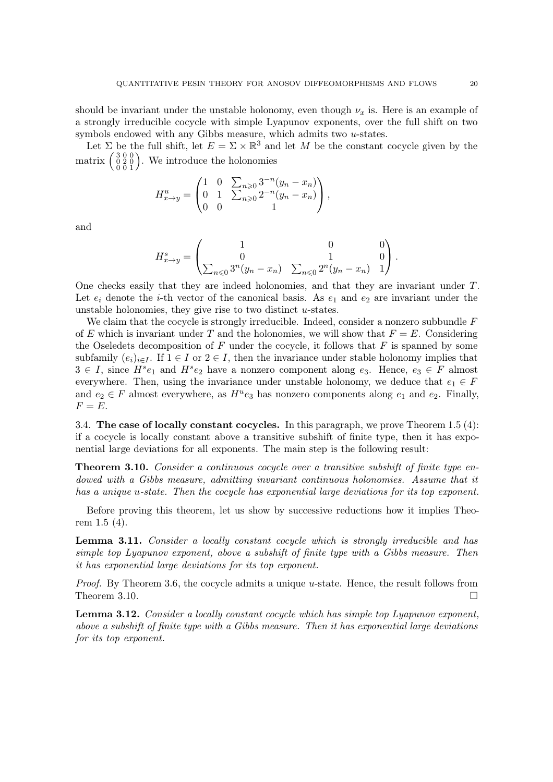should be invariant under the unstable holonomy, even though  $\nu_x$  is. Here is an example of a strongly irreducible cocycle with simple Lyapunov exponents, over the full shift on two symbols endowed with any Gibbs measure, which admits two u-states.

Let  $\Sigma$  be the full shift, let  $E = \Sigma \times \mathbb{R}^3$  and let M be the constant cocycle given by the matrix  $\begin{pmatrix} 3 & 0 & 0 \\ 0 & 2 & 0 \\ 0 & 0 & 1 \end{pmatrix}$ . We introduce the holonomies

$$
H_{x \to y}^{u} = \begin{pmatrix} 1 & 0 & \sum_{n \geq 0} 3^{-n} (y_n - x_n) \\ 0 & 1 & \sum_{n \geq 0} 2^{-n} (y_n - x_n) \\ 0 & 0 & 1 \end{pmatrix},
$$

and

$$
H_{x \to y}^{s} = \begin{pmatrix} 1 & 0 & 0 \\ 0 & 1 & 0 \\ \sum_{n \leq 0} 3^{n} (y_{n} - x_{n}) & \sum_{n \leq 0} 2^{n} (y_{n} - x_{n}) & 1 \end{pmatrix}.
$$

One checks easily that they are indeed holonomies, and that they are invariant under T. Let  $e_i$  denote the *i*-th vector of the canonical basis. As  $e_1$  and  $e_2$  are invariant under the unstable holonomies, they give rise to two distinct  $u$ -states.

We claim that the cocycle is strongly irreducible. Indeed, consider a nonzero subbundle  $F$ of E which is invariant under T and the holonomies, we will show that  $F = E$ . Considering the Oseledets decomposition of F under the cocycle, it follows that  $F$  is spanned by some subfamily  $(e_i)_{i\in I}$ . If  $1 \in I$  or  $2 \in I$ , then the invariance under stable holonomy implies that  $3 \in I$ , since  $H^s e_1$  and  $H^s e_2$  have a nonzero component along  $e_3$ . Hence,  $e_3 \in F$  almost everywhere. Then, using the invariance under unstable holonomy, we deduce that  $e_1 \in F$ and  $e_2 \in F$  almost everywhere, as  $H^u e_3$  has nonzero components along  $e_1$  and  $e_2$ . Finally,  $F = E.$ 

3.4. The case of locally constant cocycles. In this paragraph, we prove Theorem [1.5](#page-3-0)  $(4)$ : if a cocycle is locally constant above a transitive subshift of finite type, then it has exponential large deviations for all exponents. The main step is the following result:

<span id="page-19-0"></span>**Theorem 3.10.** Consider a continuous cocycle over a transitive subshift of finite type endowed with a Gibbs measure, admitting invariant continuous holonomies. Assume that it has a unique u-state. Then the cocycle has exponential large deviations for its top exponent.

Before proving this theorem, let us show by successive reductions how it implies Theorem [1.5](#page-3-0) (4).

<span id="page-19-1"></span>Lemma 3.11. Consider a locally constant cocycle which is strongly irreducible and has simple top Lyapunov exponent, above a subshift of finite type with a Gibbs measure. Then it has exponential large deviations for its top exponent.

*Proof.* By Theorem [3.6,](#page-16-2) the cocycle admits a unique  $u$ -state. Hence, the result follows from Theorem [3.10.](#page-19-0)

<span id="page-19-2"></span>**Lemma 3.12.** Consider a locally constant cocycle which has simple top Lyapunov exponent, above a subshift of finite type with a Gibbs measure. Then it has exponential large deviations for its top exponent.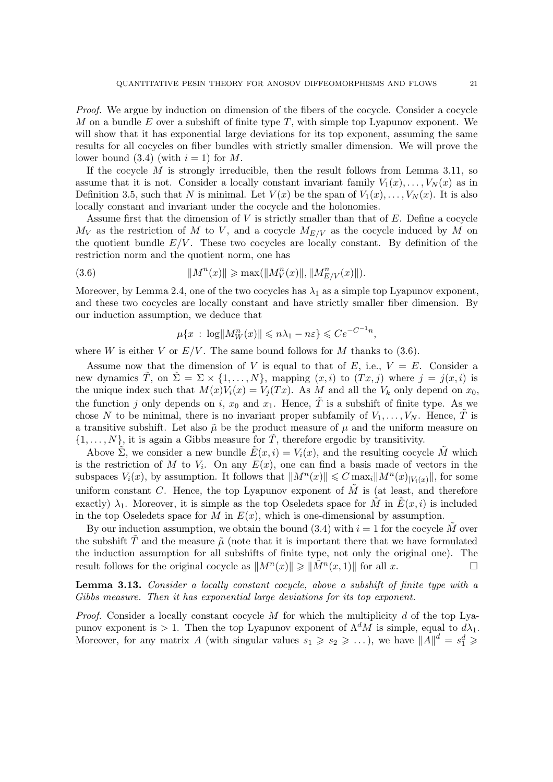Proof. We argue by induction on dimension of the fibers of the cocycle. Consider a cocycle M on a bundle E over a subshift of finite type  $T$ , with simple top Lyapunov exponent. We will show that it has exponential large deviations for its top exponent, assuming the same results for all cocycles on fiber bundles with strictly smaller dimension. We will prove the lower bound  $(3.4)$  (with  $i = 1$ ) for M.

If the cocycle  $M$  is strongly irreducible, then the result follows from Lemma [3.11,](#page-19-1) so assume that it is not. Consider a locally constant invariant family  $V_1(x), \ldots, V_N(x)$  as in Definition [3.5,](#page-16-0) such that N is minimal. Let  $V(x)$  be the span of  $V_1(x), \ldots, V_N(x)$ . It is also locally constant and invariant under the cocycle and the holonomies.

Assume first that the dimension of  $V$  is strictly smaller than that of  $E$ . Define a cocycle  $M_V$  as the restriction of M to V, and a cocycle  $M_{E/V}$  as the cocycle induced by M on the quotient bundle  $E/V$ . These two cocycles are locally constant. By definition of the restriction norm and the quotient norm, one has

(3.6) 
$$
||M^n(x)|| \ge \max(||M_V^n(x)||, ||M_{E/V}^n(x)||).
$$

Moreover, by Lemma [2.4,](#page-10-2) one of the two cocycles has  $\lambda_1$  as a simple top Lyapunov exponent, and these two cocycles are locally constant and have strictly smaller fiber dimension. By our induction assumption, we deduce that

<span id="page-20-1"></span>
$$
\mu\{x\,:\,\log\|M_W^n(x)\|\leqslant n\lambda_1-n\varepsilon\}\leqslant Ce^{-C^{-1}n},
$$

where W is either V or  $E/V$ . The same bound follows for M thanks to [\(3.6\)](#page-20-1).

Assume now that the dimension of V is equal to that of E, i.e.,  $V = E$ . Consider a new dynamics T, on  $\Sigma = \Sigma \times \{1, ..., N\}$ , mapping  $(x, i)$  to  $(Tx, j)$  where  $j = j(x, i)$  is the unique index such that  $M(x)V_i(x) = V_i(Tx)$ . As M and all the  $V_k$  only depend on  $x_0$ , the function j only depends on i,  $x_0$  and  $x_1$ . Hence,  $\tilde{T}$  is a subshift of finite type. As we chose N to be minimal, there is no invariant proper subfamily of  $V_1, \ldots, V_N$ . Hence,  $\tilde{T}$  is a transitive subshift. Let also  $\tilde{\mu}$  be the product measure of  $\mu$  and the uniform measure on  $\{1, \ldots, N\}$ , it is again a Gibbs measure for  $\tilde{T}$ , therefore ergodic by transitivity.

Above  $\tilde{\Sigma}$ , we consider a new bundle  $\tilde{E}(x, i) = V_i(x)$ , and the resulting cocycle  $\tilde{M}$  which is the restriction of M to  $V_i$ . On any  $E(x)$ , one can find a basis made of vectors in the subspaces  $V_i(x)$ , by assumption. It follows that  $||M^n(x)|| \leq C \max_i ||M^n(x)|_{V_i(x)}||$ , for some uniform constant  $C$ . Hence, the top Lyapunov exponent of  $M$  is (at least, and therefore exactly)  $\lambda_1$ . Moreover, it is simple as the top Oseledets space for  $\tilde{M}$  in  $\tilde{E}(x, i)$  is included in the top Oseledets space for M in  $E(x)$ , which is one-dimensional by assumption.

By our induction assumption, we obtain the bound  $(3.4)$  with  $i = 1$  for the cocycle M over the subshift  $\tilde{T}$  and the measure  $\tilde{\mu}$  (note that it is important there that we have formulated the induction assumption for all subshifts of finite type, not only the original one). The result follows for the original cocycle as  $||M^n(x)|| \ge ||\tilde{M}^n(x, 1)||$  for all x.

<span id="page-20-0"></span>Lemma 3.13. Consider a locally constant cocycle, above a subshift of finite type with a Gibbs measure. Then it has exponential large deviations for its top exponent.

*Proof.* Consider a locally constant cocycle  $M$  for which the multiplicity  $d$  of the top Lyapunov exponent is > 1. Then the top Lyapunov exponent of  $\Lambda^d M$  is simple, equal to  $d\lambda_1$ . Moreover, for any matrix A (with singular values  $s_1 \geqslant s_2 \geqslant \ldots$  ), we have  $||A||^d = s_1^d \geqslant$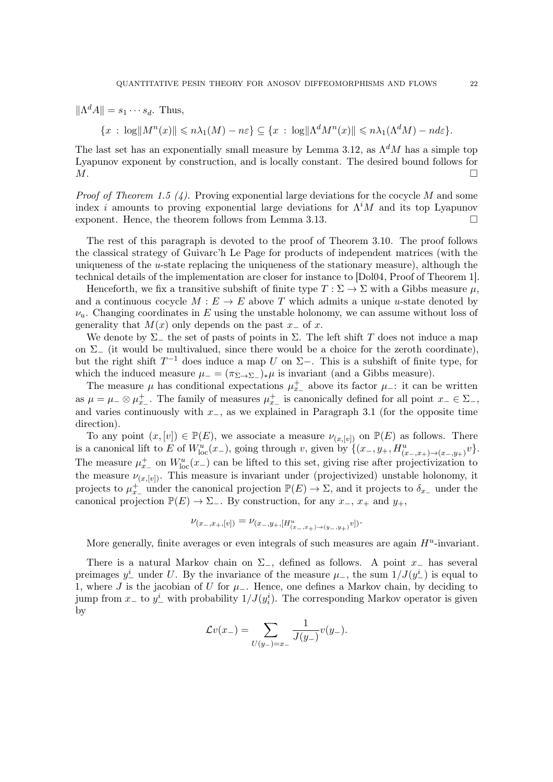<span id="page-21-0"></span> $\|\Lambda^d A\| = s_1 \cdots s_d$ . Thus,

 $\{x : \log \|M^n(x)\| \le n\lambda_1(M) - n\varepsilon\} \subseteq \{x : \log \|\Lambda^d M^n(x)\| \le n\lambda_1(\Lambda^d M) - n d\varepsilon\}.$ 

The last set has an exponentially small measure by Lemma [3.12,](#page-19-2) as  $\Lambda^d M$  has a simple top Lyapunov exponent by construction, and is locally constant. The desired bound follows for  $M$ .

*Proof of Theorem [1.5](#page-3-0) (4).* Proving exponential large deviations for the cocycle M and some index *i* amounts to proving exponential large deviations for  $\Lambda^i M$  and its top Lyapunov exponent. Hence, the theorem follows from Lemma [3.13.](#page-20-0)

The rest of this paragraph is devoted to the proof of Theorem [3.10.](#page-19-0) The proof follows the classical strategy of Guivarc'h Le Page for products of independent matrices (with the uniqueness of the  $u$ -state replacing the uniqueness of the stationary measure), although the technical details of the implementation are closer for instance to [\[Dol04,](#page-39-12) Proof of Theorem 1].

Henceforth, we fix a transitive subshift of finite type  $T : \Sigma \to \Sigma$  with a Gibbs measure  $\mu$ , and a continuous cocycle  $M : E \to E$  above T which admits a unique u-state denoted by  $\nu_u$ . Changing coordinates in E using the unstable holonomy, we can assume without loss of generality that  $M(x)$  only depends on the past  $x_0$  of x.

We denote by  $\Sigma_-$  the set of pasts of points in  $\Sigma$ . The left shift T does not induce a map on  $\Sigma_+$  (it would be multivalued, since there would be a choice for the zeroth coordinate), but the right shift  $T^{-1}$  does induce a map U on  $\Sigma$ −. This is a subshift of finite type, for which the induced measure  $\mu = (\pi_{\Sigma \to \Sigma_-})_* \mu$  is invariant (and a Gibbs measure).

The measure  $\mu$  has conditional expectations  $\mu_{x-}^+$  above its factor  $\mu_-$ : it can be written as  $\mu = \mu_-\otimes \mu_{x-}^+$ . The family of measures  $\mu_{x-}^+$  is canonically defined for all point  $x_-\in \Sigma_-,$ and varies continuously with  $x_$ , as we explained in Paragraph [3.1](#page-11-1) (for the opposite time direction).

To any point  $(x, [v]) \in \mathbb{P}(E)$ , we associate a measure  $\nu_{(x, [v])}$  on  $\mathbb{P}(E)$  as follows. There is a canonical lift to E of  $W^u_{\text{loc}}(x-)$ , going through v, given by  $\{(x_-, y_+, H^u_{(x_-,x_+) \to (x_-, y_+)}v\}.$ The measure  $\mu_{x-}^+$  on  $W^u_{loc}(x-)$  can be lifted to this set, giving rise after projectivization to the measure  $\nu_{(x,[v])}$ . This measure is invariant under (projectivized) unstable holonomy, it projects to  $\mu_{x-}^+$  under the canonical projection  $\mathbb{P}(E) \to \Sigma$ , and it projects to  $\delta_{x-}$  under the canonical projection  $\mathbb{P}(E) \to \Sigma_{-}$ . By construction, for any  $x_-, x_+$  and  $y_+,$ 

$$
\nu_{(x_-,x_+,[v])}=\nu_{(x_-,y_+,[H^u_{(x_-,x_+)\to (y_-,y_+)}v])}.
$$

More generally, finite averages or even integrals of such measures are again  $H<sup>u</sup>$ -invariant.

There is a natural Markov chain on  $\Sigma$ <sub>−</sub>, defined as follows. A point  $x_$  has several preimages  $y^i$  under U. By the invariance of the measure  $\mu$ , the sum  $1/J(y^i)$  is equal to 1, where J is the jacobian of U for  $\mu$ <sub>−</sub>. Hence, one defines a Markov chain, by deciding to jump from  $x_-\text{ to } y_-\text{ with probability } 1/J(y_i)$ . The corresponding Markov operator is given by

$$
\mathcal{L}v(x_-)=\sum_{U(y_-)=x_-}\frac{1}{J(y_-)}v(y_-).
$$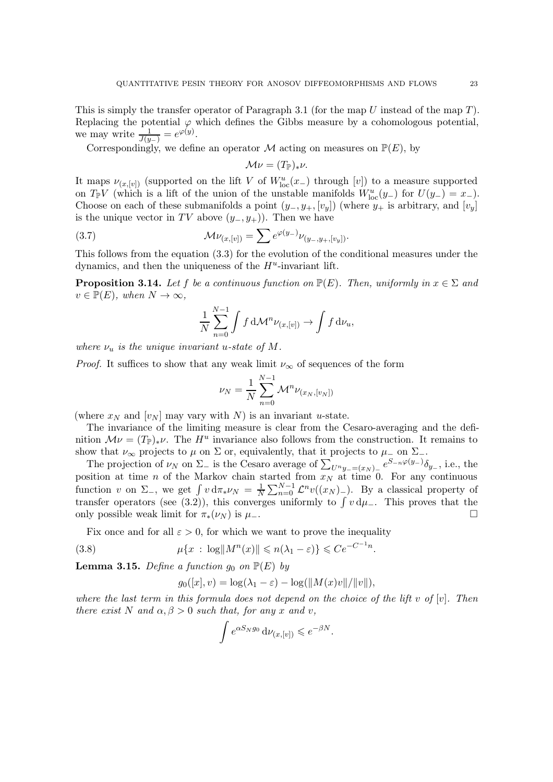This is simply the transfer operator of Paragraph [3.1](#page-11-1) (for the map  $U$  instead of the map  $T$ ). Replacing the potential  $\varphi$  which defines the Gibbs measure by a cohomologous potential, we may write  $\frac{1}{J(y_-)} = e^{\varphi(y)}$ .

Correspondingly, we define an operator  $\mathcal M$  acting on measures on  $\mathbb P(E)$ , by

$$
\mathcal{M}\nu = (T_{\mathbb{P}})_{*}\nu.
$$

It maps  $\nu_{(x,[v])}$  (supported on the lift V of  $W^u_{\text{loc}}(x_-)$  through  $[v]$ ) to a measure supported on  $T_{\mathbb{P}}V$  (which is a lift of the union of the unstable manifolds  $W^u_{\text{loc}}(y_-)$  for  $U(y_-) = x_-$ ). Choose on each of these submanifolds a point  $(y_-, y_+, [v_y])$  (where  $y_+$  is arbitrary, and  $[v_y]$ ) is the unique vector in TV above  $(y_-, y_+)$ . Then we have

(3.7) 
$$
\mathcal{M}\nu_{(x,[v])} = \sum e^{\varphi(y_-)} \nu_{(y_-,y_+,[v_y])}.
$$

This follows from the equation [\(3.3\)](#page-12-0) for the evolution of the conditional measures under the dynamics, and then the uniqueness of the  $H<sup>u</sup>$ -invariant lift.

<span id="page-22-0"></span>**Proposition 3.14.** Let f be a continuous function on  $\mathbb{P}(E)$ . Then, uniformly in  $x \in \Sigma$  and  $v \in \mathbb{P}(E)$ , when  $N \to \infty$ ,

<span id="page-22-1"></span>
$$
\frac{1}{N} \sum_{n=0}^{N-1} \int f \, \mathrm{d} \mathcal{M}^n \nu_{(x,[v])} \to \int f \, \mathrm{d} \nu_u,
$$

where  $\nu_u$  is the unique invariant u-state of M.

*Proof.* It suffices to show that any weak limit  $\nu_{\infty}$  of sequences of the form

$$
\nu_N = \frac{1}{N} \sum_{n=0}^{N-1} \mathcal{M}^n \nu_{(x_N, [v_N])}
$$

(where  $x_N$  and  $[v_N]$  may vary with N) is an invariant u-state.

The invariance of the limiting measure is clear from the Cesaro-averaging and the definition  $\mathcal{M}\nu = (T_{\mathbb{P}})_*\nu$ . The  $H^u$  invariance also follows from the construction. It remains to show that  $\nu_{\infty}$  projects to  $\mu$  on  $\Sigma$  or, equivalently, that it projects to  $\mu_{-}$  on  $\Sigma_{-}$ .

The projection of  $\nu_N$  on  $\Sigma_-$  is the Cesaro average of  $\sum_{U^n y_-= (x_N)_-} e^{S_{-n}\varphi(y_-)} \delta_{y_-}$ , i.e., the position at time n of the Markov chain started from  $x_N$  at time 0. For any continuous function v on  $\Sigma_-,$  we get  $\int v \, d\pi_* \nu_N = \frac{1}{N}$  $\frac{1}{N}\sum_{n=0}^{N-1} \mathcal{L}^n v((x_N)_{-})$ . By a classical property of transfer operators (see [\(3.2\)](#page-12-1)), this converges uniformly to  $\int v d\mu_$ . This proves that the only possible weak limit for  $\pi_*(\nu_N)$  is  $\mu$ <sub>−</sub>.

Fix once and for all  $\varepsilon > 0$ , for which we want to prove the inequality

(3.8) 
$$
\mu\{x \,:\, \log\|M^n(x)\| \leqslant n(\lambda_1 - \varepsilon)\} \leqslant Ce^{-C^{-1}n}
$$

<span id="page-22-2"></span>**Lemma 3.15.** Define a function  $q_0$  on  $\mathbb{P}(E)$  by

<span id="page-22-3"></span>
$$
g_0([x], v) = \log(\lambda_1 - \varepsilon) - \log(||M(x)v||/||v||),
$$

.

where the last term in this formula does not depend on the choice of the lift v of  $[v]$ . Then there exist N and  $\alpha, \beta > 0$  such that, for any x and v,

$$
\int e^{\alpha S_N g_0} \, \mathrm{d}\nu_{(x,[v])} \leqslant e^{-\beta N}.
$$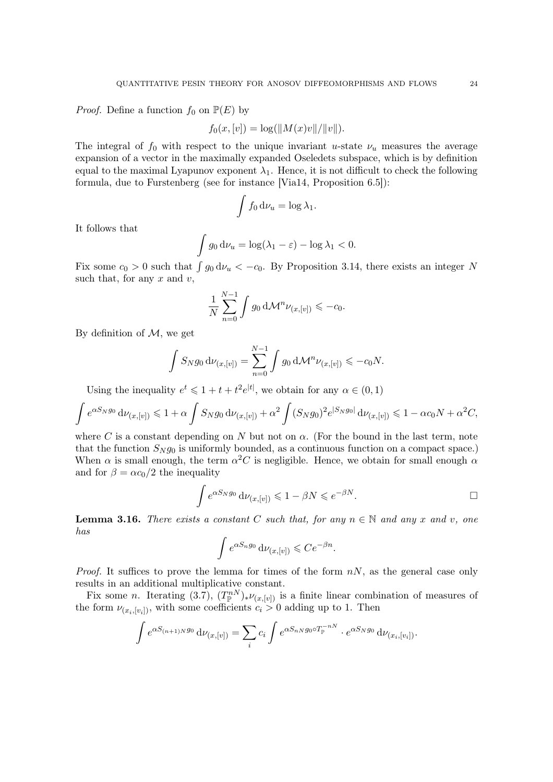<span id="page-23-1"></span>*Proof.* Define a function  $f_0$  on  $\mathbb{P}(E)$  by

$$
f_0(x,[v]) = \log(||M(x)v||/||v||).
$$

The integral of  $f_0$  with respect to the unique invariant u-state  $\nu_u$  measures the average expansion of a vector in the maximally expanded Oseledets subspace, which is by definition equal to the maximal Lyapunov exponent  $\lambda_1$ . Hence, it is not difficult to check the following formula, due to Furstenberg (see for instance [\[Via14,](#page-39-3) Proposition 6.5]):

$$
\int f_0 \, \mathrm{d}\nu_u = \log \lambda_1.
$$

It follows that

$$
\int g_0 \, \mathrm{d}\nu_u = \log(\lambda_1 - \varepsilon) - \log \lambda_1 < 0.
$$

Fix some  $c_0 > 0$  such that  $\int g_0 d\nu_u < -c_0$ . By Proposition [3.14,](#page-22-0) there exists an integer N such that, for any  $x$  and  $v$ ,

$$
\frac{1}{N}\sum_{n=0}^{N-1}\int g_0\,\mathrm{d}\mathcal{M}^n\nu_{(x,[v])}\leqslant -c_0.
$$

By definition of  $M$ , we get

$$
\int S_N g_0 \, d\nu_{(x,[v])} = \sum_{n=0}^{N-1} \int g_0 \, d\mathcal{M}^n \nu_{(x,[v])} \leqslant -c_0 N.
$$

Using the inequality  $e^t \leq 1 + t + t^2 e^{|t|}$ , we obtain for any  $\alpha \in (0, 1)$ 

$$
\int e^{\alpha S_N g_0} \, \mathrm{d}\nu_{(x,[v])} \leq 1 + \alpha \int S_N g_0 \, \mathrm{d}\nu_{(x,[v])} + \alpha^2 \int (S_N g_0)^2 e^{|S_N g_0|} \, \mathrm{d}\nu_{(x,[v])} \leq 1 - \alpha c_0 N + \alpha^2 C,
$$

where C is a constant depending on N but not on  $\alpha$ . (For the bound in the last term, note that the function  $S_N g_0$  is uniformly bounded, as a continuous function on a compact space.) When  $\alpha$  is small enough, the term  $\alpha^2 C$  is negligible. Hence, we obtain for small enough  $\alpha$ and for  $\beta = \alpha c_0/2$  the inequality

$$
\int e^{\alpha S_N g_0} \, \mathrm{d}\nu_{(x,[v])} \leq 1 - \beta N \leqslant e^{-\beta N}.
$$

<span id="page-23-0"></span>**Lemma 3.16.** There exists a constant C such that, for any  $n \in \mathbb{N}$  and any x and v, one has

$$
\int e^{\alpha S_n g_0} \, \mathrm{d}\nu_{(x,[v])} \leqslant C e^{-\beta n}.
$$

*Proof.* It suffices to prove the lemma for times of the form  $nN$ , as the general case only results in an additional multiplicative constant.

Fix some n. Iterating [\(3.7\)](#page-22-1),  $(T_{\mathbb{P}}^{n})_{*}\nu_{(x,[v])}$  is a finite linear combination of measures of the form  $\nu_{(x_i,[y_i])}$ , with some coefficients  $c_i > 0$  adding up to 1. Then

$$
\int e^{\alpha S_{(n+1)N}g_0} d\nu_{(x,[v])} = \sum_i c_i \int e^{\alpha S_{nN}g_0 \circ T_{\mathbb{P}}^{-nN}} \cdot e^{\alpha S_N g_0} d\nu_{(x_i,[v_i])}.
$$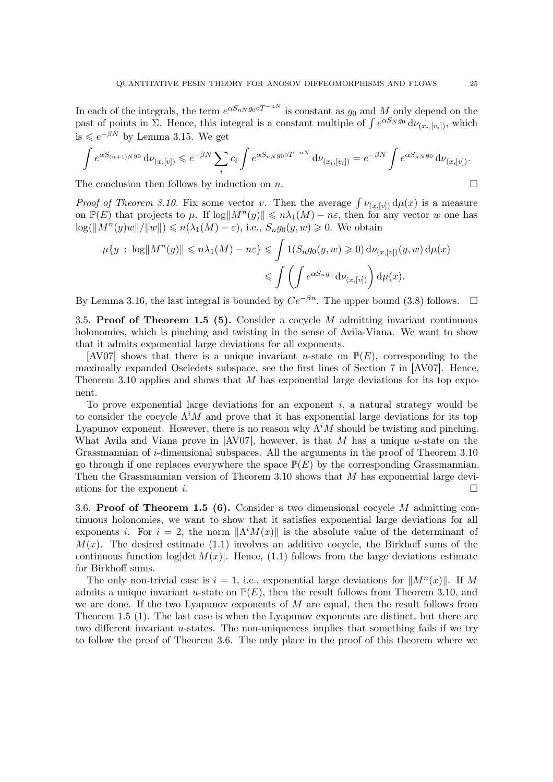<span id="page-24-2"></span>In each of the integrals, the term  $e^{\alpha S_n N g_0 \circ T^{-nN}}$  is constant as  $g_0$  and M only depend on the past of points in  $\Sigma$ . Hence, this integral is a constant multiple of  $\int e^{\alpha S_N g_0} d\nu_{(x_i,[v_i])}$ , which is  $\leqslant e^{-\beta N}$  by Lemma [3.15.](#page-22-2) We get

$$
\int e^{\alpha S_{(n+1)N}g_0} d\nu_{(x,[v])} \leqslant e^{-\beta N} \sum_i c_i \int e^{\alpha S_{nN}g_0 \circ T^{-nN}} d\nu_{(x_i,[v_i])} = e^{-\beta N} \int e^{\alpha S_{nN}g_0} d\nu_{(x,[v])}.
$$

The conclusion then follows by induction on n.  $\Box$ 

*Proof of Theorem [3.10.](#page-19-0)* Fix some vector v. Then the average  $\int \nu_{(x,[v])} d\mu(x)$  is a measure on  $\mathbb{P}(E)$  that projects to  $\mu$ . If  $\log \|M^n(y)\| \leq n\lambda_1(M) - n\varepsilon$ , then for any vector w one has  $\log(||M^n(y)w||/||w||) \leq n(\lambda_1(M) - \varepsilon)$ , i.e.,  $S_n g_0(y, w) \geq 0$ . We obtain

$$
\mu\{y \,:\, \log||M^n(y)|| \leq n\lambda_1(M) - n\varepsilon\} \leq \int 1(S_n g_0(y, w) \geq 0) d\nu_{(x, [v])}(y, w) d\mu(x)
$$

$$
\leq \int \left(\int e^{\alpha S_n g_0} d\nu_{(x, [v])}\right) d\mu(x).
$$

<span id="page-24-0"></span>By Lemma [3.16,](#page-23-0) the last integral is bounded by  $Ce^{-\beta n}$ . The upper bound [\(3.8\)](#page-22-3) follows.  $\square$ 

3.5. Proof of Theorem [1.5](#page-3-0) (5). Consider a cocycle M admitting invariant continuous holonomies, which is pinching and twisting in the sense of Avila-Viana. We want to show that it admits exponential large deviations for all exponents.

[\[AV07\]](#page-39-2) shows that there is a unique invariant u-state on  $\mathbb{P}(E)$ , corresponding to the maximally expanded Oseledets subspace, see the first lines of Section 7 in [\[AV07\]](#page-39-2). Hence, Theorem [3.10](#page-19-0) applies and shows that  $M$  has exponential large deviations for its top exponent.

To prove exponential large deviations for an exponent  $i$ , a natural strategy would be to consider the cocycle  $\Lambda^i M$  and prove that it has exponential large deviations for its top Lyapunov exponent. However, there is no reason why  $\Lambda^i M$  should be twisting and pinching. What Avila and Viana prove in [\[AV07\]](#page-39-2), however, is that M has a unique  $u$ -state on the Grassmannian of i-dimensional subspaces. All the arguments in the proof of Theorem [3.10](#page-19-0) go through if one replaces everywhere the space  $\mathbb{P}(E)$  by the corresponding Grassmannian. Then the Grassmannian version of Theorem [3.10](#page-19-0) shows that M has exponential large deviations for the exponent i.  $\Box$ 

<span id="page-24-1"></span>3.6. Proof of Theorem [1.5](#page-3-0) (6). Consider a two dimensional cocycle M admitting continuous holonomies, we want to show that it satisfies exponential large deviations for all exponents i. For  $i = 2$ , the norm  $\|\Lambda^i M(x)\|$  is the absolute value of the determinant of  $M(x)$ . The desired estimate [\(1.1\)](#page-1-2) involves an additive cocycle, the Birkhoff sums of the continuous function  $log|\det M(x)|$ . Hence, [\(1.1\)](#page-1-2) follows from the large deviations estimate for Birkhoff sums.

The only non-trivial case is  $i = 1$ , i.e., exponential large deviations for  $||M^n(x)||$ . If M admits a unique invariant u-state on  $\mathbb{P}(E)$ , then the result follows from Theorem [3.10,](#page-19-0) and we are done. If the two Lyapunov exponents of  $M$  are equal, then the result follows from Theorem [1.5](#page-3-0) (1). The last case is when the Lyapunov exponents are distinct, but there are two different invariant u-states. The non-uniqueness implies that something fails if we try to follow the proof of Theorem [3.6.](#page-16-2) The only place in the proof of this theorem where we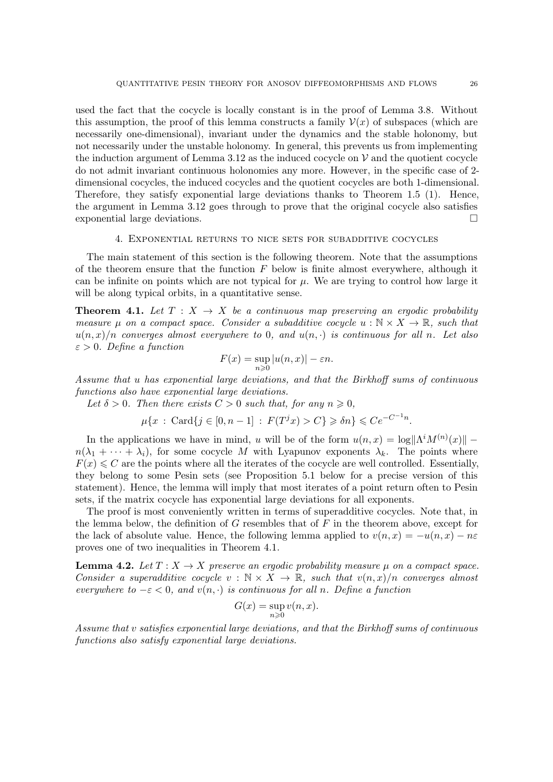used the fact that the cocycle is locally constant is in the proof of Lemma [3.8.](#page-17-0) Without this assumption, the proof of this lemma constructs a family  $\mathcal{V}(x)$  of subspaces (which are necessarily one-dimensional), invariant under the dynamics and the stable holonomy, but not necessarily under the unstable holonomy. In general, this prevents us from implementing the induction argument of Lemma [3.12](#page-19-2) as the induced cocycle on  $\mathcal V$  and the quotient cocycle do not admit invariant continuous holonomies any more. However, in the specific case of 2 dimensional cocycles, the induced cocycles and the quotient cocycles are both 1-dimensional. Therefore, they satisfy exponential large deviations thanks to Theorem [1.5](#page-3-0) (1). Hence, the argument in Lemma [3.12](#page-19-2) goes through to prove that the original cocycle also satisfies exponential large deviations.

### 4. Exponential returns to nice sets for subadditive cocycles

The main statement of this section is the following theorem. Note that the assumptions of the theorem ensure that the function  $F$  below is finite almost everywhere, although it can be infinite on points which are not typical for  $\mu$ . We are trying to control how large it will be along typical orbits, in a quantitative sense.

<span id="page-25-0"></span>**Theorem 4.1.** Let  $T : X \rightarrow X$  be a continuous map preserving an ergodic probability measure  $\mu$  on a compact space. Consider a subadditive cocycle  $u : \mathbb{N} \times X \to \mathbb{R}$ , such that  $u(n, x)/n$  converges almost everywhere to 0, and  $u(n, \cdot)$  is continuous for all n. Let also  $\varepsilon > 0$ . Define a function

$$
F(x) = \sup_{n \ge 0} |u(n, x)| - \varepsilon n.
$$

Assume that u has exponential large deviations, and that the Birkhoff sums of continuous functions also have exponential large deviations.

Let  $\delta > 0$ . Then there exists  $C > 0$  such that, for any  $n \geq 0$ .

 $\mu\{x : \text{Card}\{j \in [0, n-1] : F(T^j x) > C\} \geq \delta n\} \leqslant Ce^{-C^{-1}n}.$ 

In the applications we have in mind, u will be of the form  $u(n,x) = \log ||\Lambda^i M^{(n)}(x)||$  –  $n(\lambda_1 + \cdots + \lambda_i)$ , for some cocycle M with Lyapunov exponents  $\lambda_k$ . The points where  $F(x) \leq C$  are the points where all the iterates of the cocycle are well controlled. Essentially, they belong to some Pesin sets (see Proposition [5.1](#page-28-0) below for a precise version of this statement). Hence, the lemma will imply that most iterates of a point return often to Pesin sets, if the matrix cocycle has exponential large deviations for all exponents.

The proof is most conveniently written in terms of superadditive cocycles. Note that, in the lemma below, the definition of  $G$  resembles that of  $F$  in the theorem above, except for the lack of absolute value. Hence, the following lemma applied to  $v(n, x) = -u(n, x) - n\varepsilon$ proves one of two inequalities in Theorem [4.1.](#page-25-0)

<span id="page-25-1"></span>**Lemma 4.2.** Let  $T : X \to X$  preserve an ergodic probability measure  $\mu$  on a compact space. Consider a superadditive cocycle  $v : \mathbb{N} \times X \to \mathbb{R}$ , such that  $v(n, x)/n$  converges almost everywhere to  $-\varepsilon < 0$ , and  $v(n, \cdot)$  is continuous for all n. Define a function

$$
G(x) = \sup_{n \ge 0} v(n, x).
$$

Assume that v satisfies exponential large deviations, and that the Birkhoff sums of continuous functions also satisfy exponential large deviations.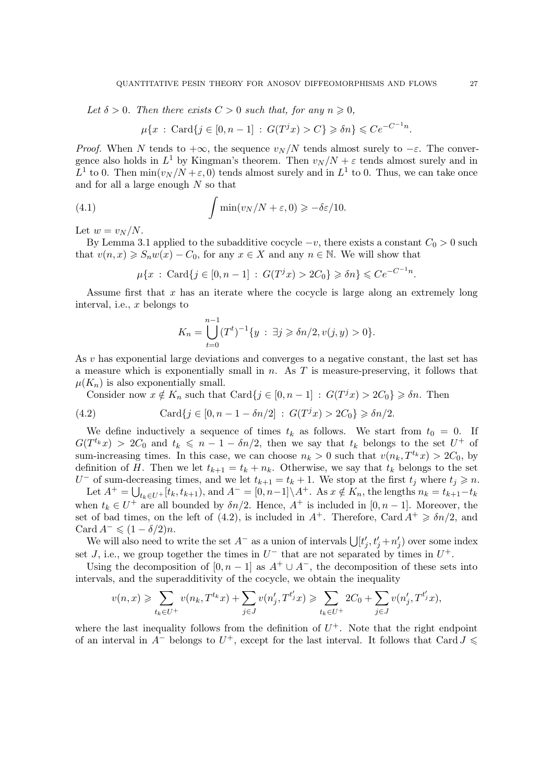Let  $\delta > 0$ . Then there exists  $C > 0$  such that, for any  $n \geq 0$ ,

$$
\mu\{x \,:\, \text{Card}\{j \in [0, n-1] \,:\, G(T^j x) > C\} \geq \delta n\} \leqslant Ce^{-C^{-1}n}.
$$

*Proof.* When N tends to  $+\infty$ , the sequence  $v_N/N$  tends almost surely to  $-\varepsilon$ . The convergence also holds in  $L^1$  by Kingman's theorem. Then  $v_N/N + \varepsilon$  tends almost surely and in  $L^1$  to 0. Then  $\min(v_N/N + \varepsilon, 0)$  tends almost surely and in  $L^1$  to 0. Thus, we can take once and for all a large enough  $N$  so that

(4.1) 
$$
\int \min(v_N/N + \varepsilon, 0) \geq -\delta \varepsilon / 10.
$$

Let  $w = v_N/N$ .

By Lemma [3.1](#page-12-2) applied to the subadditive cocycle  $-v$ , there exists a constant  $C_0 > 0$  such that  $v(n, x) \ge S_n w(x) - C_0$ , for any  $x \in X$  and any  $n \in \mathbb{N}$ . We will show that

<span id="page-26-1"></span> $\mu\{x \,:\, \text{Card}\{j \in [0, n-1] \,:\, G(T^j x) > 2C_0\} \geq \delta n\} \leqslant Ce^{-C^{-1}n}.$ 

Assume first that  $x$  has an iterate where the cocycle is large along an extremely long interval, i.e.,  $x$  belongs to

$$
K_n = \bigcup_{t=0}^{n-1} (T^t)^{-1} \{ y : \exists j \geq \delta n/2, v(j, y) > 0 \}.
$$

As v has exponential large deviations and converges to a negative constant, the last set has a measure which is exponentially small in  $n$ . As  $T$  is measure-preserving, it follows that  $\mu(K_n)$  is also exponentially small.

<span id="page-26-0"></span>Consider now  $x \notin K_n$  such that  $\text{Card}\{j \in [0, n-1] : G(T^j x) > 2C_0\} \geq \delta n$ . Then

(4.2) 
$$
\operatorname{Card} \{ j \in [0, n-1-\delta n/2] : G(T^j x) > 2C_0 \} \geq \delta n/2.
$$

We define inductively a sequence of times  $t_k$  as follows. We start from  $t_0 = 0$ . If  $G(T^{t_k}x) > 2C_0$  and  $t_k \leq n-1-\delta n/2$ , then we say that  $t_k$  belongs to the set  $U^+$  of sum-increasing times. In this case, we can choose  $n_k > 0$  such that  $v(n_k, T^{t_k}x) > 2C_0$ , by definition of H. Then we let  $t_{k+1} = t_k + n_k$ . Otherwise, we say that  $t_k$  belongs to the set U<sup>-</sup> of sum-decreasing times, and we let  $t_{k+1} = t_k + 1$ . We stop at the first  $t_j$  where  $t_j \geq n$ .

Let  $A^+ = \bigcup_{t_k \in U^+} [t_k, t_{k+1}),$  and  $A^- = [0, n-1] \setminus A^+$ . As  $x \notin K_n$ , the lengths  $n_k = t_{k+1}-t_k$ when  $t_k \in U^+$  are all bounded by  $\delta n/2$ . Hence,  $A^+$  is included in  $[0, n-1]$ . Moreover, the set of bad times, on the left of [\(4.2\)](#page-26-0), is included in  $A^+$ . Therefore, Card  $A^+ \geq \delta n/2$ , and Card  $A^{-} \leqslant (1 - \delta/2)n$ .

We will also need to write the set  $A^-$  as a union of intervals  $\bigcup [t'_j, t'_j + n'_j)$  over some index set J, i.e., we group together the times in  $U^-$  that are not separated by times in  $U^+$ .

Using the decomposition of  $[0, n-1]$  as  $A^+ \cup A^-$ , the decomposition of these sets into intervals, and the superadditivity of the cocycle, we obtain the inequality

$$
v(n,x) \geqslant \sum_{t_k \in U^+} v(n_k,T^{t_k}x) + \sum_{j \in J} v(n'_j,T^{t'_j}x) \geqslant \sum_{t_k \in U^+} 2C_0 + \sum_{j \in J} v(n'_j,T^{t'_j}x),
$$

where the last inequality follows from the definition of  $U^+$ . Note that the right endpoint of an interval in  $A^-$  belongs to  $U^+$ , except for the last interval. It follows that Card  $J \leq$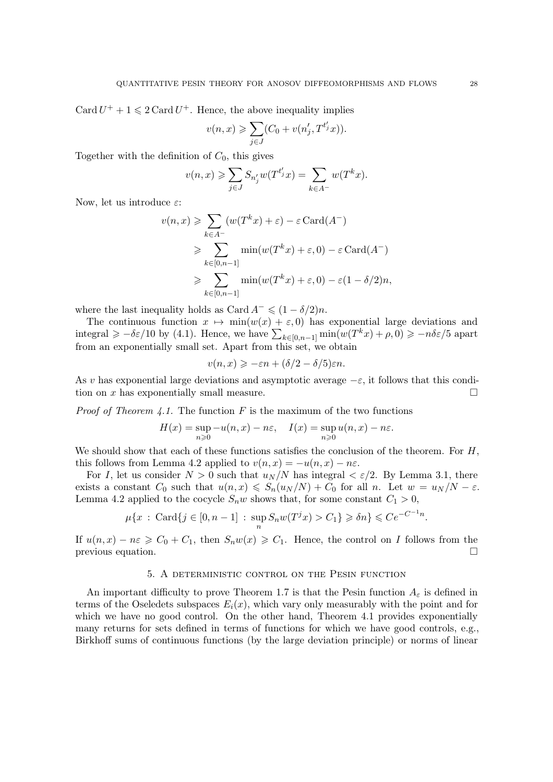Card  $U^+ + 1 \leq 2$  Card  $U^+$ . Hence, the above inequality implies

$$
v(n,x) \geqslant \sum_{j\in J}(C_0 + v(n'_j,T^{t'_j}x)).
$$

Together with the definition of  $C_0$ , this gives

$$
v(n,x) \geqslant \sum_{j \in J} S_{n'_j} w(T^{t'_j} x) = \sum_{k \in A^-} w(T^k x).
$$

Now, let us introduce  $\varepsilon$ :

$$
v(n,x) \geqslant \sum_{k \in A^-} (w(T^k x) + \varepsilon) - \varepsilon \operatorname{Card}(A^-)
$$
  
\n
$$
\geqslant \sum_{k \in [0,n-1]} \min(w(T^k x) + \varepsilon, 0) - \varepsilon \operatorname{Card}(A^-)
$$
  
\n
$$
\geqslant \sum_{k \in [0,n-1]} \min(w(T^k x) + \varepsilon, 0) - \varepsilon (1 - \delta/2)n,
$$

where the last inequality holds as Card  $A^- \leq (1 - \delta/2)n$ .

The continuous function  $x \mapsto \min(w(x) + \varepsilon, 0)$  has exponential large deviations and integral  $\geq -\delta \varepsilon/10$  by [\(4.1\)](#page-26-1). Hence, we have  $\sum_{k\in[0,n-1]} \min(w(T^k x) + \rho, 0) \geq -n\delta \varepsilon/5$  apart from an exponentially small set. Apart from this set, we obtain

$$
v(n,x) \geqslant -\varepsilon n + (\delta/2 - \delta/5)\varepsilon n.
$$

As v has exponential large deviations and asymptotic average  $-\varepsilon$ , it follows that this condition on x has exponentially small measure tion on x has exponentially small measure.

*Proof of Theorem [4.1.](#page-25-0)* The function F is the maximum of the two functions

$$
H(x) = \sup_{n\geqslant 0} -u(n,x) - n\varepsilon, \quad I(x) = \sup_{n\geqslant 0} u(n,x) - n\varepsilon.
$$

We should show that each of these functions satisfies the conclusion of the theorem. For  $H$ , this follows from Lemma [4.2](#page-25-1) applied to  $v(n, x) = -u(n, x) - n\varepsilon$ .

For I, let us consider  $N > 0$  such that  $u_N/N$  has integral  $\langle \varepsilon/2 \rangle$ . By Lemma [3.1,](#page-12-2) there exists a constant  $C_0$  such that  $u(n, x) \leq S_n(u_N/N) + C_0$  for all n. Let  $w = u_N/N - \varepsilon$ . Lemma [4.2](#page-25-1) applied to the cocycle  $S_n w$  shows that, for some constant  $C_1 > 0$ ,

$$
\mu\{x \,:\, \text{Card}\{j \in [0, n-1] \,:\, \sup_n S_n w(T^j x) > C_1\} \geq \delta n\} \leqslant Ce^{-C^{-1}n}
$$

If  $u(n, x) - n\varepsilon \geq C_0 + C_1$ , then  $S_n w(x) \geq C_1$ . Hence, the control on *I* follows from the previous equation. previous equation.

## 5. A deterministic control on the Pesin function

An important difficulty to prove Theorem [1.7](#page-5-0) is that the Pesin function  $A_{\varepsilon}$  is defined in terms of the Oseledets subspaces  $E_i(x)$ , which vary only measurably with the point and for which we have no good control. On the other hand, Theorem [4.1](#page-25-0) provides exponentially many returns for sets defined in terms of functions for which we have good controls, e.g., Birkhoff sums of continuous functions (by the large deviation principle) or norms of linear

.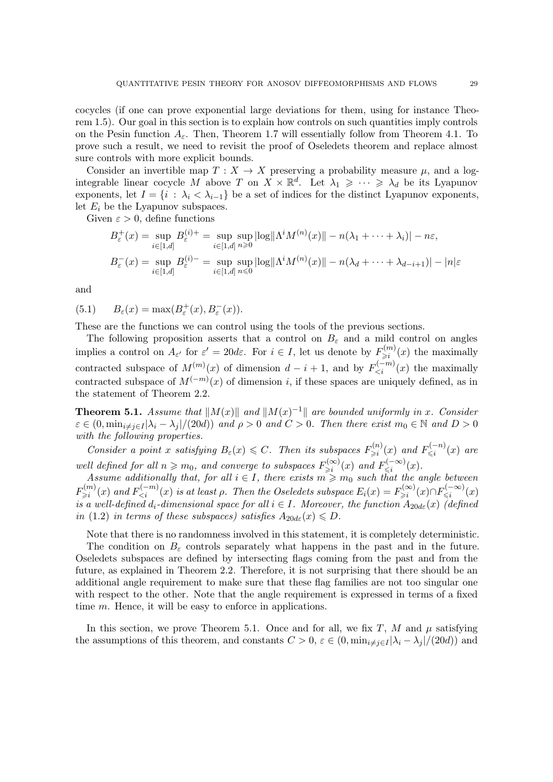cocycles (if one can prove exponential large deviations for them, using for instance Theorem [1.5\)](#page-3-0). Our goal in this section is to explain how controls on such quantities imply controls on the Pesin function  $A_{\varepsilon}$ . Then, Theorem [1.7](#page-5-0) will essentially follow from Theorem [4.1.](#page-25-0) To prove such a result, we need to revisit the proof of Oseledets theorem and replace almost sure controls with more explicit bounds.

Consider an invertible map  $T : X \to X$  preserving a probability measure  $\mu$ , and a logintegrable linear cocycle M above T on  $X \times \mathbb{R}^d$ . Let  $\lambda_1 \geqslant \cdots \geqslant \lambda_d$  be its Lyapunov exponents, let  $I = \{i : \lambda_i < \lambda_{i-1}\}\$ be a set of indices for the distinct Lyapunov exponents, let  $E_i$  be the Lyapunov subspaces.

Given  $\varepsilon > 0$ , define functions

$$
B_{\varepsilon}^{+}(x) = \sup_{i \in [1,d]} B_{\varepsilon}^{(i)+} = \sup_{i \in [1,d]} \sup_{n \ge 0} |\log |\Lambda^{i} M^{(n)}(x)|| - n(\lambda_1 + \dots + \lambda_i)| - n\varepsilon,
$$
  

$$
B_{\varepsilon}^{-}(x) = \sup_{i \in [1,d]} B_{\varepsilon}^{(i)-} = \sup_{i \in [1,d]} \sup_{n \le 0} |\log |\Lambda^{i} M^{(n)}(x)|| - n(\lambda_d + \dots + \lambda_{d-i+1})| - |n|\varepsilon
$$

and

<span id="page-28-1"></span>(5.1)  $B_{\varepsilon}(x) = \max(B_{\varepsilon}^+(x), B_{\varepsilon}^-(x)).$ 

These are the functions we can control using the tools of the previous sections.

The following proposition asserts that a control on  $B_{\varepsilon}$  and a mild control on angles implies a control on  $A_{\varepsilon'}$  for  $\varepsilon' = 20d\varepsilon$ . For  $i \in I$ , let us denote by  $F_{\geqslant i}^{(m)}$  $\sum_{i=1}^{(m)} (x)$  the maximally contracted subspace of  $M^{(m)}(x)$  of dimension  $d-i+1$ , and by  $F_{\leq i}^{(-m)}(x)$  the maximally contracted subspace of  $M^{(-m)}(x)$  of dimension i, if these spaces are uniquely defined, as in the statement of Theorem [2.2.](#page-9-0)

<span id="page-28-0"></span>**Theorem 5.1.** Assume that  $||M(x)||$  and  $||M(x)^{-1}||$  are bounded uniformly in x. Consider  $\varepsilon \in (0, \min_{i \neq j \in I} |\lambda_i - \lambda_j|/(20d))$  and  $\rho > 0$  and  $C > 0$ . Then there exist  $m_0 \in \mathbb{N}$  and  $D > 0$ with the following properties.

Consider a point x satisfying  $B_{\varepsilon}(x) \leqslant C$ . Then its subspaces  $F_{\geqslant i}^{(n)}$  $E^{(n)}_{\geq i}(x)$  and  $F^{(-n)}_{\leq i}$  $\int_{\leqslant i}^{(-n)} (x)$  are well defined for all  $n \geq m_0$ , and converge to subspaces  $F_{\geq i}^{(\infty)}$  $\sum_{\geq i}^{(\infty)}(x)$  and  $F_{\leq i}^{(-\infty)}$  $\sum_{i=1}^{(n-1)} (x).$ 

Assume additionally that, for all  $i \in I$ , there exists  $m \geq m_0$  such that the angle between  $F_{\geq i}^{(m)}$  $\chi^{(m)}_{\geqslant i}(x)$  and  $F^{(-m)}_{\leqslant i}(x)$  is at least  $\rho$ . Then the Oseledets subspace  $E_i(x) = F^{(\infty)}_{\geqslant i}(x)$  $\sum_{i=1}^{n(\infty)}(x)\cap F_{\leqslant i}^{(-\infty)}$  $\sum_{i=1}^{(n-1)} (x)$ is a well-defined  $d_i$ -dimensional space for all  $i \in I$ . Moreover, the function  $A_{20d\varepsilon}(x)$  (defined in [\(1.2\)](#page-4-1) in terms of these subspaces) satisfies  $A_{20d\varepsilon}(x) \leq D$ .

Note that there is no randomness involved in this statement, it is completely deterministic.

The condition on  $B_{\varepsilon}$  controls separately what happens in the past and in the future. Oseledets subspaces are defined by intersecting flags coming from the past and from the future, as explained in Theorem [2.2.](#page-9-0) Therefore, it is not surprising that there should be an additional angle requirement to make sure that these flag families are not too singular one with respect to the other. Note that the angle requirement is expressed in terms of a fixed time m. Hence, it will be easy to enforce in applications.

In this section, we prove Theorem [5.1.](#page-28-0) Once and for all, we fix T, M and  $\mu$  satisfying the assumptions of this theorem, and constants  $C > 0$ ,  $\varepsilon \in (0, \min_{i \neq j \in I} |\lambda_i - \lambda_j|/(20d))$  and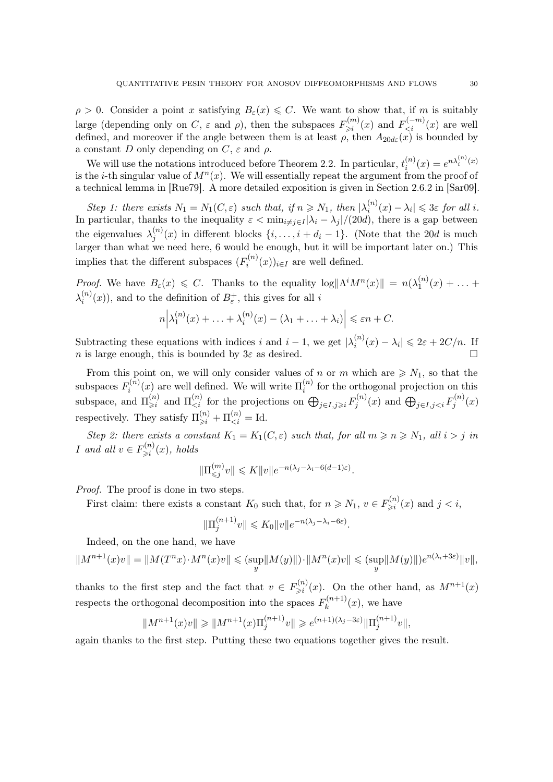<span id="page-29-0"></span> $\rho > 0$ . Consider a point x satisfying  $B_{\varepsilon}(x) \leq C$ . We want to show that, if m is suitably large (depending only on C,  $\varepsilon$  and  $\rho$ ), then the subspaces  $F_{\geq i}^{(m)}$  $F^{(m)}_{\leq i}(x)$  and  $F^{(-m)}_{\leq i}(x)$  are well defined, and moreover if the angle between them is at least  $\rho$ , then  $A_{20d\varepsilon}(x)$  is bounded by a constant D only depending on  $C$ ,  $\varepsilon$  and  $\rho$ .

We will use the notations introduced before Theorem [2.2.](#page-9-0) In particular,  $t_i^{(n)}$  $i^{(n)}(x) = e^{n\lambda_i^{(n)}(x)}$ is the *i*-th singular value of  $M^n(x)$ . We will essentially repeat the argument from the proof of a technical lemma in [\[Rue79\]](#page-39-13). A more detailed exposition is given in Section 2.6.2 in [\[Sar09\]](#page-39-14).

Step 1: there exists  $N_1 = N_1(C, \varepsilon)$  such that, if  $n \ge N_1$ , then  $|\lambda_i^{(n)}(x) - \lambda_i| \le 3\varepsilon$  for all i. Step 1. there exists  $N_1 = N_1(\mathcal{O}, \varepsilon)$  such that, if  $n \ge N_1$ , then  $|\lambda_i - \lambda_j| \le \infty$  for an i the eigenvalues  $\lambda_i^{(n)}$  $j^{(n)}(x)$  in different blocks  $\{i, \ldots, i + d_i - 1\}$ . (Note that the 20d is much larger than what we need here, 6 would be enough, but it will be important later on.) This implies that the different subspaces  $(F_i^{(n)}$  $i^{(n)}(x)$ <sub>i∈I</sub> are well defined.

Proof. We have  $B_{\varepsilon}(x) \leqslant C$ . Thanks to the equality  $\log ||\Lambda^i M^n(x)|| = n(\lambda_1^{(n)})$  $1^{(n)}(x) + \ldots +$  $\lambda_i^{(n)}$  $i^{(n)}(x)$ , and to the definition of  $B_{\varepsilon}^{+}$ , this gives for all i

$$
n\left|\lambda_1^{(n)}(x)+\ldots+\lambda_i^{(n)}(x)-(\lambda_1+\ldots+\lambda_i)\right|\leq \varepsilon n+C.
$$

Subtracting these equations with indices i and  $i - 1$ , we get  $|\lambda_i^{(n)}|$  $\sum_{i=1}^{(n)}(x) - \lambda_i \leq 2\varepsilon + 2C/n.$  If n is large enough, this is bounded by  $3\varepsilon$  as desired.

From this point on, we will only consider values of n or m which are  $\geq N_1$ , so that the subspaces  $F_i^{(n)}$  $\mathbf{u}_i^{(n)}(x)$  are well defined. We will write  $\Pi_i^{(n)}$  $i^{(n)}$  for the orthogonal projection on this subspace, and  $\Pi_{\geq i}^{(n)}$  $\sum_{j=1}^{(n)}$  and  $\Pi_{\leq i}^{(n)}$  for the projections on  $\bigoplus_{j\in I,j\geqslant i}F_j^{(n)}$  $\bigoplus_{j\in I, j and  $\bigoplus_{j\in I, j$$  $j^{(n)}(x)$ respectively. They satisfy  $\Pi_{\geq i}^{(n)} + \Pi_{\leq i}^{(n)} = \text{Id}$ .

Step 2: there exists a constant  $K_1 = K_1(C, \varepsilon)$  such that, for all  $m \ge n \ge N_1$ , all  $i > j$  in *I* and all  $v \in F_{\geq i}^{(n)}$  $\sum_{i=1}^{(n)} (x)$ , holds

$$
\|\Pi_{\leq j}^{(m)}v\| \leqslant K\|v\|e^{-n(\lambda_j-\lambda_i-6(d-1)\varepsilon)}.
$$

Proof. The proof is done in two steps.

First claim: there exists a constant  $K_0$  such that, for  $n \ge N_1$ ,  $v \in F_{\ge i}^{(n)}$  $\sum_{i=1}^{n} (x)$  and  $j < i$ ,

$$
\|\Pi_j^{(n+1)}v\| \leq K_0 \|v\| e^{-n(\lambda_j - \lambda_i - 6\varepsilon)}.
$$

Indeed, on the one hand, we have

$$
||M^{n+1}(x)v|| = ||M(T^nx) \cdot M^n(x)v|| \leq (sup_y ||M(y)||) \cdot ||M^n(x)v|| \leq (sup_y ||M(y)||)e^{n(\lambda_i + 3\varepsilon)}||v||,
$$

thanks to the first step and the fact that  $v \in F_{\geq i}^{(n)}$  $\sum_{i=1}^{(n)}(x)$ . On the other hand, as  $M^{n+1}(x)$ respects the orthogonal decomposition into the spaces  $F_k^{(n+1)}$  $\kappa^{(n+1)}(x)$ , we have

$$
||M^{n+1}(x)v|| \ge ||M^{n+1}(x)\Pi_j^{(n+1)}v|| \ge e^{(n+1)(\lambda_j - 3\varepsilon)}||\Pi_j^{(n+1)}v||,
$$

again thanks to the first step. Putting these two equations together gives the result.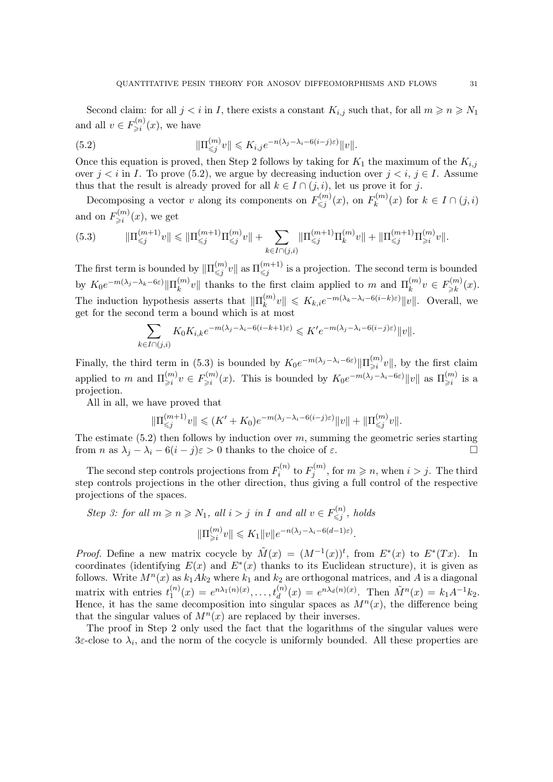Second claim: for all  $j < i$  in I, there exists a constant  $K_{i,j}$  such that, for all  $m \geqslant n \geqslant N_1$ and all  $v \in F_{\geq i}^{(n)}$  $\sum_{i=1}^{\infty} (x)$ , we have

<span id="page-30-0"></span>(5.2) 
$$
\|\Pi_{\leq j}^{(m)}v\| \leq K_{i,j}e^{-n(\lambda_j-\lambda_i-6(i-j)\varepsilon)}\|v\|.
$$

Once this equation is proved, then Step 2 follows by taking for  $K_1$  the maximum of the  $K_{i,j}$ over  $j < i$  in I. To prove [\(5.2\)](#page-30-0), we argue by decreasing induction over  $j < i$ ,  $j \in I$ . Assume thus that the result is already proved for all  $k \in I \cap (j, i)$ , let us prove it for j.

Decomposing a vector v along its components on  $F^{(m)}_{\leq i}$  $F^{(m)}_{\leqslant j}(x), \text{ on } F^{(m)}_k$  $\binom{n}{k}$  (x) for  $k \in I \cap (j,i)$ and on  $F_{\geq i}^{(m)}$  $\sum_{i=1}^{(m)} (x)$ , we get

<span id="page-30-1"></span>
$$
(5.3) \t||\Pi_{\leq j}^{(m+1)}v\| \leq ||\Pi_{\leq j}^{(m+1)}\Pi_{\leq j}^{(m)}v\| + \sum_{k \in I \cap (j,i)} ||\Pi_{\leq j}^{(m+1)}\Pi_{k}^{(m)}v\| + ||\Pi_{\leq j}^{(m+1)}\Pi_{\geq i}^{(m)}v\|.
$$

The first term is bounded by  $\|\Pi_{\leqslant j}^{(m)}\|$  $\frac{(m)}{\leqslant j}v\Vert$  as  $\Pi _{\leqslant j}^{(m+1)}$  $\binom{(m+1)}{\leq j}$  is a projection. The second term is bounded by  $K_0 e^{-m(\lambda_j - \lambda_k - 6\varepsilon)} \|\Pi_k^{(m)}\|$  $\binom{m}{k}v\Vert$  thanks to the first claim applied to m and  $\Pi_k^{(m)}$  $\binom{m}{k}v \in F^{(m)}_{\geqslant k}$  $\sum_{k=1}^{(m)}(x).$ The induction hypothesis asserts that  $\|\Pi_k^{(m)}\|$  $\|k_{k}^{(m)}v\| \leqslant K_{k,i}e^{-m(\lambda_k-\lambda_i-6(i-k)\varepsilon)}\|v\|.$  Overall, we get for the second term a bound which is at most

$$
\sum_{k \in I \cap (j,i)} K_0 K_{i,k} e^{-m(\lambda_j - \lambda_i - 6(i - k + 1)\varepsilon)} \leqslant K' e^{-m(\lambda_j - \lambda_i - 6(i - j)\varepsilon)} \|v\|.
$$

Finally, the third term in [\(5.3\)](#page-30-1) is bounded by  $K_0e^{-m(\lambda_j-\lambda_i-6\varepsilon)}\|\Pi_{\geq i}^{(m)}\|$  $\lim_{i \to i} |v|$ , by the first claim applied to m and  $\Pi_{\geq i}^{(m)}$  $\binom{m}{\geqslant i}v \in F_{\geqslant i}^{(m)}$  $\sum_{j=1}^{(m)}(x)$ . This is bounded by  $K_0e^{-m(\lambda_j-\lambda_i-6\varepsilon)}\|v\|$  as  $\Pi_{\geqslant i}^{(m)}$  $\sum_{i=1}^{m}$  is a projection.

All in all, we have proved that

$$
\|\Pi_{\leq j}^{(m+1)}v\| \leq (K' + K_0)e^{-m(\lambda_j - \lambda_i - 6(i-j)\varepsilon)}\|v\| + \|\Pi_{\leq j}^{(m)}v\|.
$$

The estimate  $(5.2)$  then follows by induction over m, summing the geometric series starting from *n* as  $\lambda_i - \lambda_i - 6(i - j)\varepsilon > 0$  thanks to the choice of  $\varepsilon$ .

The second step controls projections from  $F_i^{(n)}$  $f_i^{(n)}$  to  $F_j^{(m)}$  $j_j^{(m)}$ , for  $m \geqslant n$ , when  $i > j$ . The third step controls projections in the other direction, thus giving a full control of the respective projections of the spaces.

 $\left( \frac{1}{2} \right)$ 

Step 3: for all 
$$
m \ge n \ge N_1
$$
, all  $i > j$  in I and all  $v \in F_{\le j}^{(n)}$ , holds  

$$
||\Pi_{\ge i}^{(m)}v|| \le K_1 ||v||e^{-n(\lambda_j - \lambda_i - 6(d-1)\varepsilon)}.
$$

*Proof.* Define a new matrix cocycle by  $\tilde{M}(x) = (M^{-1}(x))^{t}$ , from  $E^{*}(x)$  to  $E^{*}(Tx)$ . In coordinates (identifying  $E(x)$  and  $E^*(x)$  thanks to its Euclidean structure), it is given as follows. Write  $M^{n}(x)$  as  $k_1Ak_2$  where  $k_1$  and  $k_2$  are orthogonal matrices, and A is a diagonal matrix with entries  $t_1^{(n)}$  $I_1^{(n)}(x) = e^{n\lambda_1(n)(x)}, \ldots, t_d^{(n)}(x) = e^{n\lambda_d(n)(x)}.$  Then  $\tilde{M}^n(x) = k_1 A^{-1} k_2$ . Hence, it has the same decomposition into singular spaces as  $M<sup>n</sup>(x)$ , the difference being that the singular values of  $M^n(x)$  are replaced by their inverses.

The proof in Step 2 only used the fact that the logarithms of the singular values were 3ε-close to  $\lambda_i$ , and the norm of the cocycle is uniformly bounded. All these properties are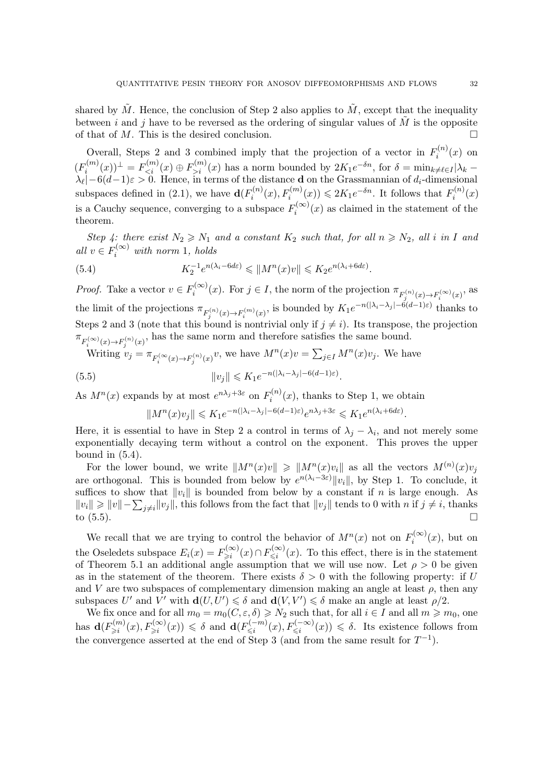shared by  $\tilde{M}$ . Hence, the conclusion of Step 2 also applies to  $\tilde{M}$ , except that the inequality between i and j have to be reversed as the ordering of singular values of  $\tilde{M}$  is the opposite of that of M. This is the desired conclusion.  $\Box$ 

Overall, Steps 2 and 3 combined imply that the projection of a vector in  $F_i^{(n)}$  $i^{(n)}(x)$  on  $(F_i^{(m)}$  $E_i^{(m)}(x)$ <sup> $\perp$ </sup> =  $F_{\leq i}^{(m)}(x) \oplus F_{>i}^{(m)}(x)$  has a norm bounded by  $2K_1e^{-\delta n}$ , for  $\delta = \min_{k \neq \ell \in I} |\lambda_k - \ell|$  $\lambda_{\ell}$  – 6(d-1) $\varepsilon > 0$ . Hence, in terms of the distance **d** on the Grassmannian of  $d_i$ -dimensional subspaces defined in [\(2.1\)](#page-9-1), we have  $\mathbf{d}(F_i^{(n)})$  $F_i^{(n)}(x), F_i^{(m)}(x)) \leqslant 2K_1 e^{-\delta n}$ . It follows that  $F_i^{(n)}$  $i^{(n)}(x)$ is a Cauchy sequence, converging to a subspace  $F_i^{(\infty)}$  $i^{(\infty)}(x)$  as claimed in the statement of the theorem.

Step 4: there exist  $N_2 \ge N_1$  and a constant  $K_2$  such that, for all  $n \ge N_2$ , all i in I and all  $v \in F_i^{(\infty)}$  with norm 1, holds

<span id="page-31-0"></span>(5.4) 
$$
K_2^{-1}e^{n(\lambda_i - 6d\varepsilon)} \leqslant ||M^n(x)v|| \leqslant K_2e^{n(\lambda_i + 6d\varepsilon)}.
$$

*Proof.* Take a vector  $v \in F_i^{(\infty)}$  $\pi_i^{(\infty)}(x)$ . For  $j \in I$ , the norm of the projection  $\pi_{F_j^{(n)}(x) \to F_i^{(\infty)}(x)}$ , as the limit of the projections  $\pi_{F_j^{(n)}(x)\to F_i^{(m)}(x)}$ , is bounded by  $K_1e^{-n(|\lambda_i-\lambda_j|-6(d-1)\varepsilon)}$  thanks to Steps 2 and 3 (note that this bound is nontrivial only if  $j \neq i$ ). Its transpose, the projection  $\pi_{F_i^{(\infty)}(x) \to F_j^{(n)}(x)}$ , has the same norm and therefore satisfies the same bound.

Writing 
$$
v_j = \pi_{F_i^{(\infty}(x) \to F_j^{(n)}(x))}
$$
, we have  $M^n(x)v = \sum_{j \in I} M^n(x)v_j$ . We have  
(5.5)  $||v_j|| \le K_1 e^{-n(|\lambda_i - \lambda_j| - 6(d-1)\varepsilon)}$ .

As  $M^n(x)$  expands by at most  $e^{n\lambda_j+3\varepsilon}$  on  $F_i^{(n)}$  $i^{(n)}(x)$ , thanks to Step 1, we obtain

<span id="page-31-1"></span>
$$
||M^n(x)v_j|| \leqslant K_1 e^{-n(|\lambda_i - \lambda_j| - 6(d-1)\varepsilon)} e^{n\lambda_j + 3\varepsilon} \leqslant K_1 e^{n(\lambda_i + 6d\varepsilon)}.
$$

Here, it is essential to have in Step 2 a control in terms of  $\lambda_j - \lambda_i$ , and not merely some exponentially decaying term without a control on the exponent. This proves the upper bound in  $(5.4)$ .

For the lower bound, we write  $||M^n(x)v|| \ge ||M^n(x)v_i||$  as all the vectors  $M^{(n)}(x)v_j$ are orthogonal. This is bounded from below by  $e^{n(\lambda_i-3\varepsilon)}||v_i||$ , by Step 1. To conclude, it suffices to show that  $||v_i||$  is bounded from below by a constant if n is large enough. As  $||v_i|| \ge ||v|| - \sum_{j \neq i} ||v_j||$ , this follows from the fact that  $||v_j||$  tends to 0 with n if  $j \neq i$ , thanks to  $(5.5)$ .

We recall that we are trying to control the behavior of  $M^n(x)$  not on  $F_i^{(\infty)}$  $\mathcal{C}_i^{(\infty)}(x)$ , but on the Oseledets subspace  $E_i(x) = F_{\geq i}^{(\infty)}$  $\sum_{i=1}^{\infty} (x) \cap F_{\leq i}^{(\infty)}$  $\sum_{i=1}^{\infty} (x)$ . To this effect, there is in the statement of Theorem [5.1](#page-28-0) an additional angle assumption that we will use now. Let  $\rho > 0$  be given as in the statement of the theorem. There exists  $\delta > 0$  with the following property: if U and V are two subspaces of complementary dimension making an angle at least  $\rho$ , then any subspaces U' and  $V'$  with  $\mathbf{d}(U, U') \leq \delta$  and  $\mathbf{d}(V, V') \leq \delta$  make an angle at least  $\rho/2$ .

We fix once and for all  $m_0 = m_0(C, \varepsilon, \delta) \ge N_2$  such that, for all  $i \in I$  and all  $m \ge m_0$ , one has  $\mathbf{d}(F_{\geq i}^{(m)})$  $\sigma^{(m)}_{\geqslant i}(x), F^{(\infty)}_{\geqslant i}(x)) \leqslant \delta \text{ and } \mathbf{d}(F^{(-m)}_{\leqslant i})$  $S_{\leq i}^{(-m)}(x), F_{\leq i}^{(-\infty)}(x)) \leq \delta$ . Its existence follows from the convergence asserted at the end of Step 3 (and from the same result for  $T^{-1}$ ).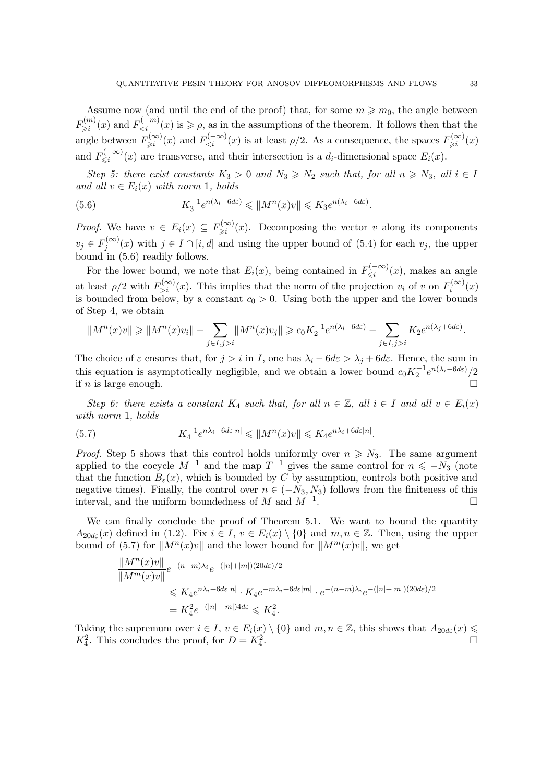Assume now (and until the end of the proof) that, for some  $m \geq m_0$ , the angle between  $F_{\geq i}^{(m)}$  $E^{(m)}_{\geq i}(x)$  and  $F^{(-m)}_{\leq i}(x)$  is  $\geqslant \rho$ , as in the assumptions of the theorem. It follows then that the angle between  $F_{\geq i}^{(\infty)}$  $\sum_{i=1}^{\infty} f(x)$  and  $F_{\leq i}^{(-\infty)}(x)$  is at least  $\rho/2$ . As a consequence, the spaces  $F_{\geq i}^{(\infty)}$  $\sum_{i=1}^{\infty} (x)$ and  $F_{\leq i}^{(-\infty)}$  $\sum_{i=1}^{N} (x_i - x_i)(x_i)$  are transverse, and their intersection is a  $d_i$ -dimensional space  $E_i(x)$ .

Step 5: there exist constants  $K_3 > 0$  and  $N_3 \ge N_2$  such that, for all  $n \ge N_3$ , all  $i \in I$ and all  $v \in E_i(x)$  with norm 1, holds

<span id="page-32-0"></span>(5.6) 
$$
K_3^{-1}e^{n(\lambda_i - 6d\varepsilon)} \leqslant \|M^n(x)v\| \leqslant K_3e^{n(\lambda_i + 6d\varepsilon)}.
$$

*Proof.* We have  $v \in E_i(x) \subseteq F_{\geq i}^{(\infty)}$  $\sum_{i=1}^{\infty} (x)$ . Decomposing the vector v along its components  $v_j \in F_j^{(\infty)}$  $j_j^{(\infty)}(x)$  with  $j \in I \cap [i, d]$  and using the upper bound of  $(5.4)$  for each  $v_j$ , the upper bound in [\(5.6\)](#page-32-0) readily follows.

For the lower bound, we note that  $E_i(x)$ , being contained in  $F_{\leq i}^{(-\infty)}$  $\mathbb{R}^{(-\infty)}(x)$ , makes an angle at least  $\rho/2$  with  $F_{>i}^{(\infty)}(x)$ . This implies that the norm of the projection  $v_i$  of v on  $F_i^{(\infty)}$  $\int_i^{(\infty)}(x)$ is bounded from below, by a constant  $c_0 > 0$ . Using both the upper and the lower bounds of Step 4, we obtain

$$
||M^n(x)v|| \ge ||M^n(x)v_i|| - \sum_{j \in I, j > i} ||M^n(x)v_j|| \ge c_0 K_2^{-1} e^{n(\lambda_i - 6d\varepsilon)} - \sum_{j \in I, j > i} K_2 e^{n(\lambda_j + 6d\varepsilon)}
$$

The choice of  $\varepsilon$  ensures that, for  $j > i$  in I, one has  $\lambda_i - 6d\varepsilon > \lambda_j + 6d\varepsilon$ . Hence, the sum in this equation is asymptotically negligible, and we obtain a lower bound  $c_0K_2^{-1}e^{n(\lambda_i-6d\varepsilon)}/2$ if *n* is large enough.

Step 6: there exists a constant  $K_4$  such that, for all  $n \in \mathbb{Z}$ , all  $i \in I$  and all  $v \in E_i(x)$ with norm 1, holds

<span id="page-32-1"></span>(5.7) 
$$
K_4^{-1}e^{n\lambda_i - 6d\varepsilon|n|} \leqslant ||M^n(x)v|| \leqslant K_4e^{n\lambda_i + 6d\varepsilon|n|}.
$$

*Proof.* Step 5 shows that this control holds uniformly over  $n \geq N_3$ . The same argument applied to the cocycle  $M^{-1}$  and the map  $T^{-1}$  gives the same control for  $n \leq N_3$  (note that the function  $B_{\varepsilon}(x)$ , which is bounded by C by assumption, controls both positive and negative times). Finally, the control over  $n \in (-N_3, N_3)$  follows from the finiteness of this interval, and the uniform boundedness of M and  $M^{-1}$ . interval, and the uniform boundedness of M and  $M^{-1}$ . . — Первый процесс в серверності процесс в процесс в серверності процесс в серверності процесс в серверності п<br>Процесс в серверності процесс в серверності процесс в серверності процесс в серверності процесс в серверності

We can finally conclude the proof of Theorem [5.1.](#page-28-0) We want to bound the quantity  $A_{20d\varepsilon}(x)$  defined in [\(1.2\)](#page-4-1). Fix  $i \in I$ ,  $v \in E_i(x) \setminus \{0\}$  and  $m, n \in \mathbb{Z}$ . Then, using the upper bound of [\(5.7\)](#page-32-1) for  $||M^n(x)v||$  and the lower bound for  $||M^m(x)v||$ , we get

$$
\frac{||M^n(x)v||}{||M^m(x)v||}e^{-(n-m)\lambda_i}e^{-(|n|+|m|)(20d\varepsilon)/2}
$$
  
\$\leq K\_4e^{n\lambda\_i+6d\varepsilon|n|} \cdot K\_4e^{-m\lambda\_i+6d\varepsilon|m|} \cdot e^{-(n-m)\lambda\_i}e^{-(|n|+|m|)(20d\varepsilon)/2}\$  
=  $K_4^2e^{-(|n|+|m|)4d\varepsilon} \leq K_4^2.$ 

Taking the supremum over  $i \in I$ ,  $v \in E_i(x) \setminus \{0\}$  and  $m, n \in \mathbb{Z}$ , this shows that  $A_{20d\varepsilon}(x) \leq$  $K_4^2$ . This concludes the proof, for  $D = K_4^2$ .

.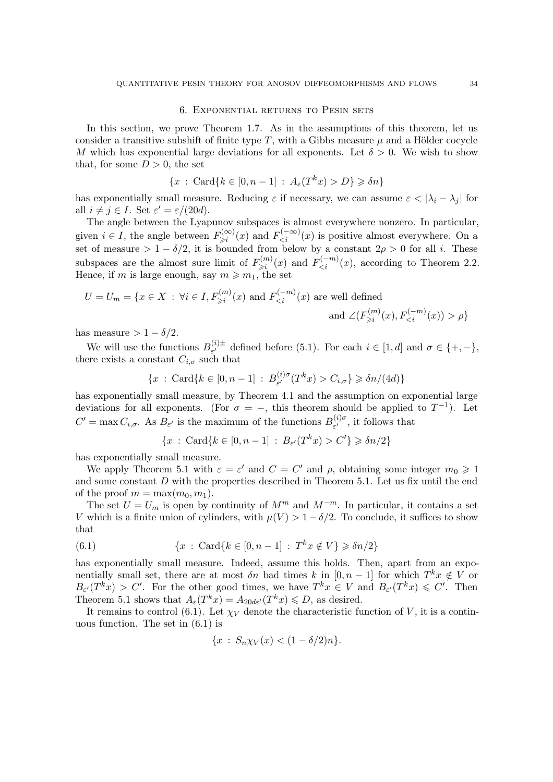#### 6. Exponential returns to Pesin sets

<span id="page-33-0"></span>In this section, we prove Theorem [1.7.](#page-5-0) As in the assumptions of this theorem, let us consider a transitive subshift of finite type T, with a Gibbs measure  $\mu$  and a Hölder cocycle M which has exponential large deviations for all exponents. Let  $\delta > 0$ . We wish to show that, for some  $D > 0$ , the set

$$
\{x \,:\, \mathrm{Card}\{k \in [0, n-1] \,:\, A_{\varepsilon}(T^k x) > D\} \geq \delta n\}
$$

has exponentially small measure. Reducing  $\varepsilon$  if necessary, we can assume  $\varepsilon < |\lambda_i - \lambda_j|$  for all  $i \neq j \in I$ . Set  $\varepsilon' = \varepsilon/(20d)$ .

The angle between the Lyapunov subspaces is almost everywhere nonzero. In particular, given  $i \in I$ , the angle between  $F_{\geq i}^{(\infty)}$  $E_{\geq i}^{(\infty)}(x)$  and  $F_{\leq i}^{(-\infty)}(x)$  is positive almost everywhere. On a set of measure >  $1 - \delta/2$ , it is bounded from below by a constant  $2\rho > 0$  for all *i*. These subspaces are the almost sure limit of  $F_{\geq i}^{(m)}$  $E_{\geq i}^{(m)}(x)$  and  $F_{\leq i}^{(-m)}(x)$ , according to Theorem [2.2.](#page-9-0) Hence, if m is large enough, say  $m \geq m_1$ , the set

$$
U = U_m = \{ x \in X : \forall i \in I, F_{\geq i}^{(m)}(x) \text{ and } F_{\leq i}^{(-m)}(x) \text{ are well defined}
$$
  
and  $\angle (F_{\geq i}^{(m)}(x), F_{\leq i}^{(-m)}(x)) > \rho \}$ 

has measure  $> 1 - \delta/2$ .

We will use the functions  $B_{\varepsilon'}^{(i)\pm}$  $\epsilon^{(i)}_{\epsilon'}$  defined before [\(5.1\)](#page-28-1). For each  $i \in [1, d]$  and  $\sigma \in \{+, -\},$ there exists a constant  $C_{i,\sigma}$  such that

$$
\{x : \operatorname{Card} \{k \in [0, n-1] : B_{\varepsilon'}^{(i)\sigma}(T^k x) > C_{i,\sigma}\} \geq \delta n/(4d)\}
$$

has exponentially small measure, by Theorem [4.1](#page-25-0) and the assumption on exponential large deviations for all exponents. (For  $\sigma = -$ , this theorem should be applied to  $T^{-1}$ ). Let  $C' = \max C_{i,\sigma}$ . As  $B_{\varepsilon'}$  is the maximum of the functions  $B_{\varepsilon'}^{(i)\sigma}$  $\epsilon^{(i)\sigma}_{\epsilon'}$ , it follows that

$$
\{x : \operatorname{Card} \{k \in [0, n-1] : B_{\varepsilon'}(T^k x) > C'\} \geq \delta n/2\}
$$

has exponentially small measure.

We apply Theorem [5.1](#page-28-0) with  $\varepsilon = \varepsilon'$  and  $C = C'$  and  $\rho$ , obtaining some integer  $m_0 \geq 1$ and some constant D with the properties described in Theorem 5.1. Let us fix until the end of the proof  $m = \max(m_0, m_1)$ .

The set  $U = U_m$  is open by continuity of  $M^m$  and  $M^{-m}$ . In particular, it contains a set V which is a finite union of cylinders, with  $\mu(V) > 1 - \delta/2$ . To conclude, it suffices to show that

<span id="page-33-1"></span>(6.1) 
$$
\{x : \operatorname{Card}\{k \in [0, n-1] : T^k x \notin V\} \geq \delta n/2\}
$$

has exponentially small measure. Indeed, assume this holds. Then, apart from an exponentially small set, there are at most  $\delta n$  bad times k in  $[0, n-1]$  for which  $T^k x \notin V$  or  $B_{\varepsilon'}(T^k x) > C'$ . For the other good times, we have  $T^k x \in V$  and  $B_{\varepsilon'}(T^k x) \leq C'$ . Then Theorem [5.1](#page-28-0) shows that  $A_{\varepsilon}(T^k x) = A_{20d\varepsilon'}(T^k x) \leq D$ , as desired.

It remains to control [\(6.1\)](#page-33-1). Let  $\chi_V$  denote the characteristic function of V, it is a continuous function. The set in [\(6.1\)](#page-33-1) is

$$
\{x \,:\, S_n \chi_V(x) < (1 - \delta/2)n\}.
$$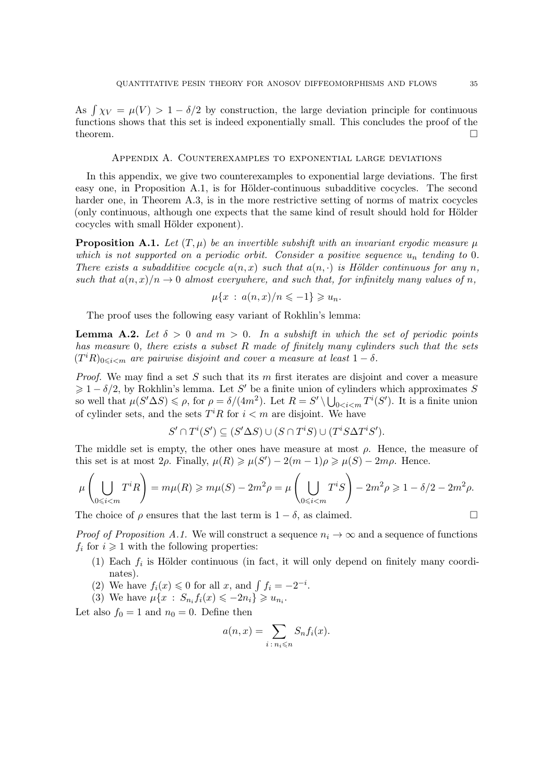<span id="page-34-0"></span>As  $\int \chi_V = \mu(V) > 1 - \delta/2$  by construction, the large deviation principle for continuous functions shows that this set is indeed exponentially small. This concludes the proof of the theorem.  $\Box$ 

#### Appendix A. Counterexamples to exponential large deviations

In this appendix, we give two counterexamples to exponential large deviations. The first easy one, in Proposition [A.1,](#page-34-1) is for Hölder-continuous subadditive cocycles. The second harder one, in Theorem [A.3,](#page-35-0) is in the more restrictive setting of norms of matrix cocycles (only continuous, although one expects that the same kind of result should hold for Hölder cocycles with small Hölder exponent).

<span id="page-34-1"></span>**Proposition A.1.** Let  $(T, \mu)$  be an invertible subshift with an invariant ergodic measure  $\mu$ which is not supported on a periodic orbit. Consider a positive sequence  $u_n$  tending to 0. There exists a subadditive cocycle  $a(n, x)$  such that  $a(n, \cdot)$  is Hölder continuous for any n, such that  $a(n, x)/n \to 0$  almost everywhere, and such that, for infinitely many values of n,

$$
\mu\{x\,:\,a(n,x)/n\leqslant -1\}\geqslant u_n.
$$

The proof uses the following easy variant of Rokhlin's lemma:

<span id="page-34-2"></span>**Lemma A.2.** Let  $\delta > 0$  and  $m > 0$ . In a subshift in which the set of periodic points has measure 0, there exists a subset R made of finitely many cylinders such that the sets  $(T<sup>i</sup>R)_{0\leq i\leq m}$  are pairwise disjoint and cover a measure at least  $1-\delta$ .

Proof. We may find a set S such that its m first iterates are disjoint and cover a measure  $\geq 1 - \delta/2$ , by Rokhlin's lemma. Let S' be a finite union of cylinders which approximates S so well that  $\mu(S' \Delta S) \leq \rho$ , for  $\rho = \delta/(4m^2)$ . Let  $R = S' \setminus \bigcup_{0 < i < m} T^i(S')$ . It is a finite union of cylinder sets, and the sets  $T^iR$  for  $i < m$  are disjoint. We have

$$
S' \cap T^i(S') \subseteq (S' \Delta S) \cup (S \cap T^i S) \cup (T^i S \Delta T^i S').
$$

The middle set is empty, the other ones have measure at most  $\rho$ . Hence, the measure of this set is at most 2 $\rho$ . Finally,  $\mu(R) \ge \mu(S') - 2(m-1)\rho \ge \mu(S) - 2m\rho$ . Hence.

$$
\mu\left(\bigcup_{0\leqslant i
$$

The choice of  $\rho$  ensures that the last term is  $1 - \delta$ , as claimed.

*Proof of Proposition [A.1.](#page-34-1)* We will construct a sequence  $n_i \to \infty$  and a sequence of functions  $f_i$  for  $i \geq 1$  with the following properties:

- (1) Each  $f_i$  is Hölder continuous (in fact, it will only depend on finitely many coordinates).
- (2) We have  $f_i(x) \leq 0$  for all x, and  $\int f_i = -2^{-i}$ .
- (3) We have  $\mu\{x : S_{n_i}f_i(x) \leq -2n_i\} \geq u_{n_i}$ .

Let also  $f_0 = 1$  and  $n_0 = 0$ . Define then

$$
a(n,x) = \sum_{i \,:\, n_i \leq n} S_n f_i(x).
$$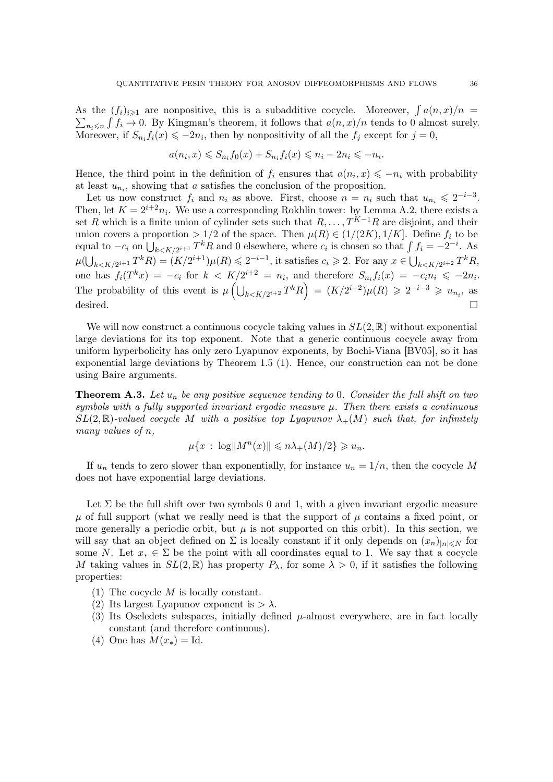<span id="page-35-1"></span>As the  $(f_i)_{i\geqslant 1}$  are nonpositive, this is a subadditive cocycle. Moreover,  $\int a(n,x)/n =$  $\sum_{n_i \leq n} \int f_i \to 0$ . By Kingman's theorem, it follows that  $a(n, x)/n$  tends to 0 almost surely. Moreover, if  $S_{n_i} f_i(x) \leqslant -2n_i$ , then by nonpositivity of all the  $f_j$  except for  $j = 0$ ,

$$
a(n_i, x) \leq S_{n_i} f_0(x) + S_{n_i} f_i(x) \leqslant n_i - 2n_i \leqslant -n_i.
$$

Hence, the third point in the definition of  $f_i$  ensures that  $a(n_i, x) \leq -n_i$  with probability at least  $u_{n_i}$ , showing that a satisfies the conclusion of the proposition.

Let us now construct  $f_i$  and  $n_i$  as above. First, choose  $n = n_i$  such that  $u_{n_i} \leqslant 2^{-i-3}$ . Then, let  $K = 2^{i+2}n_i$ . We use a corresponding Rokhlin tower: by Lemma [A.2,](#page-34-2) there exists a set R which is a finite union of cylinder sets such that  $R, \ldots, T^{K-1}R$  are disjoint, and their union covers a proportion > 1/2 of the space. Then  $\mu(R) \in (1/(2K), 1/K]$ . Define  $f_i$  to be equal to  $-c_i$  on  $\bigcup_{k \le K/2^{i+1}} T^k R$  and 0 elsewhere, where  $c_i$  is chosen so that  $\int f_i = -2^{-i}$ . As  $\mu(\bigcup_{k\leq K/2^{i+1}}T^kR)=(K/2^{i+1})\mu(R)\leqslant 2^{-i-1}$ , it satisfies  $c_i\geqslant 2$ . For any  $x\in\bigcup_{k\leqslant K/2^{i+2}}T^kR$ , one has  $f_i(T^k x) = -c_i$  for  $k < K/2^{i+2} = n_i$ , and therefore  $S_{n_i} f_i(x) = -c_i n_i \leq -2n_i$ . The probability of this event is  $\mu\left(\bigcup_{k\leq K/2^{i+2}}T^kR\right) = (K/2^{i+2})\mu(R) \geq 2^{-i-3} \geq u_{n_i}$ , as desired.

We will now construct a continuous cocycle taking values in  $SL(2,\mathbb{R})$  without exponential large deviations for its top exponent. Note that a generic continuous cocycle away from uniform hyperbolicity has only zero Lyapunov exponents, by Bochi-Viana [\[BV05\]](#page-39-15), so it has exponential large deviations by Theorem [1.5](#page-3-0) (1). Hence, our construction can not be done using Baire arguments.

<span id="page-35-0"></span>**Theorem A.3.** Let  $u_n$  be any positive sequence tending to 0. Consider the full shift on two symbols with a fully supported invariant ergodic measure  $\mu$ . Then there exists a continuous  $SL(2,\mathbb{R})$ -valued cocycle M with a positive top Lyapunov  $\lambda_+(M)$  such that, for infinitely many values of n,

$$
\mu\{x\,:\,\log\|M^n(x)\|\leqslant n\lambda_+(M)/2\}\geqslant u_n.
$$

If  $u_n$  tends to zero slower than exponentially, for instance  $u_n = 1/n$ , then the cocycle M does not have exponential large deviations.

Let  $\Sigma$  be the full shift over two symbols 0 and 1, with a given invariant ergodic measure  $\mu$  of full support (what we really need is that the support of  $\mu$  contains a fixed point, or more generally a periodic orbit, but  $\mu$  is not supported on this orbit). In this section, we will say that an object defined on  $\Sigma$  is locally constant if it only depends on  $(x_n)_{|n| \leq N}$  for some N. Let  $x_* \in \Sigma$  be the point with all coordinates equal to 1. We say that a cocycle M taking values in  $SL(2,\mathbb{R})$  has property  $P_{\lambda}$ , for some  $\lambda > 0$ , if it satisfies the following properties:

- (1) The cocycle M is locally constant.
- (2) Its largest Lyapunov exponent is  $> \lambda$ .
- (3) Its Oseledets subspaces, initially defined  $\mu$ -almost everywhere, are in fact locally constant (and therefore continuous).
- (4) One has  $M(x_*) = \text{Id}$ .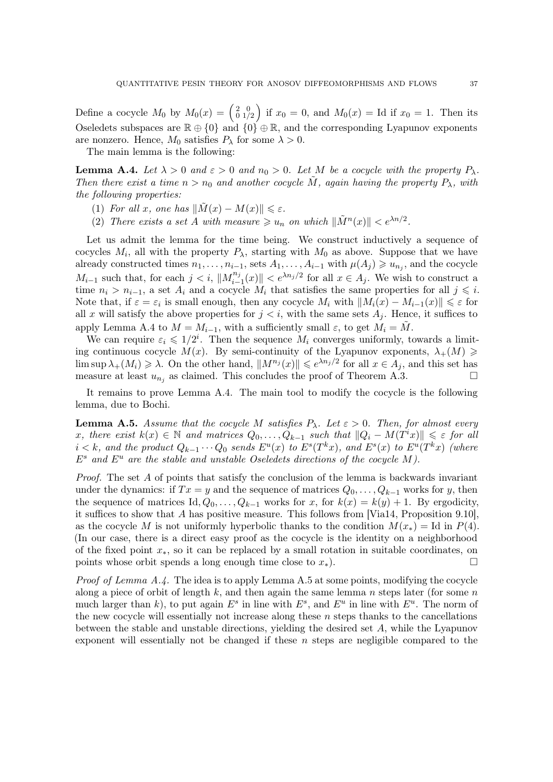<span id="page-36-2"></span>Define a cocycle  $M_0$  by  $M_0(x) = \begin{pmatrix} 2 & 0 \\ 0 & 1/2 \end{pmatrix}$  if  $x_0 = 0$ , and  $M_0(x) =$  Id if  $x_0 = 1$ . Then its Oseledets subspaces are  $\mathbb{R} \oplus \{0\}$  and  $\{0\} \oplus \mathbb{R}$ , and the corresponding Lyapunov exponents are nonzero. Hence,  $M_0$  satisfies  $P_\lambda$  for some  $\lambda > 0$ .

The main lemma is the following:

<span id="page-36-0"></span>**Lemma A.4.** Let  $\lambda > 0$  and  $\varepsilon > 0$  and  $n_0 > 0$ . Let M be a cocycle with the property  $P_{\lambda}$ . Then there exist a time  $n > n_0$  and another cocycle M, again having the property  $P_\lambda$ , with the following properties:

- (1) For all x, one has  $\|\tilde{M}(x) M(x)\| \leq \varepsilon$ .
- (2) There exists a set A with measure  $\geq u_n$  on which  $\|\tilde{M}^n(x)\| < e^{\lambda n/2}$ .

Let us admit the lemma for the time being. We construct inductively a sequence of cocycles  $M_i$ , all with the property  $P_{\lambda}$ , starting with  $M_0$  as above. Suppose that we have already constructed times  $n_1, \ldots, n_{i-1}$ , sets  $A_1, \ldots, A_{i-1}$  with  $\mu(A_j) \geq u_{n_j}$ , and the cocycle  $M_{i-1}$  such that, for each  $j < i$ ,  $||M_{i-}^{n_j}||$  $\|m_{i-1}(x)\|$  <  $e^{\lambda n_j/2}$  for all  $x \in A_j$ . We wish to construct a time  $n_i > n_{i-1}$ , a set  $A_i$  and a cocycle  $M_i$  that satisfies the same properties for all  $j \leq i$ . Note that, if  $\varepsilon = \varepsilon_i$  is small enough, then any cocycle  $M_i$  with  $||M_i(x) - M_{i-1}(x)|| \leq \varepsilon$  for all x will satisfy the above properties for  $j < i$ , with the same sets  $A_j$ . Hence, it suffices to apply Lemma [A.4](#page-36-0) to  $M = M_{i-1}$ , with a sufficiently small  $\varepsilon$ , to get  $M_i = M$ .

We can require  $\varepsilon_i \leq 1/2^i$ . Then the sequence  $M_i$  converges uniformly, towards a limiting continuous cocycle  $M(x)$ . By semi-continuity of the Lyapunov exponents,  $\lambda_+(M) \geq$  $\limsup \lambda_{+}(M_i) \geq \lambda$ . On the other hand,  $||M^{n_j}(x)|| \leq e^{\lambda n_j/2}$  for all  $x \in A_j$ , and this set has measure at least  $u_{n_j}$  as claimed. This concludes the proof of Theorem [A.3.](#page-35-0)

It remains to prove Lemma [A.4.](#page-36-0) The main tool to modify the cocycle is the following lemma, due to Bochi.

<span id="page-36-1"></span>**Lemma A.5.** Assume that the cocycle M satisfies  $P_{\lambda}$ . Let  $\varepsilon > 0$ . Then, for almost every x, there exist  $k(x) \in \mathbb{N}$  and matrices  $Q_0, \ldots, Q_{k-1}$  such that  $||Q_i - M(T^i x)|| \leq \varepsilon$  for all  $i < k$ , and the product  $Q_{k-1} \cdots Q_0$  sends  $E^u(x)$  to  $E^s(T^k x)$ , and  $E^s(x)$  to  $E^u(T^k x)$  (where  $E^s$  and  $E^u$  are the stable and unstable Oseledets directions of the cocycle M).

*Proof.* The set  $A$  of points that satisfy the conclusion of the lemma is backwards invariant under the dynamics: if  $Tx = y$  and the sequence of matrices  $Q_0, \ldots, Q_{k-1}$  works for y, then the sequence of matrices Id,  $Q_0, \ldots, Q_{k-1}$  works for x, for  $k(x) = k(y) + 1$ . By ergodicity, it suffices to show that A has positive measure. This follows from [\[Via14,](#page-39-3) Proposition 9.10], as the cocycle M is not uniformly hyperbolic thanks to the condition  $M(x_*) =$  Id in  $P(4)$ . (In our case, there is a direct easy proof as the cocycle is the identity on a neighborhood of the fixed point x∗, so it can be replaced by a small rotation in suitable coordinates, on points whose orbit spends a long enough time close to  $x_*$ ).

*Proof of Lemma [A.4.](#page-36-0)* The idea is to apply Lemma [A.5](#page-36-1) at some points, modifying the cocycle along a piece of orbit of length  $k$ , and then again the same lemma n steps later (for some n much larger than k, to put again  $E^s$  in line with  $E^s$ , and  $E^u$  in line with  $E^u$ . The norm of the new cocycle will essentially not increase along these  $n$  steps thanks to the cancellations between the stable and unstable directions, yielding the desired set A, while the Lyapunov exponent will essentially not be changed if these  $n$  steps are negligible compared to the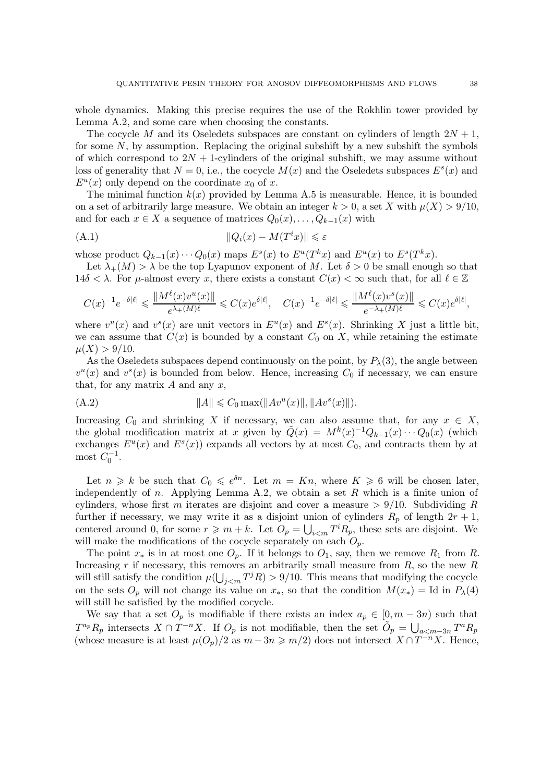whole dynamics. Making this precise requires the use of the Rokhlin tower provided by Lemma [A.2,](#page-34-2) and some care when choosing the constants.

The cocycle M and its Oseledets subspaces are constant on cylinders of length  $2N + 1$ , for some  $N$ , by assumption. Replacing the original subshift by a new subshift the symbols of which correspond to  $2N + 1$ -cylinders of the original subshift, we may assume without loss of generality that  $N = 0$ , i.e., the cocycle  $M(x)$  and the Oseledets subspaces  $E<sup>s</sup>(x)$  and  $E^u(x)$  only depend on the coordinate  $x_0$  of x.

The minimal function  $k(x)$  provided by Lemma [A.5](#page-36-1) is measurable. Hence, it is bounded on a set of arbitrarily large measure. We obtain an integer  $k > 0$ , a set X with  $\mu(X) > 9/10$ , and for each  $x \in X$  a sequence of matrices  $Q_0(x), \ldots, Q_{k-1}(x)$  with

<span id="page-37-0"></span>
$$
||Q_i(x) - M(T^i x)|| \le \varepsilon
$$

whose product  $Q_{k-1}(x) \cdots Q_0(x)$  maps  $E<sup>s</sup>(x)$  to  $E<sup>u</sup>(T<sup>k</sup>x)$  and  $E<sup>u</sup>(x)$  to  $E<sup>s</sup>(T<sup>k</sup>x)$ .

Let  $\lambda_{+}(M) > \lambda$  be the top Lyapunov exponent of M. Let  $\delta > 0$  be small enough so that  $14\delta < \lambda$ . For  $\mu$ -almost every x, there exists a constant  $C(x) < \infty$  such that, for all  $\ell \in \mathbb{Z}$ 

$$
C(x)^{-1}e^{-\delta|\ell|} \leqslant \frac{\|M^\ell(x)v^u(x)\|}{e^{\lambda_+(M)\ell}} \leqslant C(x)e^{\delta|\ell|}, \quad C(x)^{-1}e^{-\delta|\ell|} \leqslant \frac{\|M^\ell(x)v^s(x)\|}{e^{-\lambda_+(M)\ell}} \leqslant C(x)e^{\delta|\ell|},
$$

where  $v^u(x)$  and  $v^s(x)$  are unit vectors in  $E^u(x)$  and  $E^s(x)$ . Shrinking X just a little bit, we can assume that  $C(x)$  is bounded by a constant  $C_0$  on X, while retaining the estimate  $\mu(X) > 9/10$ .

As the Oseledets subspaces depend continuously on the point, by  $P_\lambda(3)$ , the angle between  $v^u(x)$  and  $v^s(x)$  is bounded from below. Hence, increasing  $C_0$  if necessary, we can ensure that, for any matrix  $A$  and any  $x$ ,

<span id="page-37-1"></span>(A.2) 
$$
||A|| \leq C_0 \max(||Av^u(x)||, ||Av^s(x)||).
$$

Increasing  $C_0$  and shrinking X if necessary, we can also assume that, for any  $x \in X$ , the global modification matrix at x given by  $\tilde{Q}(x) = M^k(x)^{-1}Q_{k-1}(x)\cdots Q_0(x)$  (which exchanges  $E^u(x)$  and  $E^s(x)$ ) expands all vectors by at most  $C_0$ , and contracts them by at most  $C_0^{-1}$ .

Let  $n \geq k$  be such that  $C_0 \leqslant e^{\delta n}$ . Let  $m = Kn$ , where  $K \geqslant 6$  will be chosen later, independently of n. Applying Lemma [A.2,](#page-34-2) we obtain a set R which is a finite union of cylinders, whose first m iterates are disjoint and cover a measure  $> 9/10$ . Subdividing R further if necessary, we may write it as a disjoint union of cylinders  $R_p$  of length  $2r + 1$ , centered around 0, for some  $r \geqslant m + k$ . Let  $O_p = \bigcup_{i \leqslant m} T^i R_p$ , these sets are disjoint. We will make the modifications of the cocycle separately on each  $O_p$ .

The point  $x_*$  is in at most one  $O_p$ . If it belongs to  $O_1$ , say, then we remove  $R_1$  from R. Increasing r if necessary, this removes an arbitrarily small measure from  $R$ , so the new  $R$ will still satisfy the condition  $\mu(\bigcup_{j 9/10$ . This means that modifying the cocycle on the sets  $O_p$  will not change its value on  $x_*$ , so that the condition  $M(x_*) = \text{Id}$  in  $P_\lambda(4)$ will still be satisfied by the modified cocycle.

We say that a set  $O_p$  is modifiable if there exists an index  $a_p \in [0, m-3n)$  such that  $T^{a_p}R_p$  intersects  $X \cap T^{-n}X$ . If  $O_p$  is not modifiable, then the set  $\tilde{O}_p = \bigcup_{a \leq m-3n} T^a R_p$ (whose measure is at least  $\mu(O_p)/2$  as  $m-3n \geq m/2$ ) does not intersect  $X \cap T^{-n}X$ . Hence,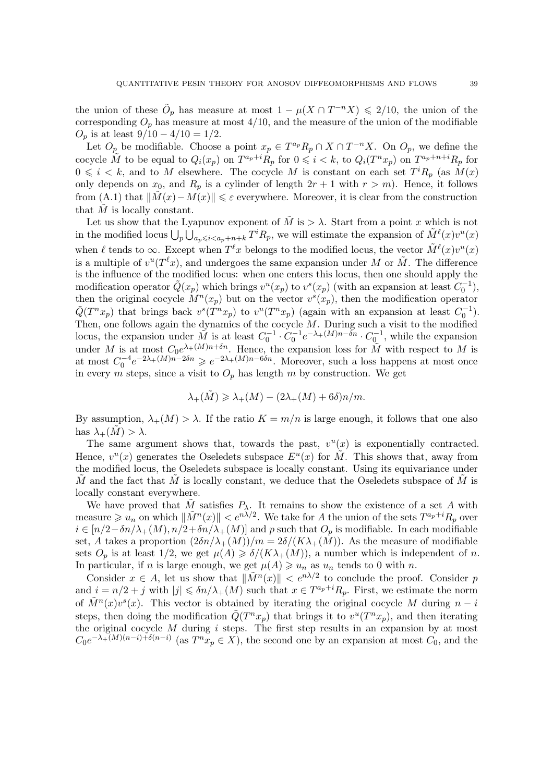the union of these  $\tilde{O}_p$  has measure at most  $1 - \mu(X \cap T^{-n}X) \leq 2/10$ , the union of the corresponding  $O_p$  has measure at most  $4/10$ , and the measure of the union of the modifiable  $O_p$  is at least  $9/10 - 4/10 = 1/2$ .

Let  $O_p$  be modifiable. Choose a point  $x_p \in T^{a_p}R_p \cap X \cap T^{-n}X$ . On  $O_p$ , we define the cocycle  $\tilde{M}$  to be equal to  $Q_i(x_p)$  on  $T^{a_p+i}R_p$  for  $0 \leqslant i < k$ , to  $Q_i(T^n x_p)$  on  $T^{a_p+n+i}R_p$  for  $0 \leq i \leq k$ , and to M elsewhere. The cocycle M is constant on each set  $T^i R_p$  (as  $M(x)$ ) only depends on  $x_0$ , and  $R_p$  is a cylinder of length  $2r + 1$  with  $r > m$ ). Hence, it follows from [\(A.1\)](#page-37-0) that  $\|\tilde{M}(x)-M(x)\|\leq \varepsilon$  everywhere. Moreover, it is clear from the construction that  $\tilde{M}$  is locally constant.

Let us show that the Lyapunov exponent of  $\tilde{M}$  is  $>\lambda$ . Start from a point x which is not in the modified locus  $\bigcup_p \bigcup_{a_p \leq i \leq a_p+n+k} T^i R_p$ , we will estimate the expansion of  $\tilde{M}^{\ell}(x)v^u(x)$ when  $\ell$  tends to  $\infty$ . Except when  $T^{\ell}x$  belongs to the modified locus, the vector  $\tilde{M}^{\ell}(x)v^{u}(x)$ is a multiple of  $v^u(T^{\ell}x)$ , and undergoes the same expansion under M or  $\tilde{M}$ . The difference is the influence of the modified locus: when one enters this locus, then one should apply the modification operator  $\tilde{Q}(x_p)$  which brings  $v^u(x_p)$  to  $v^s(x_p)$  (with an expansion at least  $C_0^{-1}$ ), then the original cocycle  $M^n(x_p)$  but on the vector  $v^s(x_p)$ , then the modification operator  $\tilde{Q}(T^n x_p)$  that brings back  $v^s(T^n x_p)$  to  $v^u(T^n x_p)$  (again with an expansion at least  $C_0^{-1}$ ). Then, one follows again the dynamics of the cocycle M. During such a visit to the modified locus, the expansion under  $\tilde{M}$  is at least  $C_0^{-1} \cdot C_0^{-1} e^{-\lambda_+(M)n-\delta n} \cdot C_0^{-1}$ , while the expansion under M is at most  $C_0e^{\lambda_+(M)n+\delta n}$ . Hence, the expansion loss for  $\tilde{M}$  with respect to M is at most  $C_0^{-4}e^{-2\lambda_+(M)n-2\delta n} \geqslant e^{-2\lambda_+(M)n-6\delta n}$ . Moreover, such a loss happens at most once in every m steps, since a visit to  $O_p$  has length m by construction. We get

$$
\lambda_+(\tilde{M}) \geq \lambda_+(M) - (2\lambda_+(M) + 6\delta)n/m.
$$

By assumption,  $\lambda_{+}(M) > \lambda$ . If the ratio  $K = m/n$  is large enough, it follows that one also has  $\lambda_+(M) > \lambda$ .

The same argument shows that, towards the past,  $v^u(x)$  is exponentially contracted. Hence,  $v^u(x)$  generates the Oseledets subspace  $E^u(x)$  for  $\tilde{M}$ . This shows that, away from the modified locus, the Oseledets subspace is locally constant. Using its equivariance under M and the fact that M is locally constant, we deduce that the Oseledets subspace of M is locally constant everywhere.

We have proved that  $\tilde{M}$  satisfies  $P_{\lambda}$ . It remains to show the existence of a set A with measure  $\geq u_n$  on which  $\|\tilde{M}^n(x)\| < e^{n\lambda/2}$ . We take for A the union of the sets  $T^{a_p+i}R_p$  over  $i \in [n/2-\delta n/\lambda_{+}(M), n/2+\delta n/\lambda_{+}(M)]$  and p such that  $O_p$  is modifiable. In each modifiable set, A takes a proportion  $(2\delta n/\lambda_{+}(M))/m = 2\delta/(K\lambda_{+}(M))$ . As the measure of modifiable sets  $O_p$  is at least  $1/2$ , we get  $\mu(A) \geq \delta/(K\lambda_+(M))$ , a number which is independent of n. In particular, if *n* is large enough, we get  $\mu(A) \geq u_n$  as  $u_n$  tends to 0 with *n*.

Consider  $x \in A$ , let us show that  $\|\tilde{M}^n(x)\| < e^{n\lambda/2}$  to conclude the proof. Consider p and  $i = n/2 + j$  with  $|j| \leq \delta n/\lambda_{+}(M)$  such that  $x \in T^{a_p + i}R_p$ . First, we estimate the norm of  $\tilde{M}^n(x)v^s(x)$ . This vector is obtained by iterating the original cocycle M during  $n-i$ steps, then doing the modification  $\tilde{Q}(T^n x_p)$  that brings it to  $v^u(T^n x_p)$ , and then iterating the original cocycle  $M$  during  $i$  steps. The first step results in an expansion by at most  $C_0e^{-\lambda_+(M)(n-i)+\delta(n-i)}$  (as  $T^nx_p \in X$ ), the second one by an expansion at most  $C_0$ , and the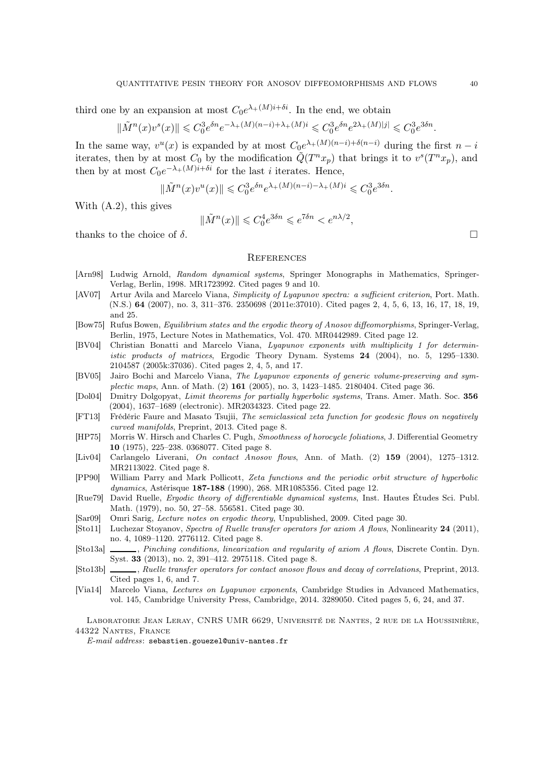third one by an expansion at most  $C_0e^{\lambda_+(M)i+\delta i}$ . In the end, we obtain

$$
\|\tilde{M}^n(x)v^s(x)\| \leq C_0^3 e^{\delta n} e^{-\lambda_+(M)(n-i) + \lambda_+(M)i} \leq C_0^3 e^{\delta n} e^{2\lambda_+(M)|j|} \leq C_0^3 e^{3\delta n}.
$$

In the same way,  $v^u(x)$  is expanded by at most  $C_0e^{\lambda_+(M)(n-i)+\delta(n-i)}$  during the first  $n-i$ iterates, then by at most  $C_0$  by the modification  $\tilde{Q}(T^n x_p)$  that brings it to  $v^s(T^n x_p)$ , and then by at most  $C_0e^{-\lambda_+(M)i+\delta i}$  for the last *i* iterates. Hence,

$$
\|\tilde{M}^n(x)v^u(x)\| \leq C_0^3 e^{\delta n} e^{\lambda_+(M)(n-i) - \lambda_+(M)i} \leq C_0^3 e^{3\delta n}.
$$

With [\(A.2\)](#page-37-1), this gives

$$
\|\tilde{M}^n(x)\| \leq C_0^4 e^{3\delta n} \leq e^{7\delta n} < e^{n\lambda/2},
$$

thanks to the choice of  $\delta$ .

#### **REFERENCES**

- <span id="page-39-9"></span>[Arn98] Ludwig Arnold, Random dynamical systems, Springer Monographs in Mathematics, Springer-Verlag, Berlin, 1998. [MR1723992.](http://www.ams.org/mathscinet-getitem?mr=MR1723992) Cited pages [9](#page-8-0) and [10.](#page-9-2)
- <span id="page-39-2"></span>[AV07] Artur Avila and Marcelo Viana, Simplicity of Lyapunov spectra: a sufficient criterion, Port. Math. (N.S.) 64 (2007), no. 3, 311–376. [2350698 \(2011e:37010\).](http://www.ams.org/mathscinet-getitem?mr=2350698 (2011e:37010)) Cited pages [2,](#page-1-3) [4,](#page-3-1) [5,](#page-4-2) [6,](#page-5-1) [13,](#page-12-3) [16,](#page-15-0) [17,](#page-16-3) [18,](#page-17-1) [19,](#page-18-2) and [25.](#page-24-2)
- <span id="page-39-10"></span>[Bow75] Rufus Bowen, Equilibrium states and the ergodic theory of Anosov diffeomorphisms, Springer-Verlag, Berlin, 1975, Lecture Notes in Mathematics, Vol. 470. [MR0442989.](http://www.ams.org/mathscinet-getitem?mr=MR0442989) Cited page [12.](#page-11-2)
- <span id="page-39-1"></span>[BV04] Christian Bonatti and Marcelo Viana, Lyapunov exponents with multiplicity 1 for deterministic products of matrices, Ergodic Theory Dynam. Systems 24 (2004), no. 5, 1295–1330. [2104587 \(2005k:37036\).](http://www.ams.org/mathscinet-getitem?mr=2104587 (2005k:37036)) Cited pages [2,](#page-1-3) [4,](#page-3-1) [5,](#page-4-2) and [17.](#page-16-3)
- <span id="page-39-15"></span>[BV05] Jairo Bochi and Marcelo Viana, The Lyapunov exponents of generic volume-preserving and sym-plectic maps, Ann. of Math. (2) 161 (2005), no. 3, 1423-1485. [2180404.](http://www.ams.org/mathscinet-getitem?mr=2180404) Cited page [36.](#page-35-1)
- <span id="page-39-12"></span>[Dol04] Dmitry Dolgopyat, Limit theorems for partially hyperbolic systems, Trans. Amer. Math. Soc. 356 (2004), 1637–1689 (electronic). [MR2034323.](http://www.ams.org/mathscinet-getitem?mr=MR2034323) Cited page [22.](#page-21-0)
- <span id="page-39-8"></span>[FT13] Frédéric Faure and Masato Tsujii, The semiclassical zeta function for geodesic flows on negatively curved manifolds, Preprint, 2013. Cited page [8.](#page-7-0)
- <span id="page-39-4"></span>[HP75] Morris W. Hirsch and Charles C. Pugh, Smoothness of horocycle foliations, J. Differential Geometry 10 (1975), 225–238. [0368077.](http://www.ams.org/mathscinet-getitem?mr=0368077) Cited page [8.](#page-7-0)
- <span id="page-39-7"></span>[Liv04] Carlangelo Liverani, On contact Anosov flows, Ann. of Math. (2) 159 (2004), 1275–1312. [MR2113022.](http://www.ams.org/mathscinet-getitem?mr=MR2113022) Cited page [8.](#page-7-0)
- <span id="page-39-11"></span>[PP90] William Parry and Mark Pollicott, Zeta functions and the periodic orbit structure of hyperbolic dynamics, Astérisque 187-188 (1990), 268. [MR1085356.](http://www.ams.org/mathscinet-getitem?mr=MR1085356) Cited page [12.](#page-11-2)
- <span id="page-39-13"></span>[Rue79] David Ruelle, Ergodic theory of differentiable dynamical systems, Inst. Hautes Études Sci. Publ. Math. (1979), no. 50, 27–58. [556581.](http://www.ams.org/mathscinet-getitem?mr=556581) Cited page [30.](#page-29-0)
- <span id="page-39-14"></span>[Sar09] Omri Sarig, Lecture notes on ergodic theory, Unpublished, 2009. Cited page [30.](#page-29-0)
- <span id="page-39-5"></span>[Sto11] Luchezar Stoyanov, Spectra of Ruelle transfer operators for axiom A flows, Nonlinearity 24 (2011), no. 4, 1089–1120. [2776112.](http://www.ams.org/mathscinet-getitem?mr=2776112) Cited page [8.](#page-7-0)
- <span id="page-39-6"></span>[Sto13a] , Pinching conditions, linearization and regularity of axiom A flows, Discrete Contin. Dyn. Syst. 33 (2013), no. 2, 391–412. [2975118.](http://www.ams.org/mathscinet-getitem?mr=2975118) Cited page [8.](#page-7-0)
- <span id="page-39-0"></span>[Sto13b] , Ruelle transfer operators for contact anosov flows and decay of correlations, Preprint, 2013. Cited pages [1,](#page-0-0) [6,](#page-5-1) and [7.](#page-6-2)
- <span id="page-39-3"></span>[Via14] Marcelo Viana, Lectures on Lyapunov exponents, Cambridge Studies in Advanced Mathematics, vol. 145, Cambridge University Press, Cambridge, 2014. [3289050.](http://www.ams.org/mathscinet-getitem?mr=3289050) Cited pages [5,](#page-4-2) [6,](#page-5-1) [24,](#page-23-1) and [37.](#page-36-2)

Laboratoire Jean Leray, CNRS UMR 6629, Université de Nantes, 2 rue de la Houssinière, 44322 Nantes, France

 $E-mail$   $address:$  sebastien.gouezel@univ-nantes.fr